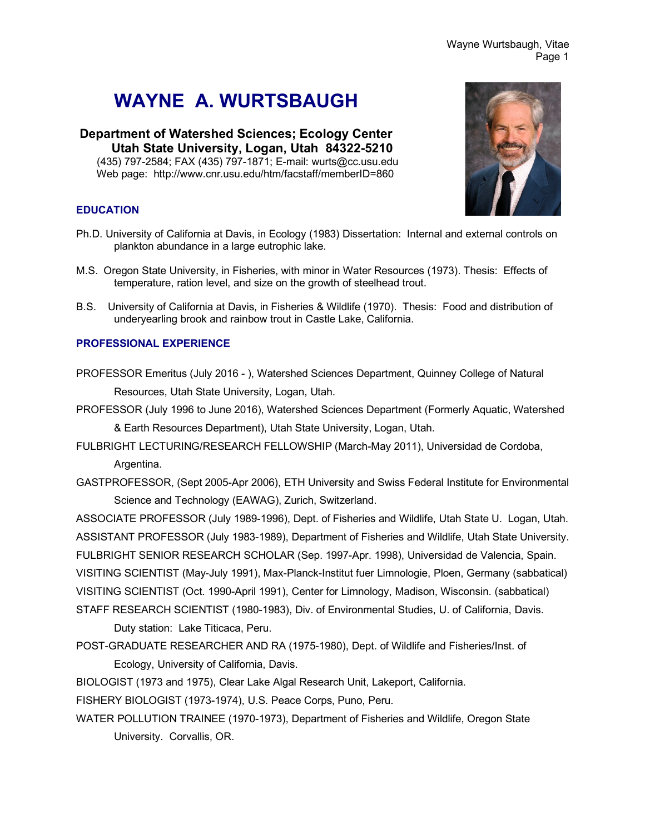# **WAYNE A. WURTSBAUGH**

**Department of Watershed Sciences; Ecology Center Utah State University, Logan, Utah 84322-5210** (435) 797-2584; FAX (435) 797-1871; E-mail: wurts@cc.usu.edu Web page: http://www.cnr.usu.edu/htm/facstaff/memberID=860

### **EDUCATION**

- Ph.D. University of California at Davis, in Ecology (1983) Dissertation: Internal and external controls on plankton abundance in a large eutrophic lake.
- M.S. Oregon State University, in Fisheries, with minor in Water Resources (1973). Thesis: Effects of temperature, ration level, and size on the growth of steelhead trout.
- B.S. University of California at Davis, in Fisheries & Wildlife (1970). Thesis: Food and distribution of underyearling brook and rainbow trout in Castle Lake, California.

### **PROFESSIONAL EXPERIENCE**

- PROFESSOR Emeritus (July 2016 ), Watershed Sciences Department, Quinney College of Natural Resources, Utah State University, Logan, Utah.
- PROFESSOR (July 1996 to June 2016), Watershed Sciences Department (Formerly Aquatic, Watershed & Earth Resources Department), Utah State University, Logan, Utah.
- FULBRIGHT LECTURING/RESEARCH FELLOWSHIP (March-May 2011), Universidad de Cordoba, Argentina.
- GASTPROFESSOR, (Sept 2005-Apr 2006), ETH University and Swiss Federal Institute for Environmental Science and Technology (EAWAG), Zurich, Switzerland.

ASSOCIATE PROFESSOR (July 1989-1996), Dept. of Fisheries and Wildlife, Utah State U. Logan, Utah. ASSISTANT PROFESSOR (July 1983-1989), Department of Fisheries and Wildlife, Utah State University. FULBRIGHT SENIOR RESEARCH SCHOLAR (Sep. 1997-Apr. 1998), Universidad de Valencia, Spain. VISITING SCIENTIST (May-July 1991), Max-Planck-Institut fuer Limnologie, Ploen, Germany (sabbatical) VISITING SCIENTIST (Oct. 1990-April 1991), Center for Limnology, Madison, Wisconsin. (sabbatical) STAFF RESEARCH SCIENTIST (1980-1983), Div. of Environmental Studies, U. of California, Davis.

Duty station: Lake Titicaca, Peru.

POST-GRADUATE RESEARCHER AND RA (1975-1980), Dept. of Wildlife and Fisheries/Inst. of Ecology, University of California, Davis.

BIOLOGIST (1973 and 1975), Clear Lake Algal Research Unit, Lakeport, California.

FISHERY BIOLOGIST (1973-1974), U.S. Peace Corps, Puno, Peru.

WATER POLLUTION TRAINEE (1970-1973), Department of Fisheries and Wildlife, Oregon State University. Corvallis, OR.

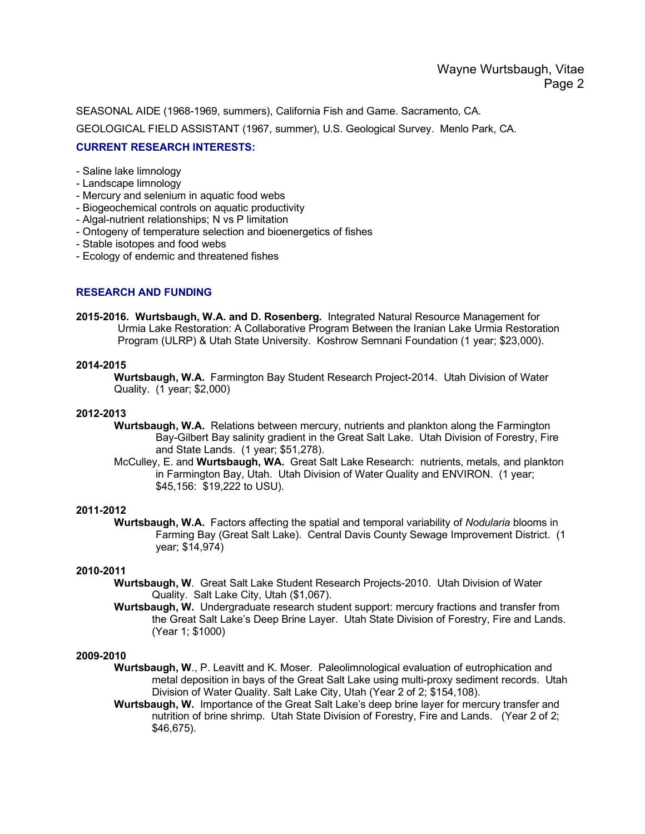SEASONAL AIDE (1968-1969, summers), California Fish and Game. Sacramento, CA.

GEOLOGICAL FIELD ASSISTANT (1967, summer), U.S. Geological Survey. Menlo Park, CA.

### **CURRENT RESEARCH INTERESTS:**

- Saline lake limnology
- Landscape limnology
- Mercury and selenium in aquatic food webs
- Biogeochemical controls on aquatic productivity
- Algal-nutrient relationships; N vs P limitation
- Ontogeny of temperature selection and bioenergetics of fishes
- Stable isotopes and food webs
- Ecology of endemic and threatened fishes

### **RESEARCH AND FUNDING**

**2015-2016. Wurtsbaugh, W.A. and D. Rosenberg.** Integrated Natural Resource Management for Urmia Lake Restoration: A Collaborative Program Between the Iranian Lake Urmia Restoration Program (ULRP) & Utah State University. Koshrow Semnani Foundation (1 year; \$23,000).

### **2014-2015**

**Wurtsbaugh, W.A.** Farmington Bay Student Research Project-2014. Utah Division of Water Quality. (1 year; \$2,000)

### **2012-2013**

- **Wurtsbaugh, W.A.** Relations between mercury, nutrients and plankton along the Farmington Bay-Gilbert Bay salinity gradient in the Great Salt Lake. Utah Division of Forestry, Fire and State Lands. (1 year; \$51,278).
- McCulley, E. and **Wurtsbaugh, WA.** Great Salt Lake Research: nutrients, metals, and plankton in Farmington Bay, Utah. Utah Division of Water Quality and ENVIRON. (1 year; \$45,156: \$19,222 to USU).

### **2011-2012**

**Wurtsbaugh, W.A.** Factors affecting the spatial and temporal variability of *Nodularia* blooms in Farming Bay (Great Salt Lake). Central Davis County Sewage Improvement District. (1 year; \$14,974)

### **2010-2011**

- **Wurtsbaugh, W**. Great Salt Lake Student Research Projects-2010. Utah Division of Water Quality. Salt Lake City, Utah (\$1,067).
- **Wurtsbaugh, W.** Undergraduate research student support: mercury fractions and transfer from the Great Salt Lake's Deep Brine Layer. Utah State Division of Forestry, Fire and Lands. (Year 1; \$1000)

- **Wurtsbaugh, W**., P. Leavitt and K. Moser. Paleolimnological evaluation of eutrophication and metal deposition in bays of the Great Salt Lake using multi-proxy sediment records. Utah Division of Water Quality. Salt Lake City, Utah (Year 2 of 2; \$154,108).
- **Wurtsbaugh, W.** Importance of the Great Salt Lake's deep brine layer for mercury transfer and nutrition of brine shrimp. Utah State Division of Forestry, Fire and Lands. (Year 2 of 2; \$46,675).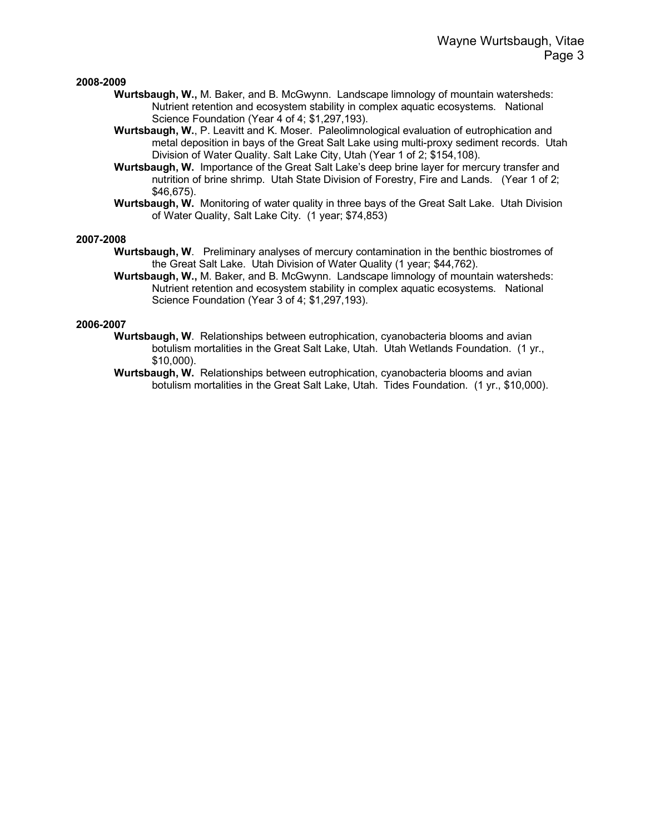#### **2008-2009**

- **Wurtsbaugh, W.,** M. Baker, and B. McGwynn. Landscape limnology of mountain watersheds: Nutrient retention and ecosystem stability in complex aquatic ecosystems. National Science Foundation (Year 4 of 4; \$1,297,193).
- **Wurtsbaugh, W.**, P. Leavitt and K. Moser. Paleolimnological evaluation of eutrophication and metal deposition in bays of the Great Salt Lake using multi-proxy sediment records. Utah Division of Water Quality. Salt Lake City, Utah (Year 1 of 2; \$154,108).
- **Wurtsbaugh, W.** Importance of the Great Salt Lake's deep brine layer for mercury transfer and nutrition of brine shrimp. Utah State Division of Forestry, Fire and Lands. (Year 1 of 2; \$46,675).
- **Wurtsbaugh, W.** Monitoring of water quality in three bays of the Great Salt Lake. Utah Division of Water Quality, Salt Lake City. (1 year; \$74,853)

#### **2007-2008**

- **Wurtsbaugh, W**. Preliminary analyses of mercury contamination in the benthic biostromes of the Great Salt Lake. Utah Division of Water Quality (1 year; \$44,762).
- **Wurtsbaugh, W.,** M. Baker, and B. McGwynn. Landscape limnology of mountain watersheds: Nutrient retention and ecosystem stability in complex aquatic ecosystems. National Science Foundation (Year 3 of 4; \$1,297,193).

- **Wurtsbaugh, W**. Relationships between eutrophication, cyanobacteria blooms and avian botulism mortalities in the Great Salt Lake, Utah. Utah Wetlands Foundation. (1 yr., \$10,000).
- **Wurtsbaugh, W.** Relationships between eutrophication, cyanobacteria blooms and avian botulism mortalities in the Great Salt Lake, Utah. Tides Foundation. (1 yr., \$10,000).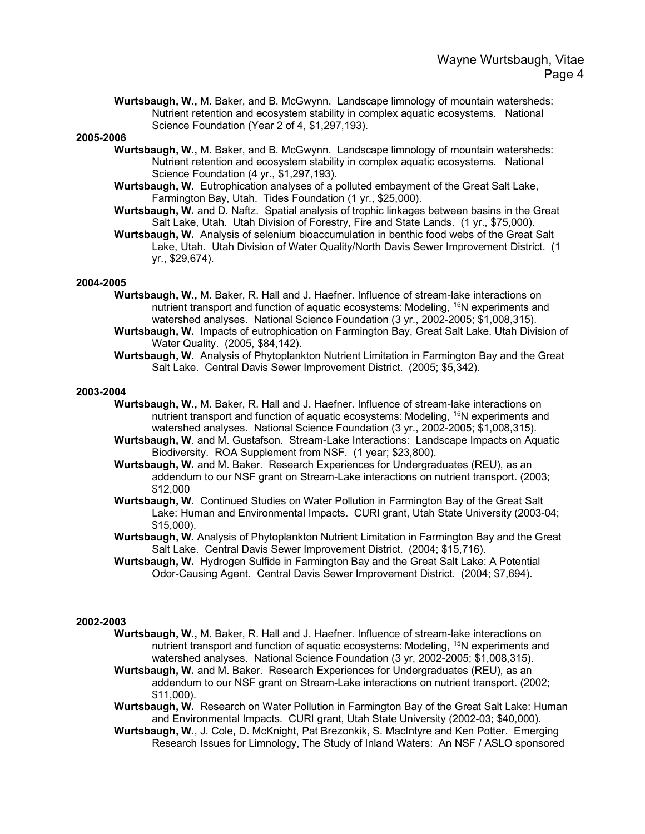**Wurtsbaugh, W.,** M. Baker, and B. McGwynn. Landscape limnology of mountain watersheds: Nutrient retention and ecosystem stability in complex aquatic ecosystems. National Science Foundation (Year 2 of 4, \$1,297,193).

#### **2005-2006**

- **Wurtsbaugh, W.,** M. Baker, and B. McGwynn. Landscape limnology of mountain watersheds: Nutrient retention and ecosystem stability in complex aquatic ecosystems. National Science Foundation (4 yr., \$1,297,193).
- **Wurtsbaugh, W.** Eutrophication analyses of a polluted embayment of the Great Salt Lake, Farmington Bay, Utah. Tides Foundation (1 yr., \$25,000).
- **Wurtsbaugh, W.** and D. Naftz. Spatial analysis of trophic linkages between basins in the Great Salt Lake, Utah. Utah Division of Forestry, Fire and State Lands. (1 yr., \$75,000).
- **Wurtsbaugh, W.** Analysis of selenium bioaccumulation in benthic food webs of the Great Salt Lake, Utah. Utah Division of Water Quality/North Davis Sewer Improvement District. (1 yr., \$29,674).

#### **2004-2005**

- **Wurtsbaugh, W.,** M. Baker, R. Hall and J. Haefner. Influence of stream-lake interactions on nutrient transport and function of aquatic ecosystems: Modeling, 15N experiments and watershed analyses. National Science Foundation (3 yr., 2002-2005; \$1,008,315).
- **Wurtsbaugh, W.** Impacts of eutrophication on Farmington Bay, Great Salt Lake. Utah Division of Water Quality. (2005, \$84,142).
- **Wurtsbaugh, W.** Analysis of Phytoplankton Nutrient Limitation in Farmington Bay and the Great Salt Lake. Central Davis Sewer Improvement District. (2005; \$5,342).

#### **2003-2004**

- **Wurtsbaugh, W.,** M. Baker, R. Hall and J. Haefner. Influence of stream-lake interactions on nutrient transport and function of aquatic ecosystems: Modeling, 15N experiments and watershed analyses. National Science Foundation (3 yr., 2002-2005; \$1,008,315).
- **Wurtsbaugh, W**. and M. Gustafson. Stream-Lake Interactions: Landscape Impacts on Aquatic Biodiversity. ROA Supplement from NSF. (1 year; \$23,800).
- **Wurtsbaugh, W.** and M. Baker. Research Experiences for Undergraduates (REU), as an addendum to our NSF grant on Stream-Lake interactions on nutrient transport. (2003; \$12,000
- **Wurtsbaugh, W.** Continued Studies on Water Pollution in Farmington Bay of the Great Salt Lake: Human and Environmental Impacts. CURI grant, Utah State University (2003-04; \$15,000).
- **Wurtsbaugh, W.** Analysis of Phytoplankton Nutrient Limitation in Farmington Bay and the Great Salt Lake. Central Davis Sewer Improvement District. (2004; \$15,716).
- **Wurtsbaugh, W.** Hydrogen Sulfide in Farmington Bay and the Great Salt Lake: A Potential Odor-Causing Agent. Central Davis Sewer Improvement District. (2004; \$7,694).

- **Wurtsbaugh, W.,** M. Baker, R. Hall and J. Haefner. Influence of stream-lake interactions on nutrient transport and function of aquatic ecosystems: Modeling, <sup>15</sup>N experiments and watershed analyses. National Science Foundation (3 yr, 2002-2005; \$1,008,315).
- **Wurtsbaugh, W.** and M. Baker. Research Experiences for Undergraduates (REU), as an addendum to our NSF grant on Stream-Lake interactions on nutrient transport. (2002; \$11,000).
- **Wurtsbaugh, W.** Research on Water Pollution in Farmington Bay of the Great Salt Lake: Human and Environmental Impacts. CURI grant, Utah State University (2002-03; \$40,000).
- **Wurtsbaugh, W**., J. Cole, D. McKnight, Pat Brezonkik, S. MacIntyre and Ken Potter. Emerging Research Issues for Limnology, The Study of Inland Waters: An NSF / ASLO sponsored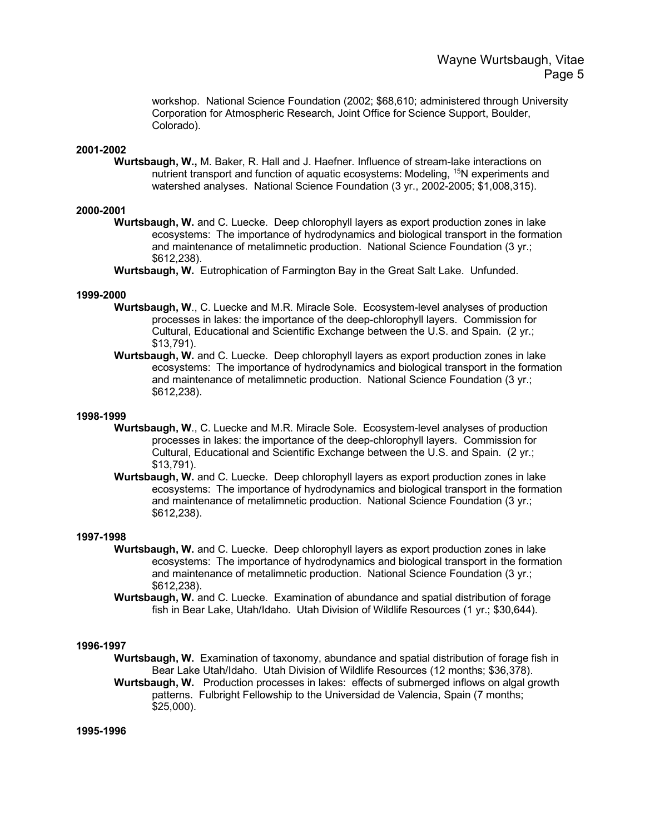workshop. National Science Foundation (2002; \$68,610; administered through University Corporation for Atmospheric Research, Joint Office for Science Support, Boulder, Colorado).

### **2001-2002**

**Wurtsbaugh, W.,** M. Baker, R. Hall and J. Haefner. Influence of stream-lake interactions on nutrient transport and function of aquatic ecosystems: Modeling, <sup>15</sup>N experiments and watershed analyses. National Science Foundation (3 yr., 2002-2005; \$1,008,315).

### **2000-2001**

**Wurtsbaugh, W.** and C. Luecke. Deep chlorophyll layers as export production zones in lake ecosystems: The importance of hydrodynamics and biological transport in the formation and maintenance of metalimnetic production. National Science Foundation (3 yr.; \$612,238).

**Wurtsbaugh, W.** Eutrophication of Farmington Bay in the Great Salt Lake. Unfunded.

#### **1999-2000**

- **Wurtsbaugh, W**., C. Luecke and M.R. Miracle Sole. Ecosystem-level analyses of production processes in lakes: the importance of the deep-chlorophyll layers. Commission for Cultural, Educational and Scientific Exchange between the U.S. and Spain. (2 yr.; \$13,791).
- **Wurtsbaugh, W.** and C. Luecke. Deep chlorophyll layers as export production zones in lake ecosystems: The importance of hydrodynamics and biological transport in the formation and maintenance of metalimnetic production. National Science Foundation (3 yr.; \$612,238).

#### **1998-1999**

- **Wurtsbaugh, W**., C. Luecke and M.R. Miracle Sole. Ecosystem-level analyses of production processes in lakes: the importance of the deep-chlorophyll layers. Commission for Cultural, Educational and Scientific Exchange between the U.S. and Spain. (2 yr.; \$13,791).
- **Wurtsbaugh, W.** and C. Luecke. Deep chlorophyll layers as export production zones in lake ecosystems: The importance of hydrodynamics and biological transport in the formation and maintenance of metalimnetic production. National Science Foundation (3 yr.; \$612,238).

#### **1997-1998**

- **Wurtsbaugh, W.** and C. Luecke. Deep chlorophyll layers as export production zones in lake ecosystems: The importance of hydrodynamics and biological transport in the formation and maintenance of metalimnetic production. National Science Foundation (3 yr.; \$612,238).
- **Wurtsbaugh, W.** and C. Luecke. Examination of abundance and spatial distribution of forage fish in Bear Lake, Utah/Idaho. Utah Division of Wildlife Resources (1 yr.; \$30,644).

#### **1996-1997**

- **Wurtsbaugh, W.** Examination of taxonomy, abundance and spatial distribution of forage fish in Bear Lake Utah/Idaho. Utah Division of Wildlife Resources (12 months; \$36,378).
- **Wurtsbaugh, W.** Production processes in lakes: effects of submerged inflows on algal growth patterns. Fulbright Fellowship to the Universidad de Valencia, Spain (7 months; \$25,000).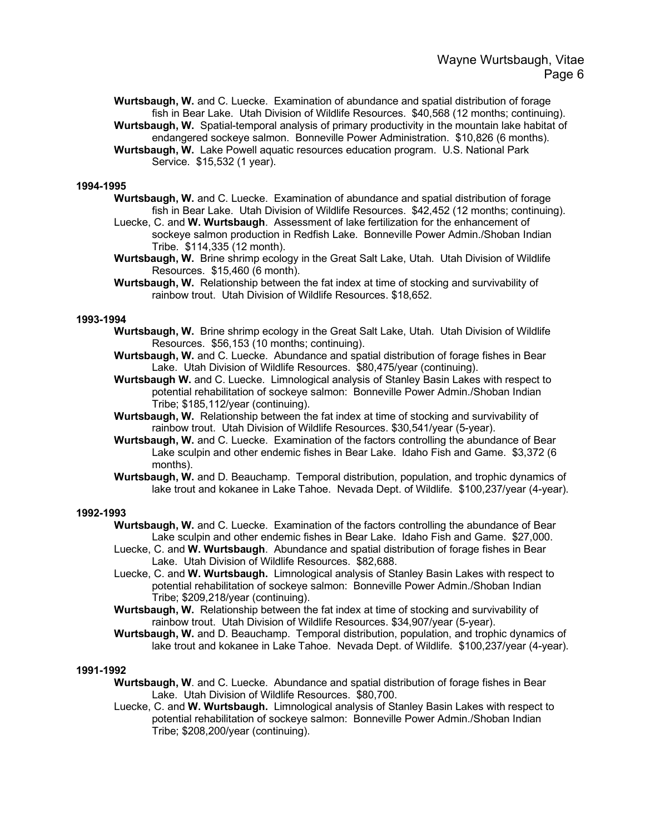**Wurtsbaugh, W.** and C. Luecke. Examination of abundance and spatial distribution of forage fish in Bear Lake. Utah Division of Wildlife Resources. \$40,568 (12 months; continuing). **Wurtsbaugh, W.** Spatial-temporal analysis of primary productivity in the mountain lake habitat of

endangered sockeye salmon. Bonneville Power Administration. \$10,826 (6 months).

**Wurtsbaugh, W.** Lake Powell aquatic resources education program. U.S. National Park Service. \$15,532 (1 year).

#### **1994-1995**

- **Wurtsbaugh, W.** and C. Luecke. Examination of abundance and spatial distribution of forage fish in Bear Lake. Utah Division of Wildlife Resources. \$42,452 (12 months; continuing).
- Luecke, C. and **W. Wurtsbaugh**. Assessment of lake fertilization for the enhancement of sockeye salmon production in Redfish Lake. Bonneville Power Admin./Shoban Indian Tribe. \$114,335 (12 month).
- **Wurtsbaugh, W.** Brine shrimp ecology in the Great Salt Lake, Utah. Utah Division of Wildlife Resources. \$15,460 (6 month).
- **Wurtsbaugh, W.** Relationship between the fat index at time of stocking and survivability of rainbow trout. Utah Division of Wildlife Resources. \$18,652.

#### **1993-1994**

- **Wurtsbaugh, W.** Brine shrimp ecology in the Great Salt Lake, Utah. Utah Division of Wildlife Resources. \$56,153 (10 months; continuing).
- **Wurtsbaugh, W.** and C. Luecke. Abundance and spatial distribution of forage fishes in Bear Lake. Utah Division of Wildlife Resources. \$80,475/year (continuing).
- **Wurtsbaugh W.** and C. Luecke. Limnological analysis of Stanley Basin Lakes with respect to potential rehabilitation of sockeye salmon: Bonneville Power Admin./Shoban Indian Tribe; \$185,112/year (continuing).
- **Wurtsbaugh, W.** Relationship between the fat index at time of stocking and survivability of rainbow trout. Utah Division of Wildlife Resources. \$30,541/year (5-year).
- **Wurtsbaugh, W.** and C. Luecke. Examination of the factors controlling the abundance of Bear Lake sculpin and other endemic fishes in Bear Lake. Idaho Fish and Game. \$3,372 (6 months).
- **Wurtsbaugh, W.** and D. Beauchamp. Temporal distribution, population, and trophic dynamics of lake trout and kokanee in Lake Tahoe. Nevada Dept. of Wildlife. \$100,237/year (4-year).

#### **1992-1993**

- **Wurtsbaugh, W.** and C. Luecke. Examination of the factors controlling the abundance of Bear Lake sculpin and other endemic fishes in Bear Lake. Idaho Fish and Game. \$27,000.
- Luecke, C. and **W. Wurtsbaugh**. Abundance and spatial distribution of forage fishes in Bear Lake. Utah Division of Wildlife Resources. \$82,688.
- Luecke, C. and **W. Wurtsbaugh.** Limnological analysis of Stanley Basin Lakes with respect to potential rehabilitation of sockeye salmon: Bonneville Power Admin./Shoban Indian Tribe; \$209,218/year (continuing).
- **Wurtsbaugh, W.** Relationship between the fat index at time of stocking and survivability of rainbow trout. Utah Division of Wildlife Resources. \$34,907/year (5-year).
- **Wurtsbaugh, W.** and D. Beauchamp. Temporal distribution, population, and trophic dynamics of lake trout and kokanee in Lake Tahoe. Nevada Dept. of Wildlife. \$100,237/year (4-year).

- **Wurtsbaugh, W**. and C. Luecke. Abundance and spatial distribution of forage fishes in Bear Lake. Utah Division of Wildlife Resources. \$80,700.
- Luecke, C. and **W. Wurtsbaugh.** Limnological analysis of Stanley Basin Lakes with respect to potential rehabilitation of sockeye salmon: Bonneville Power Admin./Shoban Indian Tribe; \$208,200/year (continuing).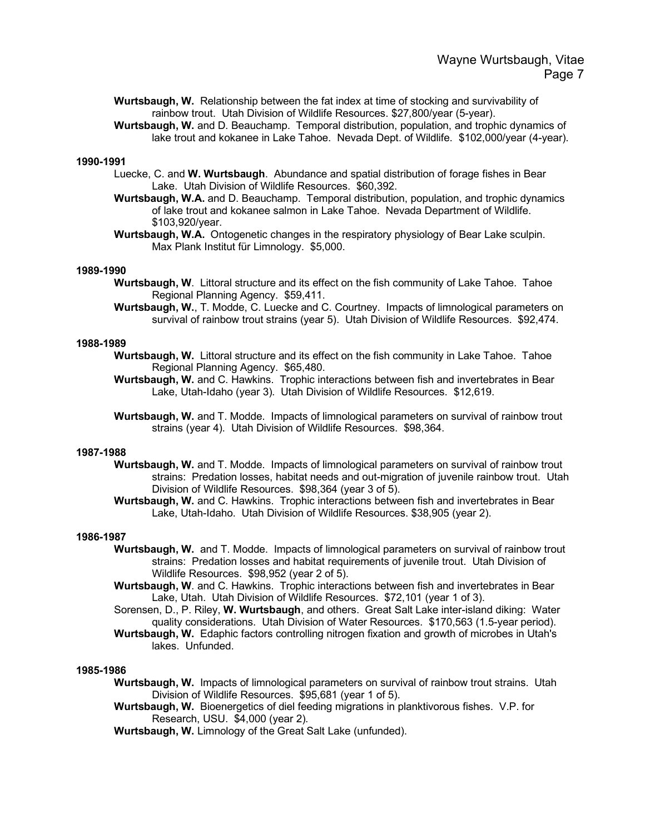**Wurtsbaugh, W.** Relationship between the fat index at time of stocking and survivability of rainbow trout. Utah Division of Wildlife Resources. \$27,800/year (5-year).

**Wurtsbaugh, W.** and D. Beauchamp. Temporal distribution, population, and trophic dynamics of lake trout and kokanee in Lake Tahoe. Nevada Dept. of Wildlife. \$102,000/year (4-year).

### **1990-1991**

- Luecke, C. and **W. Wurtsbaugh**. Abundance and spatial distribution of forage fishes in Bear Lake. Utah Division of Wildlife Resources. \$60,392.
- **Wurtsbaugh, W.A.** and D. Beauchamp. Temporal distribution, population, and trophic dynamics of lake trout and kokanee salmon in Lake Tahoe. Nevada Department of Wildlife. \$103,920/year.
- **Wurtsbaugh, W.A.** Ontogenetic changes in the respiratory physiology of Bear Lake sculpin. Max Plank Institut für Limnology. \$5,000.

#### **1989-1990**

- **Wurtsbaugh, W**. Littoral structure and its effect on the fish community of Lake Tahoe. Tahoe Regional Planning Agency. \$59,411.
- **Wurtsbaugh, W.**, T. Modde, C. Luecke and C. Courtney. Impacts of limnological parameters on survival of rainbow trout strains (year 5). Utah Division of Wildlife Resources. \$92,474.

#### **1988-1989**

- **Wurtsbaugh, W.** Littoral structure and its effect on the fish community in Lake Tahoe. Tahoe Regional Planning Agency. \$65,480.
- **Wurtsbaugh, W.** and C. Hawkins.Trophic interactions between fish and invertebrates in Bear Lake, Utah-Idaho (year 3). Utah Division of Wildlife Resources. \$12,619.
- **Wurtsbaugh, W.** and T. Modde. Impacts of limnological parameters on survival of rainbow trout strains (year 4). Utah Division of Wildlife Resources. \$98,364.

#### **1987-1988**

- **Wurtsbaugh, W.** and T. Modde. Impacts of limnological parameters on survival of rainbow trout strains: Predation losses, habitat needs and out-migration of juvenile rainbow trout. Utah Division of Wildlife Resources. \$98,364 (year 3 of 5).
	- **Wurtsbaugh, W.** and C. Hawkins. Trophic interactions between fish and invertebrates in Bear Lake, Utah-Idaho. Utah Division of Wildlife Resources. \$38,905 (year 2).

#### **1986-1987**

- **Wurtsbaugh, W.** and T. Modde. Impacts of limnological parameters on survival of rainbow trout strains: Predation losses and habitat requirements of juvenile trout. Utah Division of Wildlife Resources. \$98,952 (year 2 of 5).
- **Wurtsbaugh, W**. and C. Hawkins. Trophic interactions between fish and invertebrates in Bear Lake, Utah. Utah Division of Wildlife Resources. \$72,101 (year 1 of 3).
- Sorensen, D., P. Riley, **W. Wurtsbaugh**, and others. Great Salt Lake inter-island diking: Water quality considerations. Utah Division of Water Resources. \$170,563 (1.5-year period).
- **Wurtsbaugh, W.** Edaphic factors controlling nitrogen fixation and growth of microbes in Utah's lakes. Unfunded.

- **Wurtsbaugh, W.** Impacts of limnological parameters on survival of rainbow trout strains. Utah Division of Wildlife Resources. \$95,681 (year 1 of 5).
- **Wurtsbaugh, W.** Bioenergetics of diel feeding migrations in planktivorous fishes. V.P. for Research, USU. \$4,000 (year 2).
- **Wurtsbaugh, W.** Limnology of the Great Salt Lake (unfunded).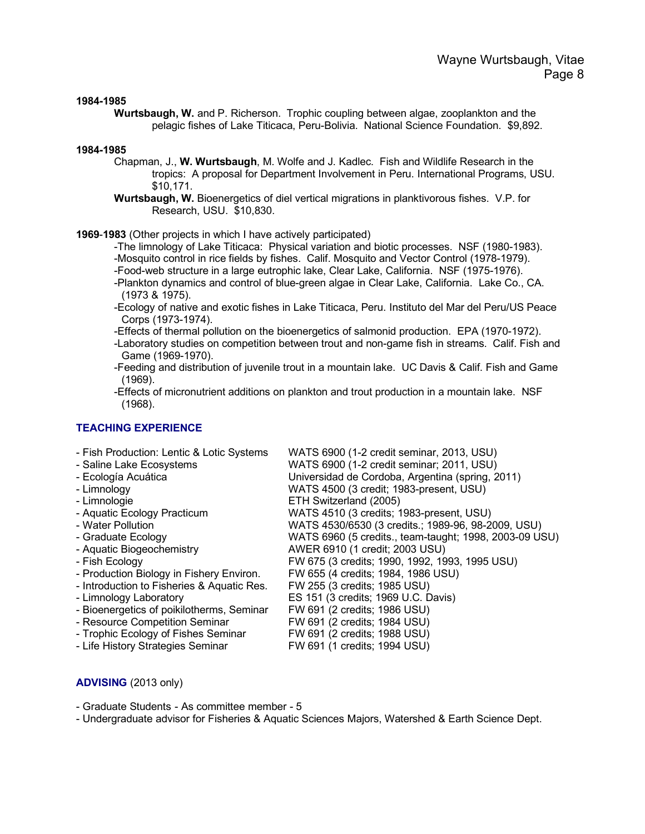#### **1984-1985**

**Wurtsbaugh, W.** and P. Richerson. Trophic coupling between algae, zooplankton and the pelagic fishes of Lake Titicaca, Peru-Bolivia. National Science Foundation. \$9,892.

#### **1984-1985**

- Chapman, J., **W. Wurtsbaugh**, M. Wolfe and J. Kadlec. Fish and Wildlife Research in the tropics: A proposal for Department Involvement in Peru. International Programs, USU. \$10,171.
- **Wurtsbaugh, W.** Bioenergetics of diel vertical migrations in planktivorous fishes. V.P. for Research, USU. \$10,830.

**1969**-**1983** (Other projects in which I have actively participated)

-The limnology of Lake Titicaca: Physical variation and biotic processes. NSF (1980-1983). -Mosquito control in rice fields by fishes. Calif. Mosquito and Vector Control (1978-1979).

- -Food-web structure in a large eutrophic lake, Clear Lake, California. NSF (1975-1976).
- -Plankton dynamics and control of blue-green algae in Clear Lake, California. Lake Co., CA. (1973 & 1975).
- -Ecology of native and exotic fishes in Lake Titicaca, Peru. Instituto del Mar del Peru/US Peace Corps (1973-1974).
- -Effects of thermal pollution on the bioenergetics of salmonid production. EPA (1970-1972).
- -Laboratory studies on competition between trout and non-game fish in streams. Calif. Fish and Game (1969-1970).
- -Feeding and distribution of juvenile trout in a mountain lake. UC Davis & Calif. Fish and Game (1969).

ETH Switzerland (2005)

-Effects of micronutrient additions on plankton and trout production in a mountain lake. NSF (1968).

### **TEACHING EXPERIENCE**

- Fish Production: Lentic & Lotic Systems WATS 6900 (1-2 credit seminar, 2013, USU)
- Saline Lake Ecosystems WATS 6900 (1-2 credit seminar; 2011, USU)
- Ecología Acuática Universidad de Cordoba, Argentina (spring, 2011)
- Limnology WATS 4500 (3 credit; 1983-present, USU)
- 
- Aquatic Ecology Practicum WATS 4510 (3 credits; 1983-present, USU)
- Water Pollution WATS 4530/6530 (3 credits.; 1989-96, 98-2009, USU)
- Graduate Ecology WATS 6960 (5 credits., team-taught; 1998, 2003-09 USU)
- Aquatic Biogeochemistry **AWER 6910 (1 credit**; 2003 USU)
- 
- Fish Ecology FW 675 (3 credits; 1990, 1992, 1993, 1995 USU)<br>- Production Biology in Fishery Environ. FW 655 (4 credits; 1984, 1986 USU) - Production Biology in Fishery Environ.
- Introduction to Fisheries & Aquatic Res. FW 255 (3 credits; 1985 USU)
- Limnology Laboratory ES 151 (3 credits; 1969 U.C. Davis)
- 
- Resource Competition Seminar FW 691 (2 credits; 1984 USU)<br>- Trophic Ecology of Fishes Seminar FW 691 (2 credits; 1988 USU)
- Trophic Ecology of Fishes Seminar
- Bioenergetics of poikilotherms, Seminar FW 691 (2 credits; 1986 USU)<br>- Resource Competition Seminar FW 691 (2 credits: 1984 USU)
	-
- Life History Strategies Seminar FW 691 (1 credits; 1994 USU)
- **ADVISING** (2013 only)
- Graduate Students As committee member 5
- Undergraduate advisor for Fisheries & Aquatic Sciences Majors, Watershed & Earth Science Dept.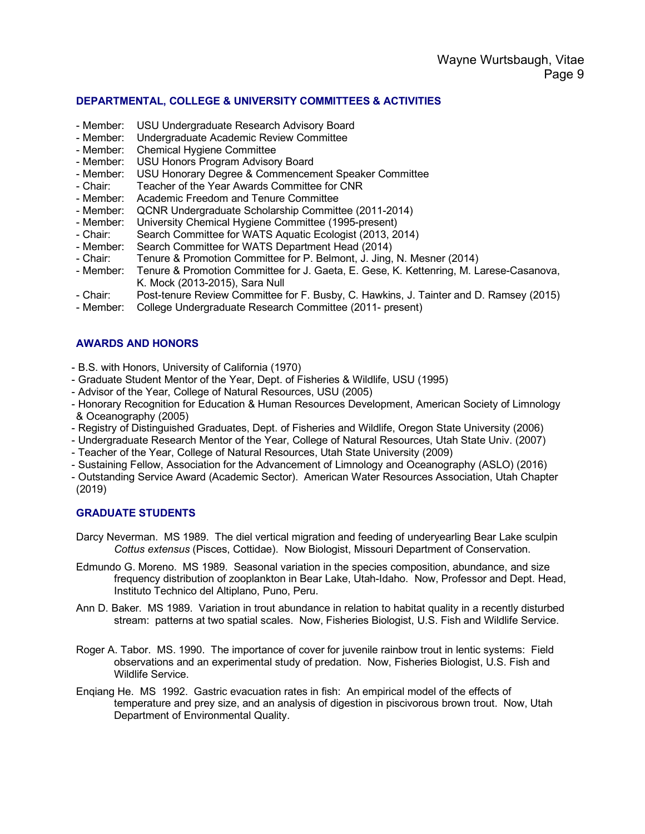### **DEPARTMENTAL, COLLEGE & UNIVERSITY COMMITTEES & ACTIVITIES**

- Member: USU Undergraduate Research Advisory Board
- Member: Undergraduate Academic Review Committee
- Member: Chemical Hygiene Committee
- Member: USU Honors Program Advisory Board<br>- Member: USU Honorary Degree & Commencem
- USU Honorary Degree & Commencement Speaker Committee
- Chair: Teacher of the Year Awards Committee for CNR
- Member: Academic Freedom and Tenure Committee
- Member: QCNR Undergraduate Scholarship Committee (2011-2014)
- Member: University Chemical Hygiene Committee (1995-present)
- Chair: Search Committee for WATS Aquatic Ecologist (2013, 2014)
- Member: Search Committee for WATS Department Head (2014)
- Chair: Tenure & Promotion Committee for P. Belmont, J. Jing, N. Mesner (2014)<br>- Member: Tenure & Promotion Committee for J. Gaeta, E. Gese, K. Kettenring, M. L.
- Tenure & Promotion Committee for J. Gaeta, E. Gese, K. Kettenring, M. Larese-Casanova, K. Mock (2013-2015), Sara Null
- Chair: Post-tenure Review Committee for F. Busby, C. Hawkins, J. Tainter and D. Ramsey (2015)
- Member: College Undergraduate Research Committee (2011- present)

### **AWARDS AND HONORS**

- B.S. with Honors, University of California (1970)
- Graduate Student Mentor of the Year, Dept. of Fisheries & Wildlife, USU (1995)
- Advisor of the Year, College of Natural Resources, USU (2005)
- Honorary Recognition for Education & Human Resources Development, American Society of Limnology & Oceanography (2005)
- Registry of Distinguished Graduates, Dept. of Fisheries and Wildlife, Oregon State University (2006)
- Undergraduate Research Mentor of the Year, College of Natural Resources, Utah State Univ. (2007)
- Teacher of the Year, College of Natural Resources, Utah State University (2009)
- Sustaining Fellow, Association for the Advancement of Limnology and Oceanography (ASLO) (2016)
- Outstanding Service Award (Academic Sector). American Water Resources Association, Utah Chapter (2019)

### **GRADUATE STUDENTS**

- Darcy Neverman. MS 1989. The diel vertical migration and feeding of underyearling Bear Lake sculpin *Cottus extensus* (Pisces, Cottidae). Now Biologist, Missouri Department of Conservation.
- Edmundo G. Moreno. MS 1989. Seasonal variation in the species composition, abundance, and size frequency distribution of zooplankton in Bear Lake, Utah-Idaho. Now, Professor and Dept. Head, Instituto Technico del Altiplano, Puno, Peru.
- Ann D. Baker. MS 1989. Variation in trout abundance in relation to habitat quality in a recently disturbed stream: patterns at two spatial scales. Now, Fisheries Biologist, U.S. Fish and Wildlife Service.
- Roger A. Tabor. MS. 1990. The importance of cover for juvenile rainbow trout in lentic systems: Field observations and an experimental study of predation. Now, Fisheries Biologist, U.S. Fish and Wildlife Service.
- Enqiang He. MS 1992. Gastric evacuation rates in fish: An empirical model of the effects of temperature and prey size, and an analysis of digestion in piscivorous brown trout. Now, Utah Department of Environmental Quality.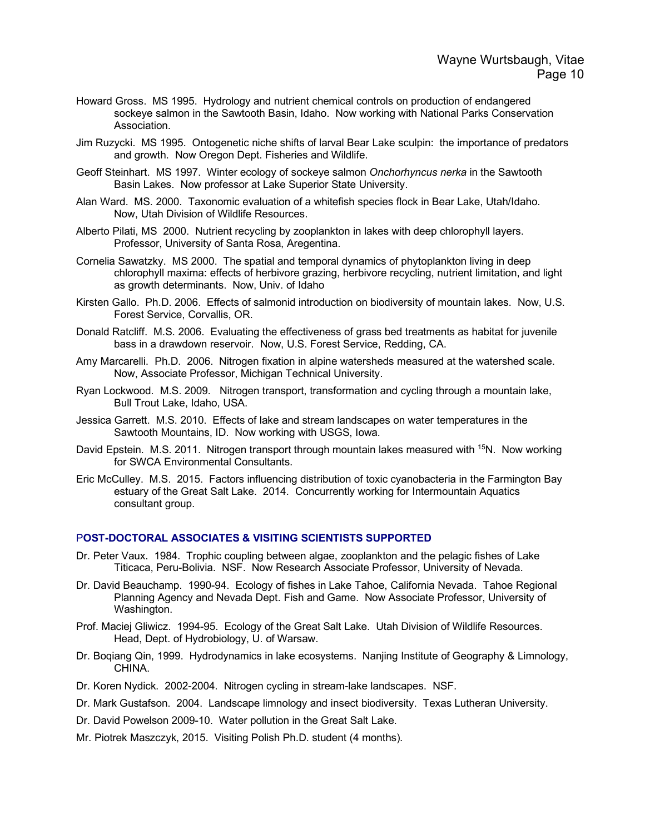- Howard Gross. MS 1995. Hydrology and nutrient chemical controls on production of endangered sockeye salmon in the Sawtooth Basin, Idaho. Now working with National Parks Conservation Association.
- Jim Ruzycki. MS 1995. Ontogenetic niche shifts of larval Bear Lake sculpin: the importance of predators and growth. Now Oregon Dept. Fisheries and Wildlife.
- Geoff Steinhart. MS 1997. Winter ecology of sockeye salmon *Onchorhyncus nerka* in the Sawtooth Basin Lakes. Now professor at Lake Superior State University.
- Alan Ward. MS. 2000. Taxonomic evaluation of a whitefish species flock in Bear Lake, Utah/Idaho. Now, Utah Division of Wildlife Resources.
- Alberto Pilati, MS 2000. Nutrient recycling by zooplankton in lakes with deep chlorophyll layers. Professor, University of Santa Rosa, Aregentina.
- Cornelia Sawatzky. MS 2000. The spatial and temporal dynamics of phytoplankton living in deep chlorophyll maxima: effects of herbivore grazing, herbivore recycling, nutrient limitation, and light as growth determinants. Now, Univ. of Idaho
- Kirsten Gallo. Ph.D. 2006. Effects of salmonid introduction on biodiversity of mountain lakes. Now, U.S. Forest Service, Corvallis, OR.
- Donald Ratcliff. M.S. 2006. Evaluating the effectiveness of grass bed treatments as habitat for juvenile bass in a drawdown reservoir. Now, U.S. Forest Service, Redding, CA.
- Amy Marcarelli. Ph.D. 2006. Nitrogen fixation in alpine watersheds measured at the watershed scale. Now, Associate Professor, Michigan Technical University.
- Ryan Lockwood. M.S. 2009. Nitrogen transport, transformation and cycling through a mountain lake, Bull Trout Lake, Idaho, USA.
- Jessica Garrett. M.S. 2010. Effects of lake and stream landscapes on water temperatures in the Sawtooth Mountains, ID. Now working with USGS, Iowa.
- David Epstein. M.S. 2011. Nitrogen transport through mountain lakes measured with <sup>15</sup>N. Now working for SWCA Environmental Consultants.
- Eric McCulley. M.S. 2015. Factors influencing distribution of toxic cyanobacteria in the Farmington Bay estuary of the Great Salt Lake. 2014. Concurrently working for Intermountain Aquatics consultant group.

### P**OST-DOCTORAL ASSOCIATES & VISITING SCIENTISTS SUPPORTED**

- Dr. Peter Vaux. 1984. Trophic coupling between algae, zooplankton and the pelagic fishes of Lake Titicaca, Peru-Bolivia. NSF. Now Research Associate Professor, University of Nevada.
- Dr. David Beauchamp. 1990-94. Ecology of fishes in Lake Tahoe, California Nevada. Tahoe Regional Planning Agency and Nevada Dept. Fish and Game. Now Associate Professor, University of Washington.
- Prof. Maciej Gliwicz. 1994-95. Ecology of the Great Salt Lake. Utah Division of Wildlife Resources. Head, Dept. of Hydrobiology, U. of Warsaw.
- Dr. Boqiang Qin, 1999. Hydrodynamics in lake ecosystems. Nanjing Institute of Geography & Limnology, CHINA.
- Dr. Koren Nydick. 2002-2004. Nitrogen cycling in stream-lake landscapes. NSF.
- Dr. Mark Gustafson. 2004. Landscape limnology and insect biodiversity. Texas Lutheran University.
- Dr. David Powelson 2009-10. Water pollution in the Great Salt Lake.
- Mr. Piotrek Maszczyk, 2015. Visiting Polish Ph.D. student (4 months).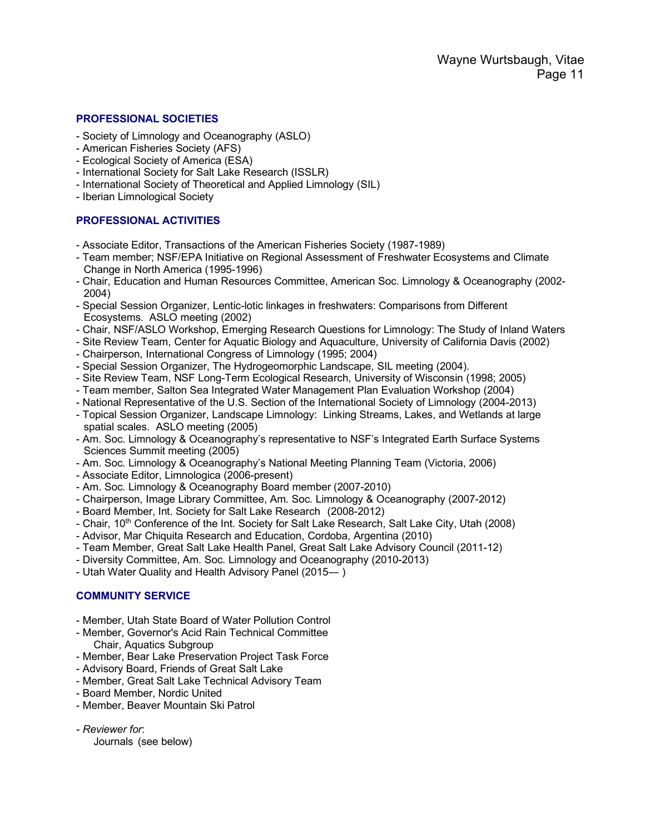### **PROFESSIONAL SOCIETIES**

- Society of Limnology and Oceanography (ASLO)
- American Fisheries Society (AFS)
- Ecological Society of America (ESA)
- International Society for Salt Lake Research (ISSLR)
- International Society of Theoretical and Applied Limnology (SIL)
- Iberian Limnological Society

### **PROFESSIONAL ACTIVITIES**

- Associate Editor, Transactions of the American Fisheries Society (1987-1989)
- Team member; NSF/EPA Initiative on Regional Assessment of Freshwater Ecosystems and Climate Change in North America (1995-1996)
- Chair, Education and Human Resources Committee, American Soc. Limnology & Oceanography (2002- 2004)
- Special Session Organizer, Lentic-lotic linkages in freshwaters: Comparisons from Different Ecosystems. ASLO meeting (2002)
- Chair, NSF/ASLO Workshop, Emerging Research Questions for Limnology: The Study of Inland Waters
- Site Review Team, Center for Aquatic Biology and Aquaculture, University of California Davis (2002)
- Chairperson, International Congress of Limnology (1995; 2004)
- Special Session Organizer, The Hydrogeomorphic Landscape, SIL meeting (2004).
- Site Review Team, NSF Long-Term Ecological Research, University of Wisconsin (1998; 2005)
- Team member, Salton Sea Integrated Water Management Plan Evaluation Workshop (2004)
- National Representative of the U.S. Section of the International Society of Limnology (2004-2013)
- Topical Session Organizer, Landscape Limnology: Linking Streams, Lakes, and Wetlands at large spatial scales. ASLO meeting (2005)
- Am. Soc. Limnology & Oceanography's representative to NSF's Integrated Earth Surface Systems Sciences Summit meeting (2005)
- Am. Soc. Limnology & Oceanography's National Meeting Planning Team (Victoria, 2006)
- Associate Editor, Limnologica (2006-present)
- Am. Soc. Limnology & Oceanography Board member (2007-2010)
- Chairperson, Image Library Committee, Am. Soc. Limnology & Oceanography (2007-2012)
- Board Member, Int. Society for Salt Lake Research (2008-2012)
- Chair, 10th Conference of the Int. Society for Salt Lake Research, Salt Lake City, Utah (2008)
- Advisor, Mar Chiquita Research and Education, Cordoba, Argentina (2010)
- Team Member, Great Salt Lake Health Panel, Great Salt Lake Advisory Council (2011-12)
- Diversity Committee, Am. Soc. Limnology and Oceanography (2010-2013)
- Utah Water Quality and Health Advisory Panel (2015― )

### **COMMUNITY SERVICE**

- Member, Utah State Board of Water Pollution Control
- Member, Governor's Acid Rain Technical Committee Chair, Aquatics Subgroup
- Member, Bear Lake Preservation Project Task Force
- Advisory Board, Friends of Great Salt Lake
- Member, Great Salt Lake Technical Advisory Team
- Board Member, Nordic United
- Member, Beaver Mountain Ski Patrol
- *- Reviewer for*:
	- Journals (see below)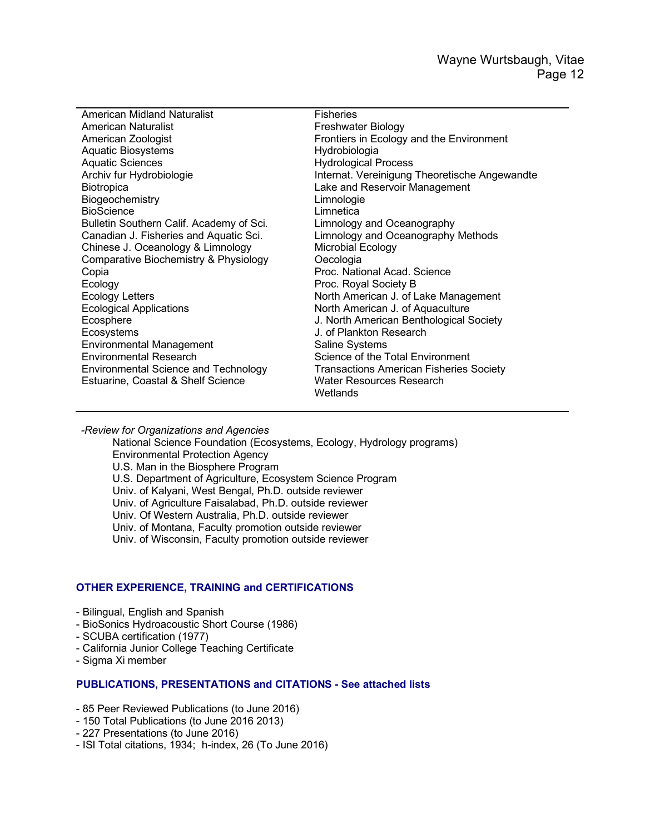| <b>American Midland Naturalist</b>            |
|-----------------------------------------------|
| American Naturalist                           |
| American Zoologist                            |
| <b>Aquatic Biosystems</b>                     |
| <b>Aquatic Sciences</b>                       |
| Archiv fur Hydrobiologie                      |
| <b>Biotropica</b>                             |
| Biogeochemistry                               |
| <b>BioScience</b>                             |
| Bulletin Southern Calif. Academy of Sci.      |
| Canadian J. Fisheries and Aquatic Sci.        |
| Chinese J. Oceanology & Limnology             |
| Comparative Biochemistry & Physiology         |
| Copia                                         |
| Ecology                                       |
| <b>Ecology Letters</b>                        |
| <b>Ecological Applications</b>                |
| Ecosphere                                     |
| Ecosystems                                    |
| Environmental Management                      |
| <b>Environmental Research</b>                 |
| <b>Environmental Science and Technology</b>   |
| <b>Estuarine, Coastal &amp; Shelf Science</b> |
|                                               |

Fisheries Freshwater Biology Frontiers in Ecology and the Environment Hydrobiologia Hydrological Process Internat. Vereinigung Theoretische Angewandte Lake and Reservoir Management **Limnologie** Limnetica Limnology and Oceanography Limnology and Oceanography Methods Microbial Ecology Oecologia Proc. National Acad. Science Proc. Royal Society B North American J. of Lake Management North American J. of Aquaculture J. North American Benthological Society J. of Plankton Research Saline Systems Science of the Total Environment Transactions American Fisheries Society Water Resources Research **Wetlands** 

*-Review for Organizations and Agencies*

National Science Foundation (Ecosystems, Ecology, Hydrology programs) Environmental Protection Agency U.S. Man in the Biosphere Program U.S. Department of Agriculture, Ecosystem Science Program Univ. of Kalyani, West Bengal, Ph.D. outside reviewer Univ. of Agriculture Faisalabad, Ph.D. outside reviewer Univ. Of Western Australia, Ph.D. outside reviewer Univ. of Montana, Faculty promotion outside reviewer Univ. of Wisconsin, Faculty promotion outside reviewer

### **OTHER EXPERIENCE, TRAINING and CERTIFICATIONS**

- Bilingual, English and Spanish
- BioSonics Hydroacoustic Short Course (1986)
- SCUBA certification (1977)
- California Junior College Teaching Certificate
- Sigma Xi member

### **PUBLICATIONS, PRESENTATIONS and CITATIONS - See attached lists**

- 85 Peer Reviewed Publications (to June 2016)
- 150 Total Publications (to June 2016 2013)
- 227 Presentations (to June 2016)
- ISI Total citations, 1934; h-index, 26 (To June 2016)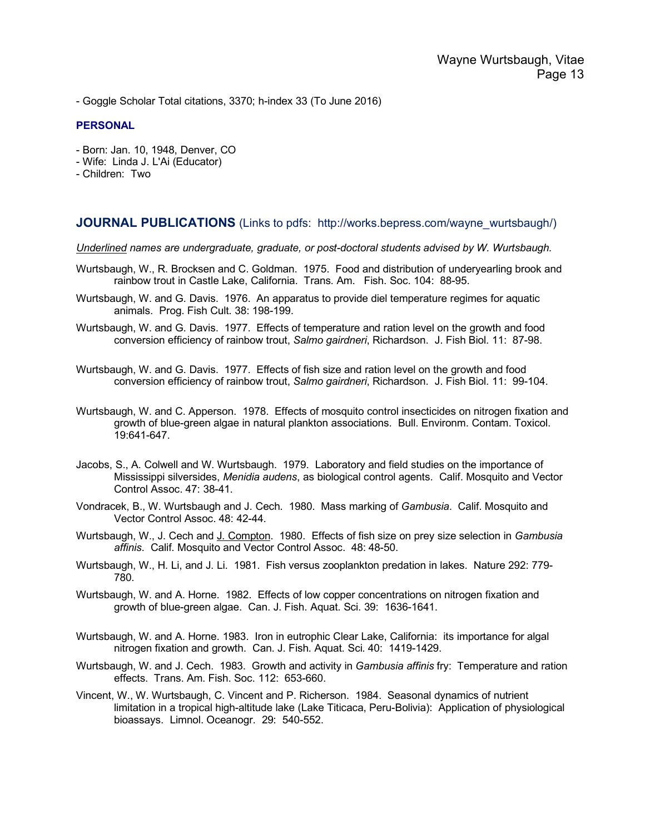- Goggle Scholar Total citations, 3370; h-index 33 (To June 2016)

#### **PERSONAL**

- Born: Jan. 10, 1948, Denver, CO
- Wife: Linda J. L'Ai (Educator)
- Children: Two

### **JOURNAL PUBLICATIONS** (Links to pdfs: http://works.bepress.com/wayne\_wurtsbaugh/)

*Underlined names are undergraduate, graduate, or post-doctoral students advised by W. Wurtsbaugh.*

- Wurtsbaugh, W., R. Brocksen and C. Goldman. 1975. Food and distribution of underyearling brook and rainbow trout in Castle Lake, California. Trans. Am. Fish. Soc. 104: 88-95.
- Wurtsbaugh, W. and G. Davis. 1976. An apparatus to provide diel temperature regimes for aquatic animals. Prog. Fish Cult. 38: 198-199.
- Wurtsbaugh, W. and G. Davis. 1977. Effects of temperature and ration level on the growth and food conversion efficiency of rainbow trout, *Salmo gairdneri*, Richardson. J. Fish Biol. 11: 87-98.
- Wurtsbaugh, W. and G. Davis. 1977. Effects of fish size and ration level on the growth and food conversion efficiency of rainbow trout, *Salmo gairdneri*, Richardson. J. Fish Biol. 11: 99-104.
- Wurtsbaugh, W. and C. Apperson. 1978. Effects of mosquito control insecticides on nitrogen fixation and growth of blue-green algae in natural plankton associations. Bull. Environm. Contam. Toxicol. 19:641-647.
- Jacobs, S., A. Colwell and W. Wurtsbaugh. 1979. Laboratory and field studies on the importance of Mississippi silversides, *Menidia audens*, as biological control agents. Calif. Mosquito and Vector Control Assoc. 47: 38-41.
- Vondracek, B., W. Wurtsbaugh and J. Cech. 1980. Mass marking of *Gambusia*. Calif. Mosquito and Vector Control Assoc. 48: 42-44.
- Wurtsbaugh, W., J. Cech and J. Compton. 1980. Effects of fish size on prey size selection in *Gambusia affinis*. Calif. Mosquito and Vector Control Assoc. 48: 48-50.
- Wurtsbaugh, W., H. Li, and J. Li. 1981. Fish versus zooplankton predation in lakes. Nature 292: 779- 780.
- Wurtsbaugh, W. and A. Horne. 1982. Effects of low copper concentrations on nitrogen fixation and growth of blue-green algae. Can. J. Fish. Aquat. Sci. 39: 1636-1641.
- Wurtsbaugh, W. and A. Horne. 1983. Iron in eutrophic Clear Lake, California: its importance for algal nitrogen fixation and growth. Can. J. Fish. Aquat. Sci. 40: 1419-1429.
- Wurtsbaugh, W. and J. Cech. 1983. Growth and activity in *Gambusia affinis* fry: Temperature and ration effects. Trans. Am. Fish. Soc. 112: 653-660.
- Vincent, W., W. Wurtsbaugh, C. Vincent and P. Richerson. 1984. Seasonal dynamics of nutrient limitation in a tropical high-altitude lake (Lake Titicaca, Peru-Bolivia): Application of physiological bioassays. Limnol. Oceanogr. 29: 540-552.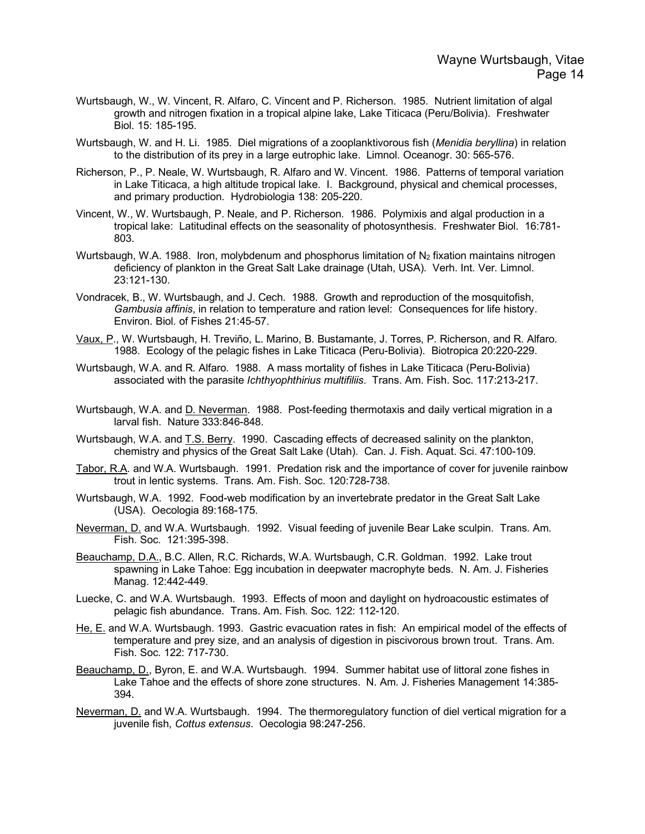- Wurtsbaugh, W., W. Vincent, R. Alfaro, C. Vincent and P. Richerson. 1985. Nutrient limitation of algal growth and nitrogen fixation in a tropical alpine lake, Lake Titicaca (Peru/Bolivia). Freshwater Biol. 15: 185-195.
- Wurtsbaugh, W. and H. Li. 1985. Diel migrations of a zooplanktivorous fish (*Menidia beryllina*) in relation to the distribution of its prey in a large eutrophic lake. Limnol. Oceanogr. 30: 565-576.
- Richerson, P., P. Neale, W. Wurtsbaugh, R. Alfaro and W. Vincent. 1986. Patterns of temporal variation in Lake Titicaca, a high altitude tropical lake. I. Background, physical and chemical processes, and primary production. Hydrobiologia 138: 205-220.
- Vincent, W., W. Wurtsbaugh, P. Neale, and P. Richerson. 1986. Polymixis and algal production in a tropical lake: Latitudinal effects on the seasonality of photosynthesis. Freshwater Biol. 16:781- 803.
- Wurtsbaugh, W.A. 1988. Iron, molybdenum and phosphorus limitation of  $N<sub>2</sub>$  fixation maintains nitrogen deficiency of plankton in the Great Salt Lake drainage (Utah, USA). Verh. Int. Ver. Limnol. 23:121-130.
- Vondracek, B., W. Wurtsbaugh, and J. Cech. 1988. Growth and reproduction of the mosquitofish, *Gambusia affinis*, in relation to temperature and ration level: Consequences for life history. Environ. Biol. of Fishes 21:45-57.
- Vaux, P., W. Wurtsbaugh, H. Treviño, L. Marino, B. Bustamante, J. Torres, P. Richerson, and R. Alfaro. 1988. Ecology of the pelagic fishes in Lake Titicaca (Peru-Bolivia). Biotropica 20:220-229.
- Wurtsbaugh, W.A. and R. Alfaro. 1988. A mass mortality of fishes in Lake Titicaca (Peru-Bolivia) associated with the parasite *Ichthyophthirius multifiliis*. Trans. Am. Fish. Soc. 117:213-217.
- Wurtsbaugh, W.A. and D. Neverman. 1988. Post-feeding thermotaxis and daily vertical migration in a larval fish. Nature 333:846-848.
- Wurtsbaugh, W.A. and T.S. Berry. 1990. Cascading effects of decreased salinity on the plankton, chemistry and physics of the Great Salt Lake (Utah). Can. J. Fish. Aquat. Sci. 47:100-109.
- Tabor, R.A. and W.A. Wurtsbaugh. 1991. Predation risk and the importance of cover for juvenile rainbow trout in lentic systems. Trans. Am. Fish. Soc. 120:728-738.
- Wurtsbaugh, W.A. 1992. Food-web modification by an invertebrate predator in the Great Salt Lake (USA). Oecologia 89:168-175.
- Neverman, D. and W.A. Wurtsbaugh. 1992. Visual feeding of juvenile Bear Lake sculpin. Trans. Am. Fish. Soc. 121:395-398.
- Beauchamp, D.A., B.C. Allen, R.C. Richards, W.A. Wurtsbaugh, C.R. Goldman. 1992. Lake trout spawning in Lake Tahoe: Egg incubation in deepwater macrophyte beds. N. Am. J. Fisheries Manag. 12:442-449.
- Luecke, C. and W.A. Wurtsbaugh. 1993. Effects of moon and daylight on hydroacoustic estimates of pelagic fish abundance. Trans. Am. Fish. Soc. 122: 112-120.
- He, E. and W.A. Wurtsbaugh. 1993. Gastric evacuation rates in fish: An empirical model of the effects of temperature and prey size, and an analysis of digestion in piscivorous brown trout. Trans. Am. Fish. Soc. 122: 717-730.
- Beauchamp, D., Byron, E. and W.A. Wurtsbaugh. 1994. Summer habitat use of littoral zone fishes in Lake Tahoe and the effects of shore zone structures. N. Am. J. Fisheries Management 14:385- 394.
- Neverman, D. and W.A. Wurtsbaugh. 1994. The thermoregulatory function of diel vertical migration for a juvenile fish, *Cottus extensus*. Oecologia 98:247-256.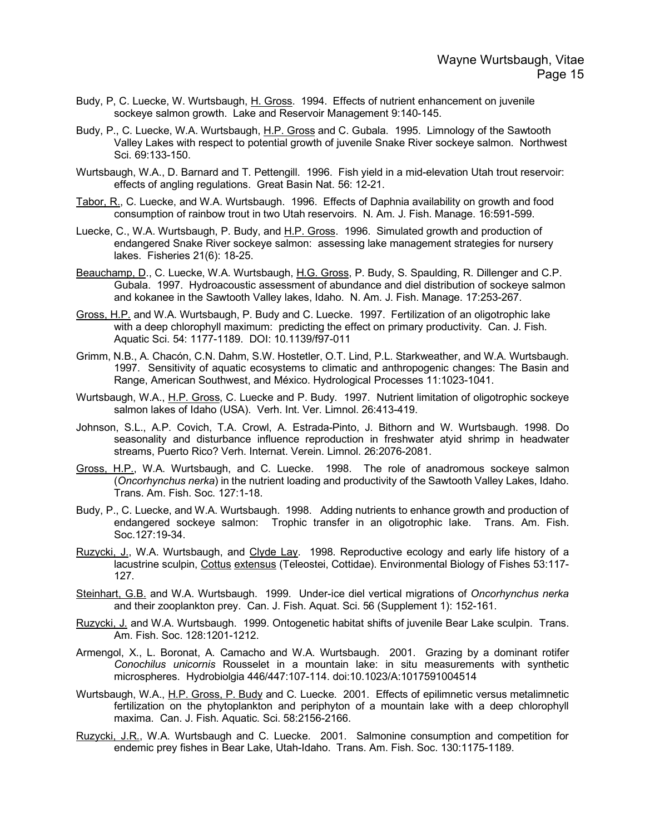- Budy, P, C. Luecke, W. Wurtsbaugh, H. Gross. 1994. Effects of nutrient enhancement on juvenile sockeye salmon growth. Lake and Reservoir Management 9:140-145.
- Budy, P., C. Luecke, W.A. Wurtsbaugh, H.P. Gross and C. Gubala. 1995. Limnology of the Sawtooth Valley Lakes with respect to potential growth of juvenile Snake River sockeye salmon. Northwest Sci. 69:133-150.
- Wurtsbaugh, W.A., D. Barnard and T. Pettengill. 1996. Fish yield in a mid-elevation Utah trout reservoir: effects of angling regulations. Great Basin Nat. 56: 12-21.
- Tabor, R., C. Luecke, and W.A. Wurtsbaugh. 1996. Effects of Daphnia availability on growth and food consumption of rainbow trout in two Utah reservoirs. N. Am. J. Fish. Manage. 16:591-599.
- Luecke, C., W.A. Wurtsbaugh, P. Budy, and H.P. Gross. 1996. Simulated growth and production of endangered Snake River sockeye salmon: assessing lake management strategies for nursery lakes. Fisheries 21(6): 18-25.
- Beauchamp, D., C. Luecke, W.A. Wurtsbaugh, H.G. Gross, P. Budy, S. Spaulding, R. Dillenger and C.P. Gubala. 1997. Hydroacoustic assessment of abundance and diel distribution of sockeye salmon and kokanee in the Sawtooth Valley lakes, Idaho. N. Am. J. Fish. Manage. 17:253-267.
- Gross, H.P. and W.A. Wurtsbaugh, P. Budy and C. Luecke. 1997. Fertilization of an oligotrophic lake with a deep chlorophyll maximum: predicting the effect on primary productivity. Can. J. Fish. Aquatic Sci. 54: 1177-1189. DOI: 10.1139/f97-011
- Grimm, N.B., A. Chacón, C.N. Dahm, S.W. Hostetler, O.T. Lind, P.L. Starkweather, and W.A. Wurtsbaugh. 1997. Sensitivity of aquatic ecosystems to climatic and anthropogenic changes: The Basin and Range, American Southwest, and México. Hydrological Processes 11:1023-1041.
- Wurtsbaugh, W.A., H.P. Gross, C. Luecke and P. Budy. 1997. Nutrient limitation of oligotrophic sockeye salmon lakes of Idaho (USA). Verh. Int. Ver. Limnol. 26:413-419.
- Johnson, S.L., A.P. Covich, T.A. Crowl, A. Estrada-Pinto, J. Bithorn and W. Wurtsbaugh. 1998. Do seasonality and disturbance influence reproduction in freshwater atyid shrimp in headwater streams, Puerto Rico? Verh. Internat. Verein. Limnol. 26:2076-2081.
- Gross, H.P., W.A. Wurtsbaugh, and C. Luecke. 1998. The role of anadromous sockeye salmon (*Oncorhynchus nerka*) in the nutrient loading and productivity of the Sawtooth Valley Lakes, Idaho. Trans. Am. Fish. Soc. 127:1-18.
- Budy, P., C. Luecke, and W.A. Wurtsbaugh. 1998. Adding nutrients to enhance growth and production of endangered sockeye salmon: Trophic transfer in an oligotrophic lake. Trans. Am. Fish. Soc.127:19-34.
- Ruzycki, J., W.A. Wurtsbaugh, and Clyde Lay. 1998. Reproductive ecology and early life history of a lacustrine sculpin, Cottus extensus (Teleostei, Cottidae). Environmental Biology of Fishes 53:117-127.
- Steinhart, G.B. and W.A. Wurtsbaugh. 1999. Under-ice diel vertical migrations of *Oncorhynchus nerka* and their zooplankton prey. Can. J. Fish. Aquat. Sci. 56 (Supplement 1): 152-161.
- Ruzycki, J. and W.A. Wurtsbaugh. 1999. Ontogenetic habitat shifts of juvenile Bear Lake sculpin. Trans. Am. Fish. Soc. 128:1201-1212.
- Armengol, X., L. Boronat, A. Camacho and W.A. Wurtsbaugh. 2001. Grazing by a dominant rotifer *Conochilus unicornis* Rousselet in a mountain lake: in situ measurements with synthetic microspheres. Hydrobiolgia 446/447:107-114. doi:10.1023/A:1017591004514
- Wurtsbaugh, W.A., H.P. Gross, P. Budy and C. Luecke. 2001. Effects of epilimnetic versus metalimnetic fertilization on the phytoplankton and periphyton of a mountain lake with a deep chlorophyll maxima. Can. J. Fish. Aquatic. Sci. 58:2156-2166.
- Ruzycki, J.R., W.A. Wurtsbaugh and C. Luecke. 2001. Salmonine consumption and competition for endemic prey fishes in Bear Lake, Utah-Idaho. Trans. Am. Fish. Soc. 130:1175-1189.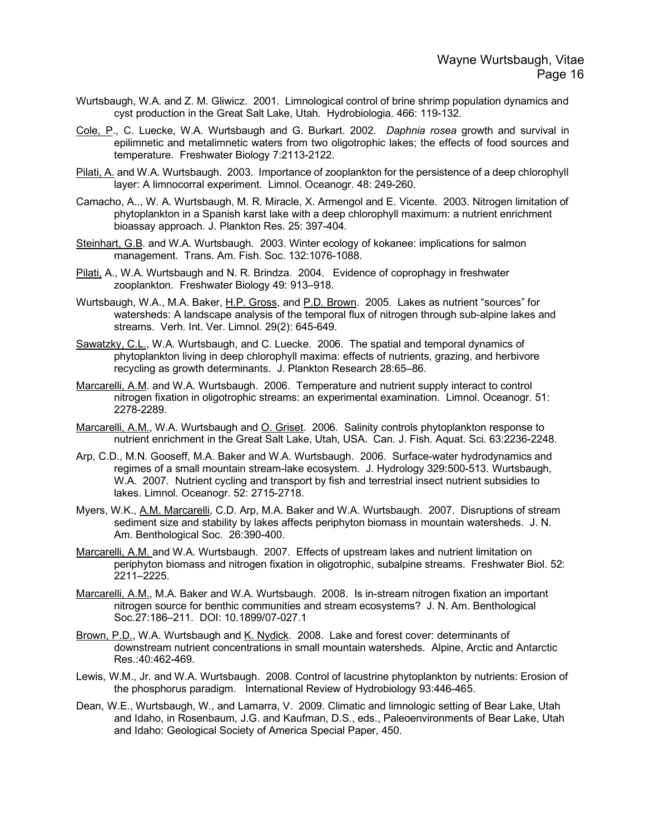- Wurtsbaugh, W.A. and Z. M. Gliwicz. 2001. Limnological control of brine shrimp population dynamics and cyst production in the Great Salt Lake, Utah. Hydrobiologia. 466: 119-132.
- Cole, P., C. Luecke, W.A. Wurtsbaugh and G. Burkart. 2002. *Daphnia rosea* growth and survival in epilimnetic and metalimnetic waters from two oligotrophic lakes; the effects of food sources and temperature. Freshwater Biology 7:2113-2122.
- Pilati, A. and W.A. Wurtsbaugh. 2003. Importance of zooplankton for the persistence of a deep chlorophyll layer: A limnocorral experiment. Limnol. Oceanogr. 48: 249-260.
- Camacho, A.., W. A. Wurtsbaugh, M. R. Miracle, X. Armengol and E. Vicente. 2003. Nitrogen limitation of phytoplankton in a Spanish karst lake with a deep chlorophyll maximum: a nutrient enrichment bioassay approach. J. Plankton Res. 25: 397-404.
- Steinhart, G.B. and W.A. Wurtsbaugh. 2003. Winter ecology of kokanee: implications for salmon management. Trans. Am. Fish. Soc. 132:1076-1088.
- Pilati, A., W.A. Wurtsbaugh and N. R. Brindza. 2004. Evidence of coprophagy in freshwater zooplankton. Freshwater Biology 49: 913–918.
- Wurtsbaugh, W.A., M.A. Baker, H.P. Gross, and P.D. Brown. 2005. Lakes as nutrient "sources" for watersheds: A landscape analysis of the temporal flux of nitrogen through sub-alpine lakes and streams. Verh. Int. Ver. Limnol. 29(2): 645-649.
- Sawatzky, C.L., W.A. Wurtsbaugh, and C. Luecke. 2006. The spatial and temporal dynamics of phytoplankton living in deep chlorophyll maxima: effects of nutrients, grazing, and herbivore recycling as growth determinants. J. Plankton Research 28:65–86.
- Marcarelli, A.M. and W.A. Wurtsbaugh. 2006. Temperature and nutrient supply interact to control nitrogen fixation in oligotrophic streams: an experimental examination. Limnol. Oceanogr. 51: 2278-2289.
- Marcarelli, A.M., W.A. Wurtsbaugh and O. Griset. 2006. Salinity controls phytoplankton response to nutrient enrichment in the Great Salt Lake, Utah, USA. Can. J. Fish. Aquat. Sci. 63:2236-2248.
- Arp, C.D., M.N. Gooseff, M.A. Baker and W.A. Wurtsbaugh. 2006. Surface-water hydrodynamics and regimes of a small mountain stream-lake ecosystem. J. Hydrology 329:500-513. Wurtsbaugh, W.A. 2007. Nutrient cycling and transport by fish and terrestrial insect nutrient subsidies to lakes. Limnol. Oceanogr. 52: 2715-2718.
- Myers, W.K., A.M. Marcarelli, C.D. Arp, M.A. Baker and W.A. Wurtsbaugh. 2007. Disruptions of stream sediment size and stability by lakes affects periphyton biomass in mountain watersheds. J. N. Am. Benthological Soc. 26:390-400.
- Marcarelli, A.M. and W.A. Wurtsbaugh. 2007. Effects of upstream lakes and nutrient limitation on periphyton biomass and nitrogen fixation in oligotrophic, subalpine streams. Freshwater Biol. 52: 2211–2225.
- Marcarelli, A.M., M.A. Baker and W.A. Wurtsbaugh. 2008. Is in-stream nitrogen fixation an important nitrogen source for benthic communities and stream ecosystems? J. N. Am. Benthological Soc.27:186–211. DOI: 10.1899/07-027.1
- Brown, P.D., W.A. Wurtsbaugh and K. Nydick. 2008. Lake and forest cover: determinants of downstream nutrient concentrations in small mountain watersheds. Alpine, Arctic and Antarctic Res.:40:462-469.
- Lewis, W.M., Jr. and W.A. Wurtsbaugh. 2008. Control of lacustrine phytoplankton by nutrients: Erosion of the phosphorus paradigm. International Review of Hydrobiology 93:446-465.
- Dean, W.E., Wurtsbaugh, W., and Lamarra, V. 2009. Climatic and limnologic setting of Bear Lake, Utah and Idaho, in Rosenbaum, J.G. and Kaufman, D.S., eds., Paleoenvironments of Bear Lake, Utah and Idaho: Geological Society of America Special Paper, 450.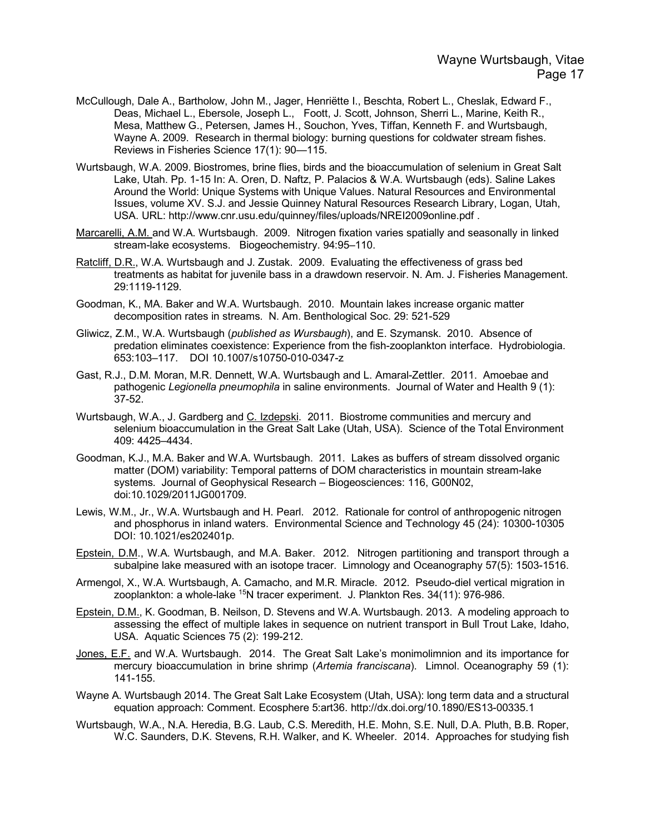- McCullough, Dale A., Bartholow, John M., Jager, Henriëtte I., Beschta, Robert L., Cheslak, Edward F., Deas, Michael L., Ebersole, Joseph L., Foott, J. Scott, Johnson, Sherri L., Marine, Keith R., Mesa, Matthew G., Petersen, James H., Souchon, Yves, Tiffan, Kenneth F. and Wurtsbaugh, Wayne A. 2009. Research in thermal biology: burning questions for coldwater stream fishes. Reviews in Fisheries Science 17(1): 90—115.
- Wurtsbaugh, W.A. 2009. Biostromes, brine flies, birds and the bioaccumulation of selenium in Great Salt Lake, Utah. Pp. 1-15 In: A. Oren, D. Naftz, P. Palacios & W.A. Wurtsbaugh (eds). Saline Lakes Around the World: Unique Systems with Unique Values. Natural Resources and Environmental Issues, volume XV. S.J. and Jessie Quinney Natural Resources Research Library, Logan, Utah, USA. URL: http://www.cnr.usu.edu/quinney/files/uploads/NREI2009online.pdf .
- Marcarelli, A.M. and W.A. Wurtsbaugh. 2009. Nitrogen fixation varies spatially and seasonally in linked stream-lake ecosystems. Biogeochemistry. 94:95–110.
- Ratcliff, D.R., W.A. Wurtsbaugh and J. Zustak. 2009. Evaluating the effectiveness of grass bed treatments as habitat for juvenile bass in a drawdown reservoir. N. Am. J. Fisheries Management. 29:1119-1129.
- Goodman, K., MA. Baker and W.A. Wurtsbaugh. 2010. Mountain lakes increase organic matter decomposition rates in streams. N. Am. Benthological Soc. 29: 521-529
- Gliwicz, Z.M., W.A. Wurtsbaugh (*published as Wursbaugh*), and E. Szymansk. 2010. Absence of predation eliminates coexistence: Experience from the fish-zooplankton interface. Hydrobiologia. 653:103–117. DOI 10.1007/s10750-010-0347-z
- Gast, R.J., D.M. Moran, M.R. Dennett, W.A. Wurtsbaugh and L. Amaral-Zettler. 2011. Amoebae and pathogenic *Legionella pneumophila* in saline environments. Journal of Water and Health 9 (1): 37-52.
- Wurtsbaugh, W.A., J. Gardberg and C. Izdepski. 2011. Biostrome communities and mercury and selenium bioaccumulation in the Great Salt Lake (Utah, USA). Science of the Total Environment 409: 4425–4434.
- Goodman, K.J., M.A. Baker and W.A. Wurtsbaugh. 2011. Lakes as buffers of stream dissolved organic matter (DOM) variability: Temporal patterns of DOM characteristics in mountain stream-lake systems. Journal of Geophysical Research – Biogeosciences: 116, G00N02, doi:10.1029/2011JG001709.
- Lewis, W.M., Jr., W.A. Wurtsbaugh and H. Pearl. 2012. Rationale for control of anthropogenic nitrogen and phosphorus in inland waters. Environmental Science and Technology 45 (24): 10300-10305 DOI: 10.1021/es202401p.
- Epstein, D.M., W.A. Wurtsbaugh, and M.A. Baker. 2012. Nitrogen partitioning and transport through a subalpine lake measured with an isotope tracer. Limnology and Oceanography 57(5): 1503-1516.
- Armengol, X., W.A. Wurtsbaugh, A. Camacho, and M.R. Miracle. 2012. Pseudo-diel vertical migration in zooplankton: a whole-lake 15N tracer experiment. J. Plankton Res. 34(11): 976-986.
- Epstein, D.M., K. Goodman, B. Neilson, D. Stevens and W.A. Wurtsbaugh. 2013. A modeling approach to assessing the effect of multiple lakes in sequence on nutrient transport in Bull Trout Lake, Idaho, USA. Aquatic Sciences 75 (2): 199-212.
- Jones, E.F. and W.A. Wurtsbaugh. 2014. The Great Salt Lake's monimolimnion and its importance for mercury bioaccumulation in brine shrimp (*Artemia franciscana*). Limnol. Oceanography 59 (1): 141-155.
- Wayne A. Wurtsbaugh 2014. The Great Salt Lake Ecosystem (Utah, USA): long term data and a structural equation approach: Comment. Ecosphere 5:art36. http://dx.doi.org/10.1890/ES13-00335.1
- Wurtsbaugh, W.A., N.A. Heredia, B.G. Laub, C.S. Meredith, H.E. Mohn, S.E. Null, D.A. Pluth, B.B. Roper, W.C. Saunders, D.K. Stevens, R.H. Walker, and K. Wheeler. 2014. Approaches for studying fish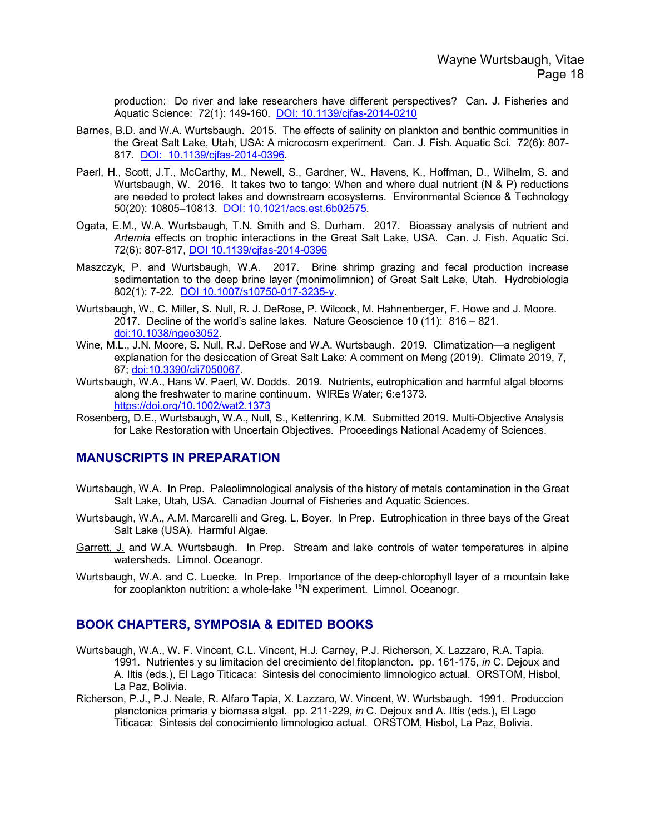production: Do river and lake researchers have different perspectives? Can. J. Fisheries and Aquatic Science: 72(1): 149-160. DOI: 10.1139/cjfas-2014-0210

- Barnes, B.D. and W.A. Wurtsbaugh. 2015. The effects of salinity on plankton and benthic communities in the Great Salt Lake, Utah, USA: A microcosm experiment. Can. J. Fish. Aquatic Sci. 72(6): 807- 817. DOI: 10.1139/cjfas-2014-0396.
- Paerl, H., Scott, J.T., McCarthy, M., Newell, S., Gardner, W., Havens, K., Hoffman, D., Wilhelm, S. and Wurtsbaugh, W. 2016. It takes two to tango: When and where dual nutrient (N & P) reductions are needed to protect lakes and downstream ecosystems. Environmental Science & Technology 50(20): 10805–10813. DOI: 10.1021/acs.est.6b02575.
- Ogata, E.M., W.A. Wurtsbaugh, T.N. Smith and S. Durham. 2017. Bioassay analysis of nutrient and *Artemia* effects on trophic interactions in the Great Salt Lake, USA. Can. J. Fish. Aquatic Sci. 72(6): 807-817, DOI 10.1139/cjfas-2014-0396
- Maszczyk, P. and Wurtsbaugh, W.A. 2017. Brine shrimp grazing and fecal production increase sedimentation to the deep brine layer (monimolimnion) of Great Salt Lake, Utah. Hydrobiologia 802(1): 7-22. DOI 10.1007/s10750-017-3235-y.
- Wurtsbaugh, W., C. Miller, S. Null, R. J. DeRose, P. Wilcock, M. Hahnenberger, F. Howe and J. Moore. 2017. Decline of the world's saline lakes. Nature Geoscience 10 (11): 816 – 821. doi:10.1038/ngeo3052.
- Wine, M.L., J.N. Moore, S. Null, R.J. DeRose and W.A. Wurtsbaugh. 2019. Climatization—a negligent explanation for the desiccation of Great Salt Lake: A comment on Meng (2019). Climate 2019, 7, 67; doi:10.3390/cli7050067.
- Wurtsbaugh, W.A., Hans W. Paerl, W. Dodds. 2019. Nutrients, eutrophication and harmful algal blooms along the freshwater to marine continuum. WIREs Water; 6:e1373. https://doi.org/10.1002/wat2.1373
- Rosenberg, D.E., Wurtsbaugh, W.A., Null, S., Kettenring, K.M. Submitted 2019. Multi-Objective Analysis for Lake Restoration with Uncertain Objectives. Proceedings National Academy of Sciences.

### **MANUSCRIPTS IN PREPARATION**

- Wurtsbaugh, W.A. In Prep. Paleolimnological analysis of the history of metals contamination in the Great Salt Lake, Utah, USA. Canadian Journal of Fisheries and Aquatic Sciences.
- Wurtsbaugh, W.A., A.M. Marcarelli and Greg. L. Boyer. In Prep. Eutrophication in three bays of the Great Salt Lake (USA). Harmful Algae.
- Garrett, J. and W.A. Wurtsbaugh. In Prep. Stream and lake controls of water temperatures in alpine watersheds. Limnol. Oceanogr.
- Wurtsbaugh, W.A. and C. Luecke. In Prep. Importance of the deep-chlorophyll layer of a mountain lake for zooplankton nutrition: a whole-lake <sup>15</sup>N experiment. Limnol. Oceanogr.

### **BOOK CHAPTERS, SYMPOSIA & EDITED BOOKS**

- Wurtsbaugh, W.A., W. F. Vincent, C.L. Vincent, H.J. Carney, P.J. Richerson, X. Lazzaro, R.A. Tapia. 1991. Nutrientes y su limitacion del crecimiento del fitoplancton. pp. 161-175, *in* C. Dejoux and A. Iltis (eds.), El Lago Titicaca: Sintesis del conocimiento limnologico actual. ORSTOM, Hisbol, La Paz, Bolivia.
- Richerson, P.J., P.J. Neale, R. Alfaro Tapia, X. Lazzaro, W. Vincent, W. Wurtsbaugh. 1991. Produccion planctonica primaria y biomasa algal. pp. 211-229, *in* C. Dejoux and A. Iltis (eds.), El Lago Titicaca: Sintesis del conocimiento limnologico actual. ORSTOM, Hisbol, La Paz, Bolivia.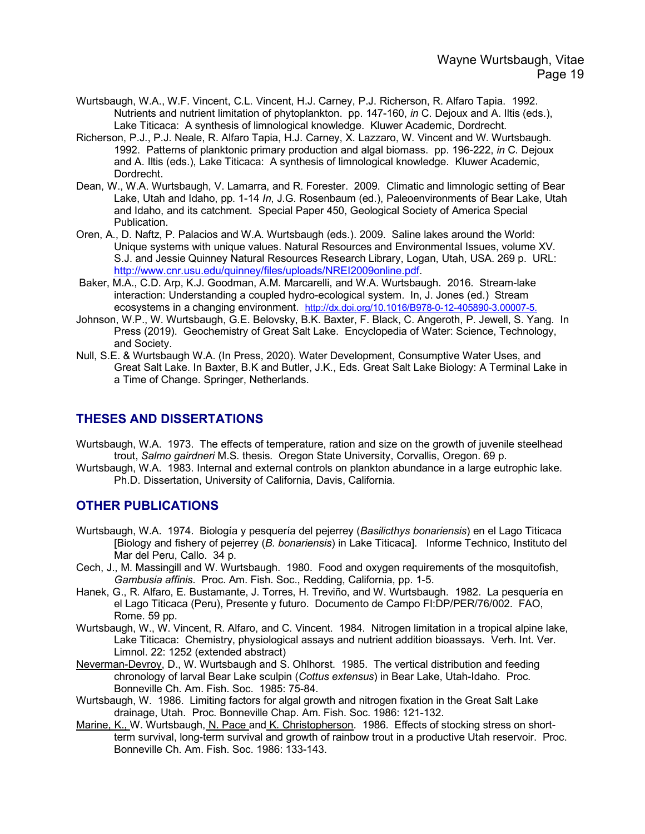- Wurtsbaugh, W.A., W.F. Vincent, C.L. Vincent, H.J. Carney, P.J. Richerson, R. Alfaro Tapia. 1992. Nutrients and nutrient limitation of phytoplankton. pp. 147-160, *in* C. Dejoux and A. Iltis (eds.), Lake Titicaca: A synthesis of limnological knowledge. Kluwer Academic, Dordrecht.
- Richerson, P.J., P.J. Neale, R. Alfaro Tapia, H.J. Carney, X. Lazzaro, W. Vincent and W. Wurtsbaugh. 1992. Patterns of planktonic primary production and algal biomass. pp. 196-222, *in* C. Dejoux and A. Iltis (eds.), Lake Titicaca: A synthesis of limnological knowledge. Kluwer Academic, Dordrecht.
- Dean, W., W.A. Wurtsbaugh, V. Lamarra, and R. Forester. 2009. Climatic and limnologic setting of Bear Lake, Utah and Idaho, pp. 1-14 *In*, J.G. Rosenbaum (ed.), Paleoenvironments of Bear Lake, Utah and Idaho, and its catchment. Special Paper 450, Geological Society of America Special Publication.
- Oren, A., D. Naftz, P. Palacios and W.A. Wurtsbaugh (eds.). 2009. Saline lakes around the World: Unique systems with unique values. Natural Resources and Environmental Issues, volume XV. S.J. and Jessie Quinney Natural Resources Research Library, Logan, Utah, USA. 269 p. URL: http://www.cnr.usu.edu/quinney/files/uploads/NREI2009online.pdf.
- Baker, M.A., C.D. Arp, K.J. Goodman, A.M. Marcarelli, and W.A. Wurtsbaugh. 2016. Stream-lake interaction: Understanding a coupled hydro-ecological system. In, J. Jones (ed.) Stream ecosystems in a changing environment. http://dx.doi.org/10.1016/B978-0-12-405890-3.00007-5.
- Johnson, W.P., W. Wurtsbaugh, G.E. Belovsky, B.K. Baxter, F. Black, C. Angeroth, P. Jewell, S. Yang. In Press (2019). Geochemistry of Great Salt Lake. Encyclopedia of Water: Science, Technology, and Society.
- Null, S.E. & Wurtsbaugh W.A. (In Press, 2020). Water Development, Consumptive Water Uses, and Great Salt Lake. In Baxter, B.K and Butler, J.K., Eds. Great Salt Lake Biology: A Terminal Lake in a Time of Change. Springer, Netherlands.

# **THESES AND DISSERTATIONS**

- Wurtsbaugh, W.A. 1973. The effects of temperature, ration and size on the growth of juvenile steelhead trout, *Salmo gairdneri* M.S. thesis. Oregon State University, Corvallis, Oregon. 69 p.
- Wurtsbaugh, W.A. 1983. Internal and external controls on plankton abundance in a large eutrophic lake. Ph.D. Dissertation, University of California, Davis, California.

# **OTHER PUBLICATIONS**

- Wurtsbaugh, W.A. 1974. Biología y pesquería del pejerrey (*Basilicthys bonariensis*) en el Lago Titicaca [Biology and fishery of pejerrey (*B. bonariensis*) in Lake Titicaca]. Informe Technico, Instituto del Mar del Peru, Callo. 34 p.
- Cech, J., M. Massingill and W. Wurtsbaugh. 1980. Food and oxygen requirements of the mosquitofish, *Gambusia affinis*. Proc. Am. Fish. Soc., Redding, California, pp. 1-5.
- Hanek, G., R. Alfaro, E. Bustamante, J. Torres, H. Treviño, and W. Wurtsbaugh. 1982. La pesquería en el Lago Titicaca (Peru), Presente y futuro. Documento de Campo FI:DP/PER/76/002. FAO, Rome. 59 pp.
- Wurtsbaugh, W., W. Vincent, R. Alfaro, and C. Vincent. 1984. Nitrogen limitation in a tropical alpine lake, Lake Titicaca: Chemistry, physiological assays and nutrient addition bioassays. Verh. Int. Ver. Limnol. 22: 1252 (extended abstract)
- Neverman-Devroy, D., W. Wurtsbaugh and S. Ohlhorst. 1985. The vertical distribution and feeding chronology of larval Bear Lake sculpin (*Cottus extensus*) in Bear Lake, Utah-Idaho. Proc. Bonneville Ch. Am. Fish. Soc. 1985: 75-84.
- Wurtsbaugh, W. 1986. Limiting factors for algal growth and nitrogen fixation in the Great Salt Lake drainage, Utah. Proc. Bonneville Chap. Am. Fish. Soc. 1986: 121-132.
- Marine, K., W. Wurtsbaugh, N. Pace and K. Christopherson. 1986. Effects of stocking stress on shortterm survival, long-term survival and growth of rainbow trout in a productive Utah reservoir. Proc. Bonneville Ch. Am. Fish. Soc. 1986: 133-143.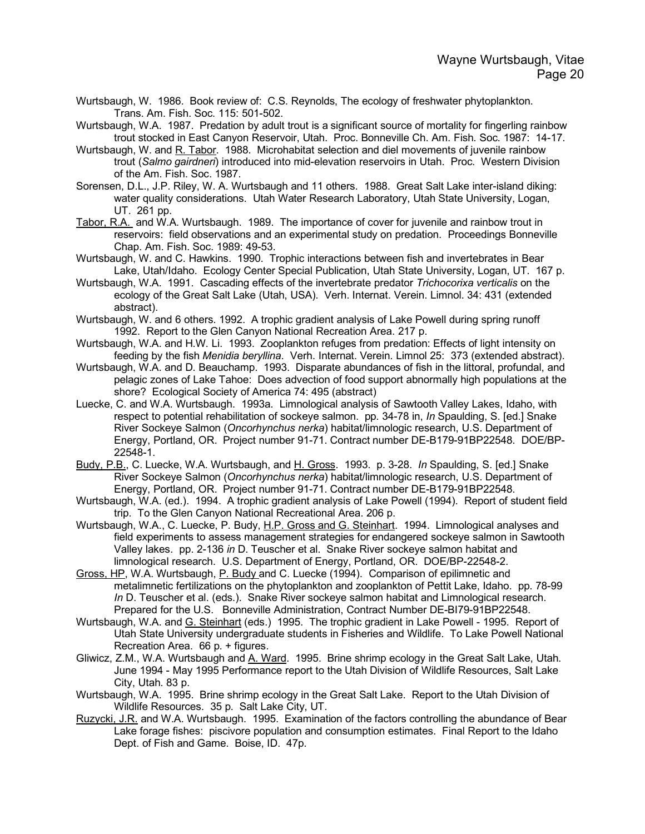Wurtsbaugh, W. 1986. Book review of: C.S. Reynolds, The ecology of freshwater phytoplankton. Trans. Am. Fish. Soc. 115: 501-502.

Wurtsbaugh, W.A. 1987. Predation by adult trout is a significant source of mortality for fingerling rainbow trout stocked in East Canyon Reservoir, Utah. Proc. Bonneville Ch. Am. Fish. Soc. 1987: 14-17.

- Wurtsbaugh, W. and R. Tabor. 1988. Microhabitat selection and diel movements of juvenile rainbow trout (*Salmo gairdneri*) introduced into mid-elevation reservoirs in Utah. Proc. Western Division of the Am. Fish. Soc. 1987.
- Sorensen, D.L., J.P. Riley, W. A. Wurtsbaugh and 11 others. 1988. Great Salt Lake inter-island diking: water quality considerations. Utah Water Research Laboratory, Utah State University, Logan, UT. 261 pp.
- Tabor, R.A. and W.A. Wurtsbaugh. 1989. The importance of cover for juvenile and rainbow trout in reservoirs: field observations and an experimental study on predation. Proceedings Bonneville Chap. Am. Fish. Soc. 1989: 49-53.
- Wurtsbaugh, W. and C. Hawkins. 1990. Trophic interactions between fish and invertebrates in Bear Lake, Utah/Idaho. Ecology Center Special Publication, Utah State University, Logan, UT. 167 p.
- Wurtsbaugh, W.A. 1991. Cascading effects of the invertebrate predator *Trichocorixa verticalis* on the ecology of the Great Salt Lake (Utah, USA). Verh. Internat. Verein. Limnol. 34: 431 (extended abstract).
- Wurtsbaugh, W. and 6 others. 1992. A trophic gradient analysis of Lake Powell during spring runoff 1992. Report to the Glen Canyon National Recreation Area. 217 p.
- Wurtsbaugh, W.A. and H.W. Li. 1993. Zooplankton refuges from predation: Effects of light intensity on feeding by the fish *Menidia beryllina*. Verh. Internat. Verein. Limnol 25: 373 (extended abstract).
- Wurtsbaugh, W.A. and D. Beauchamp. 1993. Disparate abundances of fish in the littoral, profundal, and pelagic zones of Lake Tahoe: Does advection of food support abnormally high populations at the shore? Ecological Society of America 74: 495 (abstract)
- Luecke, C. and W.A. Wurtsbaugh. 1993a. Limnological analysis of Sawtooth Valley Lakes, Idaho, with respect to potential rehabilitation of sockeye salmon. pp. 34-78 in, *In* Spaulding, S. [ed.] Snake River Sockeye Salmon (*Oncorhynchus nerka*) habitat/limnologic research, U.S. Department of Energy, Portland, OR. Project number 91-71. Contract number DE-B179-91BP22548. DOE/BP-22548-1.
- Budy, P.B., C. Luecke, W.A. Wurtsbaugh, and H. Gross. 1993. p. 3-28. *In* Spaulding, S. [ed.] Snake River Sockeye Salmon (*Oncorhynchus nerka*) habitat/limnologic research, U.S. Department of Energy, Portland, OR. Project number 91-71. Contract number DE-B179-91BP22548.
- Wurtsbaugh, W.A. (ed.). 1994. A trophic gradient analysis of Lake Powell (1994). Report of student field trip. To the Glen Canyon National Recreational Area. 206 p.
- Wurtsbaugh, W.A., C. Luecke, P. Budy, H.P. Gross and G. Steinhart. 1994. Limnological analyses and field experiments to assess management strategies for endangered sockeye salmon in Sawtooth Valley lakes. pp. 2-136 *in* D. Teuscher et al. Snake River sockeye salmon habitat and limnological research. U.S. Department of Energy, Portland, OR. DOE/BP-22548-2.
- Gross, HP, W.A. Wurtsbaugh, P. Budy and C. Luecke (1994). Comparison of epilimnetic and metalimnetic fertilizations on the phytoplankton and zooplankton of Pettit Lake, Idaho. pp. 78-99 *In* D. Teuscher et al. (eds.). Snake River sockeye salmon habitat and Limnological research. Prepared for the U.S. Bonneville Administration, Contract Number DE-BI79-91BP22548.
- Wurtsbaugh, W.A. and G. Steinhart (eds.) 1995. The trophic gradient in Lake Powell 1995. Report of Utah State University undergraduate students in Fisheries and Wildlife. To Lake Powell National Recreation Area. 66 p. + figures.
- Gliwicz, Z.M., W.A. Wurtsbaugh and A. Ward. 1995. Brine shrimp ecology in the Great Salt Lake, Utah. June 1994 - May 1995 Performance report to the Utah Division of Wildlife Resources, Salt Lake City, Utah. 83 p.
- Wurtsbaugh, W.A. 1995. Brine shrimp ecology in the Great Salt Lake. Report to the Utah Division of Wildlife Resources. 35 p. Salt Lake City, UT.
- Ruzycki, J.R. and W.A. Wurtsbaugh. 1995. Examination of the factors controlling the abundance of Bear Lake forage fishes: piscivore population and consumption estimates. Final Report to the Idaho Dept. of Fish and Game. Boise, ID. 47p.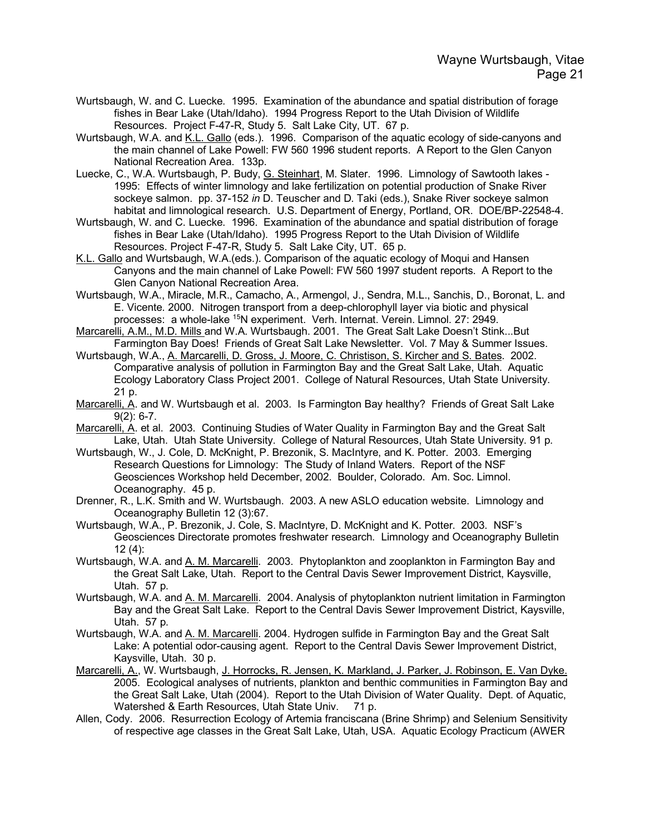- Wurtsbaugh, W. and C. Luecke. 1995. Examination of the abundance and spatial distribution of forage fishes in Bear Lake (Utah/Idaho). 1994 Progress Report to the Utah Division of Wildlife Resources. Project F-47-R, Study 5. Salt Lake City, UT. 67 p.
- Wurtsbaugh, W.A. and K.L. Gallo (eds.). 1996. Comparison of the aquatic ecology of side-canyons and the main channel of Lake Powell: FW 560 1996 student reports. A Report to the Glen Canyon National Recreation Area. 133p.
- Luecke, C., W.A. Wurtsbaugh, P. Budy, G. Steinhart, M. Slater. 1996. Limnology of Sawtooth lakes -1995: Effects of winter limnology and lake fertilization on potential production of Snake River sockeye salmon. pp. 37-152 *in* D. Teuscher and D. Taki (eds.), Snake River sockeye salmon habitat and limnological research. U.S. Department of Energy, Portland, OR. DOE/BP-22548-4.
- Wurtsbaugh, W. and C. Luecke. 1996. Examination of the abundance and spatial distribution of forage fishes in Bear Lake (Utah/Idaho). 1995 Progress Report to the Utah Division of Wildlife Resources. Project F-47-R, Study 5. Salt Lake City, UT. 65 p.
- K.L. Gallo and Wurtsbaugh, W.A.(eds.). Comparison of the aquatic ecology of Moqui and Hansen Canyons and the main channel of Lake Powell: FW 560 1997 student reports. A Report to the Glen Canyon National Recreation Area.
- Wurtsbaugh, W.A., Miracle, M.R., Camacho, A., Armengol, J., Sendra, M.L., Sanchis, D., Boronat, L. and E. Vicente. 2000. Nitrogen transport from a deep-chlorophyll layer via biotic and physical processes: a whole-lake 15N experiment. Verh. Internat. Verein. Limnol. 27: 2949.
- Marcarelli, A.M., M.D. Mills and W.A. Wurtsbaugh. 2001. The Great Salt Lake Doesn't Stink...But Farmington Bay Does! Friends of Great Salt Lake Newsletter. Vol. 7 May & Summer Issues.
- Wurtsbaugh, W.A., A. Marcarelli, D. Gross, J. Moore, C. Christison, S. Kircher and S. Bates. 2002. Comparative analysis of pollution in Farmington Bay and the Great Salt Lake, Utah. Aquatic Ecology Laboratory Class Project 2001. College of Natural Resources, Utah State University. 21 p.
- Marcarelli, A. and W. Wurtsbaugh et al. 2003. Is Farmington Bay healthy? Friends of Great Salt Lake 9(2): 6-7.
- Marcarelli, A. et al. 2003. Continuing Studies of Water Quality in Farmington Bay and the Great Salt Lake, Utah. Utah State University. College of Natural Resources, Utah State University. 91 p.
- Wurtsbaugh, W., J. Cole, D. McKnight, P. Brezonik, S. MacIntyre, and K. Potter. 2003. Emerging Research Questions for Limnology: The Study of Inland Waters. Report of the NSF Geosciences Workshop held December, 2002. Boulder, Colorado. Am. Soc. Limnol. Oceanography. 45 p.
- Drenner, R., L.K. Smith and W. Wurtsbaugh. 2003. A new ASLO education website. Limnology and Oceanography Bulletin 12 (3):67.
- Wurtsbaugh, W.A., P. Brezonik, J. Cole, S. MacIntyre, D. McKnight and K. Potter. 2003. NSF's Geosciences Directorate promotes freshwater research. Limnology and Oceanography Bulletin 12 (4):
- Wurtsbaugh, W.A. and A. M. Marcarelli. 2003. Phytoplankton and zooplankton in Farmington Bay and the Great Salt Lake, Utah. Report to the Central Davis Sewer Improvement District, Kaysville, Utah. 57 p.
- Wurtsbaugh, W.A. and A. M. Marcarelli. 2004. Analysis of phytoplankton nutrient limitation in Farmington Bay and the Great Salt Lake. Report to the Central Davis Sewer Improvement District, Kaysville, Utah. 57 p.
- Wurtsbaugh, W.A. and A. M. Marcarelli. 2004. Hydrogen sulfide in Farmington Bay and the Great Salt Lake: A potential odor-causing agent. Report to the Central Davis Sewer Improvement District, Kaysville, Utah. 30 p.
- Marcarelli, A., W. Wurtsbaugh, J. Horrocks, R. Jensen, K. Markland, J. Parker, J. Robinson, E. Van Dyke. 2005. Ecological analyses of nutrients, plankton and benthic communities in Farmington Bay and the Great Salt Lake, Utah (2004). Report to the Utah Division of Water Quality. Dept. of Aquatic, Watershed & Earth Resources, Utah State Univ. 71 p.
- Allen, Cody. 2006. Resurrection Ecology of Artemia franciscana (Brine Shrimp) and Selenium Sensitivity of respective age classes in the Great Salt Lake, Utah, USA. Aquatic Ecology Practicum (AWER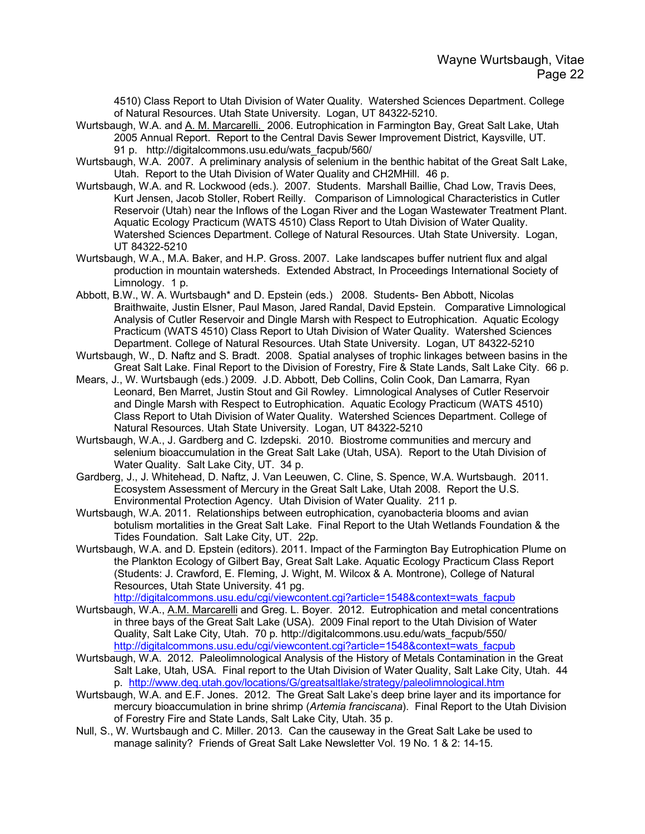4510) Class Report to Utah Division of Water Quality. Watershed Sciences Department. College of Natural Resources. Utah State University. Logan, UT 84322-5210.

- Wurtsbaugh, W.A. and A. M. Marcarelli. 2006. Eutrophication in Farmington Bay, Great Salt Lake, Utah 2005 Annual Report. Report to the Central Davis Sewer Improvement District, Kaysville, UT. 91 p. http://digitalcommons.usu.edu/wats\_facpub/560/
- Wurtsbaugh, W.A. 2007. A preliminary analysis of selenium in the benthic habitat of the Great Salt Lake, Utah. Report to the Utah Division of Water Quality and CH2MHill. 46 p.
- Wurtsbaugh, W.A. and R. Lockwood (eds.). 2007. Students. Marshall Baillie, Chad Low, Travis Dees, Kurt Jensen, Jacob Stoller, Robert Reilly. Comparison of Limnological Characteristics in Cutler Reservoir (Utah) near the Inflows of the Logan River and the Logan Wastewater Treatment Plant. Aquatic Ecology Practicum (WATS 4510) Class Report to Utah Division of Water Quality. Watershed Sciences Department. College of Natural Resources. Utah State University. Logan, UT 84322-5210
- Wurtsbaugh, W.A., M.A. Baker, and H.P. Gross. 2007. Lake landscapes buffer nutrient flux and algal production in mountain watersheds. Extended Abstract, In Proceedings International Society of Limnology. 1 p.
- Abbott, B.W., W. A. Wurtsbaugh\* and D. Epstein (eds.) 2008. Students- Ben Abbott, Nicolas Braithwaite, Justin Elsner, Paul Mason, Jared Randal, David Epstein. Comparative Limnological Analysis of Cutler Reservoir and Dingle Marsh with Respect to Eutrophication. Aquatic Ecology Practicum (WATS 4510) Class Report to Utah Division of Water Quality. Watershed Sciences Department. College of Natural Resources. Utah State University. Logan, UT 84322-5210
- Wurtsbaugh, W., D. Naftz and S. Bradt. 2008. Spatial analyses of trophic linkages between basins in the Great Salt Lake. Final Report to the Division of Forestry, Fire & State Lands, Salt Lake City. 66 p.
- Mears, J., W. Wurtsbaugh (eds.) 2009. J.D. Abbott, Deb Collins, Colin Cook, Dan Lamarra, Ryan Leonard, Ben Marret, Justin Stout and Gil Rowley. Limnological Analyses of Cutler Reservoir and Dingle Marsh with Respect to Eutrophication. Aquatic Ecology Practicum (WATS 4510) Class Report to Utah Division of Water Quality. Watershed Sciences Department. College of Natural Resources. Utah State University. Logan, UT 84322-5210
- Wurtsbaugh, W.A., J. Gardberg and C. Izdepski. 2010. Biostrome communities and mercury and selenium bioaccumulation in the Great Salt Lake (Utah, USA). Report to the Utah Division of Water Quality. Salt Lake City, UT. 34 p.
- Gardberg, J., J. Whitehead, D. Naftz, J. Van Leeuwen, C. Cline, S. Spence, W.A. Wurtsbaugh. 2011. Ecosystem Assessment of Mercury in the Great Salt Lake, Utah 2008. Report the U.S. Environmental Protection Agency. Utah Division of Water Quality. 211 p.
- Wurtsbaugh, W.A. 2011. Relationships between eutrophication, cyanobacteria blooms and avian botulism mortalities in the Great Salt Lake. Final Report to the Utah Wetlands Foundation & the Tides Foundation. Salt Lake City, UT. 22p.
- Wurtsbaugh, W.A. and D. Epstein (editors). 2011. Impact of the Farmington Bay Eutrophication Plume on the Plankton Ecology of Gilbert Bay, Great Salt Lake. Aquatic Ecology Practicum Class Report (Students: J. Crawford, E. Fleming, J. Wight, M. Wilcox & A. Montrone), College of Natural Resources, Utah State University. 41 pg.

http://digitalcommons.usu.edu/cgi/viewcontent.cgi?article=1548&context=wats\_facpub

- Wurtsbaugh, W.A., A.M. Marcarelli and Greg. L. Boyer. 2012. Eutrophication and metal concentrations in three bays of the Great Salt Lake (USA). 2009 Final report to the Utah Division of Water Quality, Salt Lake City, Utah. 70 p. http://digitalcommons.usu.edu/wats\_facpub/550/ http://digitalcommons.usu.edu/cgi/viewcontent.cgi?article=1548&context=wats\_facpub
- Wurtsbaugh, W.A. 2012. Paleolimnological Analysis of the History of Metals Contamination in the Great Salt Lake, Utah, USA. Final report to the Utah Division of Water Quality, Salt Lake City, Utah. 44 p. http://www.deq.utah.gov/locations/G/greatsaltlake/strategy/paleolimnological.htm
- Wurtsbaugh, W.A. and E.F. Jones. 2012. The Great Salt Lake's deep brine layer and its importance for mercury bioaccumulation in brine shrimp (*Artemia franciscana*). Final Report to the Utah Division of Forestry Fire and State Lands, Salt Lake City, Utah. 35 p.
- Null, S., W. Wurtsbaugh and C. Miller. 2013. Can the causeway in the Great Salt Lake be used to manage salinity? Friends of Great Salt Lake Newsletter Vol. 19 No. 1 & 2: 14-15.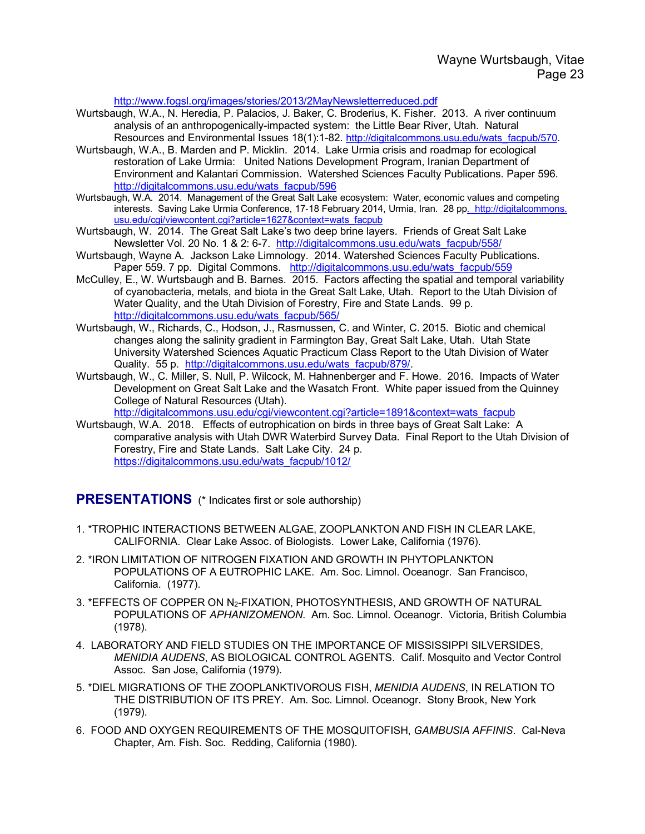http://www.fogsl.org/images/stories/2013/2MayNewsletterreduced.pdf

- Wurtsbaugh, W.A., N. Heredia, P. Palacios, J. Baker, C. Broderius, K. Fisher. 2013. A river continuum analysis of an anthropogenically-impacted system: the Little Bear River, Utah. Natural Resources and Environmental Issues 18(1):1-82. http://digitalcommons.usu.edu/wats\_facpub/570.
- Wurtsbaugh, W.A., B. Marden and P. Micklin. 2014. Lake Urmia crisis and roadmap for ecological restoration of Lake Urmia: United Nations Development Program, Iranian Department of Environment and Kalantari Commission. Watershed Sciences Faculty Publications. Paper 596. http://digitalcommons.usu.edu/wats\_facpub/596
- Wurtsbaugh, W.A. 2014. Management of the Great Salt Lake ecosystem: Water, economic values and competing interests. Saving Lake Urmia Conference, 17-18 February 2014, Urmia, Iran. 28 pp. http://digitalcommons. usu.edu/cgi/viewcontent.cgi?article=1627&context=wats\_facpub
- Wurtsbaugh, W. 2014. The Great Salt Lake's two deep brine layers. Friends of Great Salt Lake Newsletter Vol. 20 No. 1 & 2: 6-7. http://digitalcommons.usu.edu/wats\_facpub/558/
- Wurtsbaugh, Wayne A. Jackson Lake Limnology. 2014. Watershed Sciences Faculty Publications. Paper 559. 7 pp. Digital Commons. http://digitalcommons.usu.edu/wats\_facpub/559
- McCulley, E., W. Wurtsbaugh and B. Barnes. 2015. Factors affecting the spatial and temporal variability of cyanobacteria, metals, and biota in the Great Salt Lake, Utah. Report to the Utah Division of Water Quality, and the Utah Division of Forestry, Fire and State Lands. 99 p. http://digitalcommons.usu.edu/wats\_facpub/565/
- Wurtsbaugh, W., Richards, C., Hodson, J., Rasmussen, C. and Winter, C. 2015. Biotic and chemical changes along the salinity gradient in Farmington Bay, Great Salt Lake, Utah. Utah State University Watershed Sciences Aquatic Practicum Class Report to the Utah Division of Water Quality. 55 p. http://digitalcommons.usu.edu/wats\_facpub/879/.
- Wurtsbaugh, W., C. Miller, S. Null, P. Wilcock, M. Hahnenberger and F. Howe. 2016. Impacts of Water Development on Great Salt Lake and the Wasatch Front. White paper issued from the Quinney College of Natural Resources (Utah). http://digitalcommons.usu.edu/cgi/viewcontent.cgi?article=1891&context=wats\_facpub
- Wurtsbaugh, W.A. 2018. Effects of eutrophication on birds in three bays of Great Salt Lake: A comparative analysis with Utah DWR Waterbird Survey Data. Final Report to the Utah Division of Forestry, Fire and State Lands. Salt Lake City. 24 p.

https://digitalcommons.usu.edu/wats\_facpub/1012/

**PRESENTATIONS** (\* Indicates first or sole authorship)

- 1. \*TROPHIC INTERACTIONS BETWEEN ALGAE, ZOOPLANKTON AND FISH IN CLEAR LAKE, CALIFORNIA. Clear Lake Assoc. of Biologists. Lower Lake, California (1976).
- 2. \*IRON LIMITATION OF NITROGEN FIXATION AND GROWTH IN PHYTOPLANKTON POPULATIONS OF A EUTROPHIC LAKE. Am. Soc. Limnol. Oceanogr. San Francisco, California. (1977).
- 3. \*EFFECTS OF COPPER ON N2-FIXATION, PHOTOSYNTHESIS, AND GROWTH OF NATURAL POPULATIONS OF *APHANIZOMENON*. Am. Soc. Limnol. Oceanogr. Victoria, British Columbia (1978).
- 4. LABORATORY AND FIELD STUDIES ON THE IMPORTANCE OF MISSISSIPPI SILVERSIDES, *MENIDIA AUDENS*, AS BIOLOGICAL CONTROL AGENTS. Calif. Mosquito and Vector Control Assoc. San Jose, California (1979).
- 5. \*DIEL MIGRATIONS OF THE ZOOPLANKTIVOROUS FISH, *MENIDIA AUDENS*, IN RELATION TO THE DISTRIBUTION OF ITS PREY. Am. Soc. Limnol. Oceanogr. Stony Brook, New York (1979).
- 6. FOOD AND OXYGEN REQUIREMENTS OF THE MOSQUITOFISH, *GAMBUSIA AFFINIS*. Cal-Neva Chapter, Am. Fish. Soc. Redding, California (1980).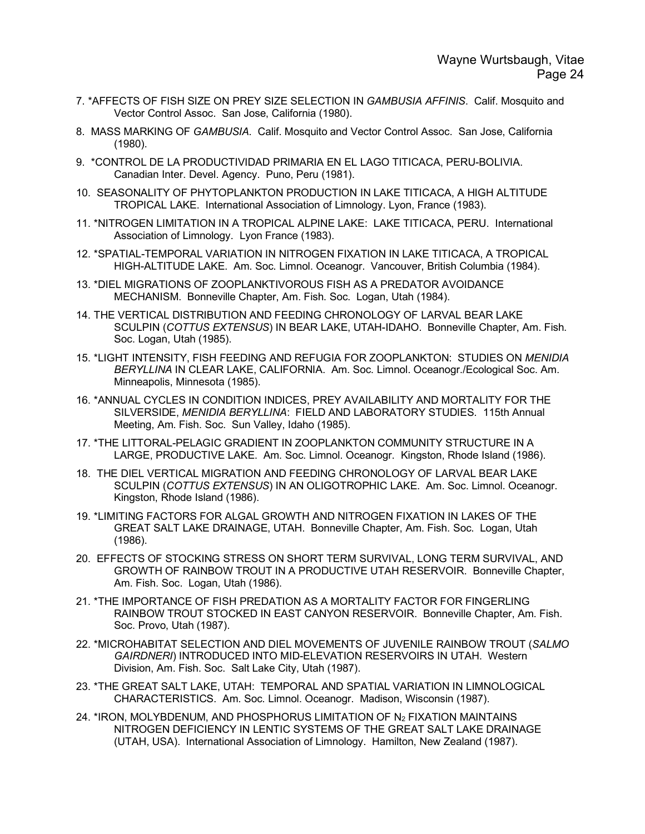- 7. \*AFFECTS OF FISH SIZE ON PREY SIZE SELECTION IN *GAMBUSIA AFFINIS*. Calif. Mosquito and Vector Control Assoc. San Jose, California (1980).
- 8. MASS MARKING OF *GAMBUSIA*. Calif. Mosquito and Vector Control Assoc. San Jose, California (1980).
- 9. \*CONTROL DE LA PRODUCTIVIDAD PRIMARIA EN EL LAGO TITICACA, PERU-BOLIVIA. Canadian Inter. Devel. Agency. Puno, Peru (1981).
- 10. SEASONALITY OF PHYTOPLANKTON PRODUCTION IN LAKE TITICACA, A HIGH ALTITUDE TROPICAL LAKE. International Association of Limnology. Lyon, France (1983).
- 11. \*NITROGEN LIMITATION IN A TROPICAL ALPINE LAKE: LAKE TITICACA, PERU. International Association of Limnology. Lyon France (1983).
- 12. \*SPATIAL-TEMPORAL VARIATION IN NITROGEN FIXATION IN LAKE TITICACA, A TROPICAL HIGH-ALTITUDE LAKE. Am. Soc. Limnol. Oceanogr. Vancouver, British Columbia (1984).
- 13. \*DIEL MIGRATIONS OF ZOOPLANKTIVOROUS FISH AS A PREDATOR AVOIDANCE MECHANISM. Bonneville Chapter, Am. Fish. Soc. Logan, Utah (1984).
- 14. THE VERTICAL DISTRIBUTION AND FEEDING CHRONOLOGY OF LARVAL BEAR LAKE SCULPIN (*COTTUS EXTENSUS*) IN BEAR LAKE, UTAH-IDAHO. Bonneville Chapter, Am. Fish. Soc. Logan, Utah (1985).
- 15. \*LIGHT INTENSITY, FISH FEEDING AND REFUGIA FOR ZOOPLANKTON: STUDIES ON *MENIDIA BERYLLINA* IN CLEAR LAKE, CALIFORNIA. Am. Soc. Limnol. Oceanogr./Ecological Soc. Am. Minneapolis, Minnesota (1985).
- 16. \*ANNUAL CYCLES IN CONDITION INDICES, PREY AVAILABILITY AND MORTALITY FOR THE SILVERSIDE, *MENIDIA BERYLLINA*: FIELD AND LABORATORY STUDIES. 115th Annual Meeting, Am. Fish. Soc. Sun Valley, Idaho (1985).
- 17. \*THE LITTORAL-PELAGIC GRADIENT IN ZOOPLANKTON COMMUNITY STRUCTURE IN A LARGE, PRODUCTIVE LAKE. Am. Soc. Limnol. Oceanogr. Kingston, Rhode Island (1986).
- 18. THE DIEL VERTICAL MIGRATION AND FEEDING CHRONOLOGY OF LARVAL BEAR LAKE SCULPIN (*COTTUS EXTENSUS*) IN AN OLIGOTROPHIC LAKE. Am. Soc. Limnol. Oceanogr. Kingston, Rhode Island (1986).
- 19. \*LIMITING FACTORS FOR ALGAL GROWTH AND NITROGEN FIXATION IN LAKES OF THE GREAT SALT LAKE DRAINAGE, UTAH. Bonneville Chapter, Am. Fish. Soc. Logan, Utah (1986).
- 20. EFFECTS OF STOCKING STRESS ON SHORT TERM SURVIVAL, LONG TERM SURVIVAL, AND GROWTH OF RAINBOW TROUT IN A PRODUCTIVE UTAH RESERVOIR. Bonneville Chapter, Am. Fish. Soc. Logan, Utah (1986).
- 21. \*THE IMPORTANCE OF FISH PREDATION AS A MORTALITY FACTOR FOR FINGERLING RAINBOW TROUT STOCKED IN EAST CANYON RESERVOIR. Bonneville Chapter, Am. Fish. Soc. Provo, Utah (1987).
- 22. \*MICROHABITAT SELECTION AND DIEL MOVEMENTS OF JUVENILE RAINBOW TROUT (*SALMO GAIRDNERI*) INTRODUCED INTO MID-ELEVATION RESERVOIRS IN UTAH. Western Division, Am. Fish. Soc. Salt Lake City, Utah (1987).
- 23. \*THE GREAT SALT LAKE, UTAH: TEMPORAL AND SPATIAL VARIATION IN LIMNOLOGICAL CHARACTERISTICS. Am. Soc. Limnol. Oceanogr. Madison, Wisconsin (1987).
- 24. \*IRON, MOLYBDENUM, AND PHOSPHORUS LIMITATION OF N2 FIXATION MAINTAINS NITROGEN DEFICIENCY IN LENTIC SYSTEMS OF THE GREAT SALT LAKE DRAINAGE (UTAH, USA). International Association of Limnology. Hamilton, New Zealand (1987).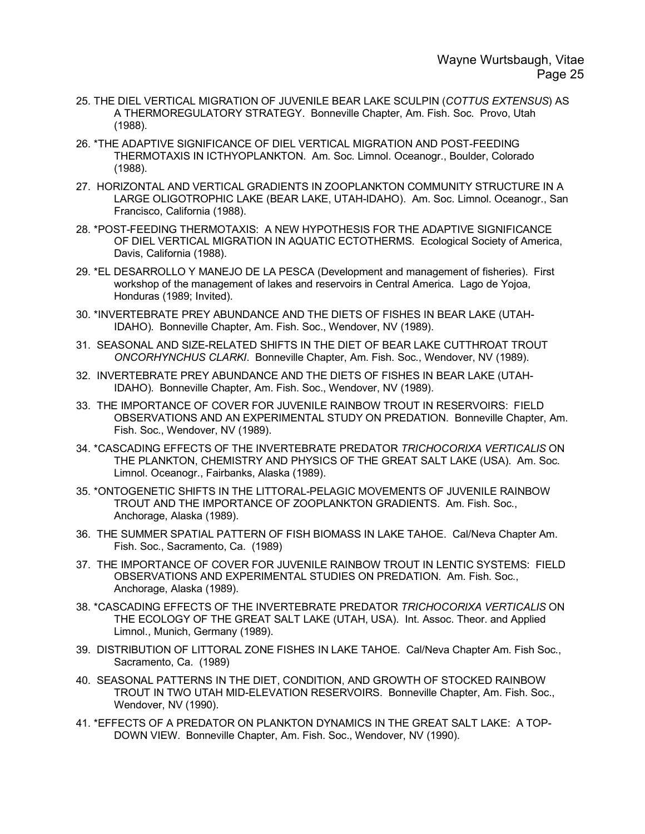- 25. THE DIEL VERTICAL MIGRATION OF JUVENILE BEAR LAKE SCULPIN (*COTTUS EXTENSUS*) AS A THERMOREGULATORY STRATEGY. Bonneville Chapter, Am. Fish. Soc. Provo, Utah (1988).
- 26. \*THE ADAPTIVE SIGNIFICANCE OF DIEL VERTICAL MIGRATION AND POST-FEEDING THERMOTAXIS IN ICTHYOPLANKTON. Am. Soc. Limnol. Oceanogr., Boulder, Colorado (1988).
- 27. HORIZONTAL AND VERTICAL GRADIENTS IN ZOOPLANKTON COMMUNITY STRUCTURE IN A LARGE OLIGOTROPHIC LAKE (BEAR LAKE, UTAH-IDAHO). Am. Soc. Limnol. Oceanogr., San Francisco, California (1988).
- 28. \*POST-FEEDING THERMOTAXIS: A NEW HYPOTHESIS FOR THE ADAPTIVE SIGNIFICANCE OF DIEL VERTICAL MIGRATION IN AQUATIC ECTOTHERMS. Ecological Society of America, Davis, California (1988).
- 29. \*EL DESARROLLO Y MANEJO DE LA PESCA (Development and management of fisheries). First workshop of the management of lakes and reservoirs in Central America. Lago de Yojoa, Honduras (1989; Invited).
- 30. \*INVERTEBRATE PREY ABUNDANCE AND THE DIETS OF FISHES IN BEAR LAKE (UTAH-IDAHO). Bonneville Chapter, Am. Fish. Soc., Wendover, NV (1989).
- 31. SEASONAL AND SIZE-RELATED SHIFTS IN THE DIET OF BEAR LAKE CUTTHROAT TROUT *ONCORHYNCHUS CLARKI*. Bonneville Chapter, Am. Fish. Soc., Wendover, NV (1989).
- 32. INVERTEBRATE PREY ABUNDANCE AND THE DIETS OF FISHES IN BEAR LAKE (UTAH-IDAHO). Bonneville Chapter, Am. Fish. Soc., Wendover, NV (1989).
- 33. THE IMPORTANCE OF COVER FOR JUVENILE RAINBOW TROUT IN RESERVOIRS: FIELD OBSERVATIONS AND AN EXPERIMENTAL STUDY ON PREDATION. Bonneville Chapter, Am. Fish. Soc., Wendover, NV (1989).
- 34. \*CASCADING EFFECTS OF THE INVERTEBRATE PREDATOR *TRICHOCORIXA VERTICALIS* ON THE PLANKTON, CHEMISTRY AND PHYSICS OF THE GREAT SALT LAKE (USA). Am. Soc. Limnol. Oceanogr., Fairbanks, Alaska (1989).
- 35. \*ONTOGENETIC SHIFTS IN THE LITTORAL-PELAGIC MOVEMENTS OF JUVENILE RAINBOW TROUT AND THE IMPORTANCE OF ZOOPLANKTON GRADIENTS. Am. Fish. Soc., Anchorage, Alaska (1989).
- 36. THE SUMMER SPATIAL PATTERN OF FISH BIOMASS IN LAKE TAHOE. Cal/Neva Chapter Am. Fish. Soc., Sacramento, Ca. (1989)
- 37. THE IMPORTANCE OF COVER FOR JUVENILE RAINBOW TROUT IN LENTIC SYSTEMS: FIELD OBSERVATIONS AND EXPERIMENTAL STUDIES ON PREDATION. Am. Fish. Soc., Anchorage, Alaska (1989).
- 38. \*CASCADING EFFECTS OF THE INVERTEBRATE PREDATOR *TRICHOCORIXA VERTICALIS* ON THE ECOLOGY OF THE GREAT SALT LAKE (UTAH, USA). Int. Assoc. Theor. and Applied Limnol., Munich, Germany (1989).
- 39. DISTRIBUTION OF LITTORAL ZONE FISHES IN LAKE TAHOE. Cal/Neva Chapter Am. Fish Soc., Sacramento, Ca. (1989)
- 40. SEASONAL PATTERNS IN THE DIET, CONDITION, AND GROWTH OF STOCKED RAINBOW TROUT IN TWO UTAH MID-ELEVATION RESERVOIRS. Bonneville Chapter, Am. Fish. Soc., Wendover, NV (1990).
- 41. \*EFFECTS OF A PREDATOR ON PLANKTON DYNAMICS IN THE GREAT SALT LAKE: A TOP-DOWN VIEW. Bonneville Chapter, Am. Fish. Soc., Wendover, NV (1990).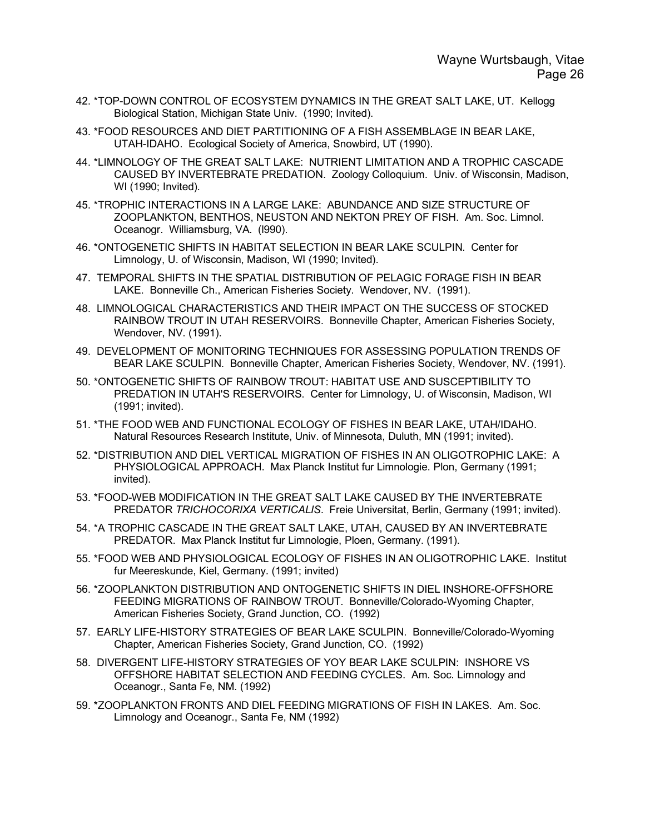- 42. \*TOP-DOWN CONTROL OF ECOSYSTEM DYNAMICS IN THE GREAT SALT LAKE, UT. Kellogg Biological Station, Michigan State Univ. (1990; Invited).
- 43. \*FOOD RESOURCES AND DIET PARTITIONING OF A FISH ASSEMBLAGE IN BEAR LAKE, UTAH-IDAHO. Ecological Society of America, Snowbird, UT (1990).
- 44. \*LIMNOLOGY OF THE GREAT SALT LAKE: NUTRIENT LIMITATION AND A TROPHIC CASCADE CAUSED BY INVERTEBRATE PREDATION. Zoology Colloquium. Univ. of Wisconsin, Madison, WI (1990; Invited).
- 45. \*TROPHIC INTERACTIONS IN A LARGE LAKE: ABUNDANCE AND SIZE STRUCTURE OF ZOOPLANKTON, BENTHOS, NEUSTON AND NEKTON PREY OF FISH. Am. Soc. Limnol. Oceanogr. Williamsburg, VA. (l990).
- 46. \*ONTOGENETIC SHIFTS IN HABITAT SELECTION IN BEAR LAKE SCULPIN. Center for Limnology, U. of Wisconsin, Madison, WI (1990; Invited).
- 47. TEMPORAL SHIFTS IN THE SPATIAL DISTRIBUTION OF PELAGIC FORAGE FISH IN BEAR LAKE. Bonneville Ch., American Fisheries Society. Wendover, NV. (1991).
- 48. LIMNOLOGICAL CHARACTERISTICS AND THEIR IMPACT ON THE SUCCESS OF STOCKED RAINBOW TROUT IN UTAH RESERVOIRS. Bonneville Chapter, American Fisheries Society, Wendover, NV. (1991).
- 49. DEVELOPMENT OF MONITORING TECHNIQUES FOR ASSESSING POPULATION TRENDS OF BEAR LAKE SCULPIN. Bonneville Chapter, American Fisheries Society, Wendover, NV. (1991).
- 50. \*ONTOGENETIC SHIFTS OF RAINBOW TROUT: HABITAT USE AND SUSCEPTIBILITY TO PREDATION IN UTAH'S RESERVOIRS. Center for Limnology, U. of Wisconsin, Madison, WI (1991; invited).
- 51. \*THE FOOD WEB AND FUNCTIONAL ECOLOGY OF FISHES IN BEAR LAKE, UTAH/IDAHO. Natural Resources Research Institute, Univ. of Minnesota, Duluth, MN (1991; invited).
- 52. \*DISTRIBUTION AND DIEL VERTICAL MIGRATION OF FISHES IN AN OLIGOTROPHIC LAKE: A PHYSIOLOGICAL APPROACH. Max Planck Institut fur Limnologie. Plon, Germany (1991; invited).
- 53. \*FOOD-WEB MODIFICATION IN THE GREAT SALT LAKE CAUSED BY THE INVERTEBRATE PREDATOR *TRICHOCORIXA VERTICALIS*. Freie Universitat, Berlin, Germany (1991; invited).
- 54. \*A TROPHIC CASCADE IN THE GREAT SALT LAKE, UTAH, CAUSED BY AN INVERTEBRATE PREDATOR. Max Planck Institut fur Limnologie, Ploen, Germany. (1991).
- 55. \*FOOD WEB AND PHYSIOLOGICAL ECOLOGY OF FISHES IN AN OLIGOTROPHIC LAKE. Institut fur Meereskunde, Kiel, Germany. (1991; invited)
- 56. \*ZOOPLANKTON DISTRIBUTION AND ONTOGENETIC SHIFTS IN DIEL INSHORE-OFFSHORE FEEDING MIGRATIONS OF RAINBOW TROUT. Bonneville/Colorado-Wyoming Chapter, American Fisheries Society, Grand Junction, CO. (1992)
- 57. EARLY LIFE-HISTORY STRATEGIES OF BEAR LAKE SCULPIN. Bonneville/Colorado-Wyoming Chapter, American Fisheries Society, Grand Junction, CO. (1992)
- 58. DIVERGENT LIFE-HISTORY STRATEGIES OF YOY BEAR LAKE SCULPIN: INSHORE VS OFFSHORE HABITAT SELECTION AND FEEDING CYCLES. Am. Soc. Limnology and Oceanogr., Santa Fe, NM. (1992)
- 59. \*ZOOPLANKTON FRONTS AND DIEL FEEDING MIGRATIONS OF FISH IN LAKES. Am. Soc. Limnology and Oceanogr., Santa Fe, NM (1992)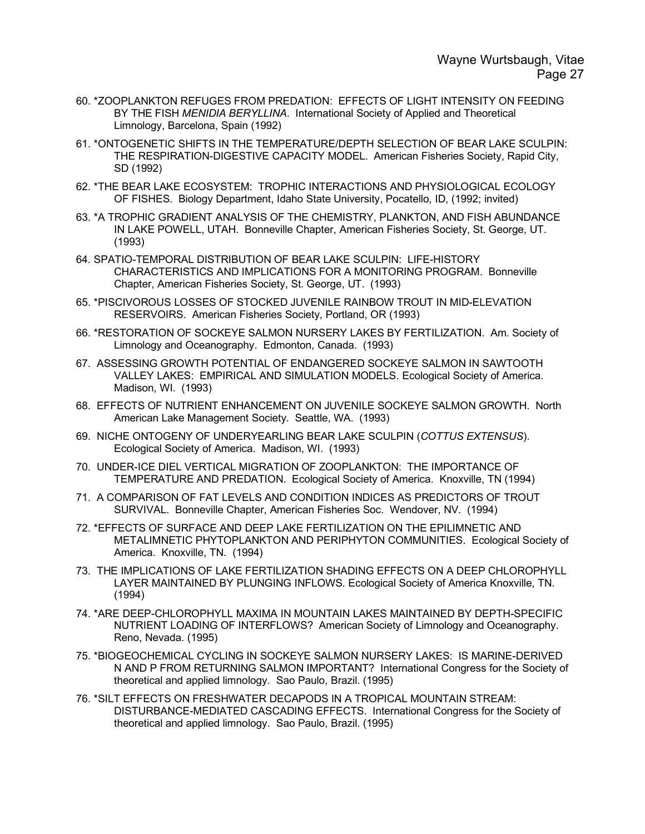- 60. \*ZOOPLANKTON REFUGES FROM PREDATION: EFFECTS OF LIGHT INTENSITY ON FEEDING BY THE FISH *MENIDIA BERYLLINA*. International Society of Applied and Theoretical Limnology, Barcelona, Spain (1992)
- 61. \*ONTOGENETIC SHIFTS IN THE TEMPERATURE/DEPTH SELECTION OF BEAR LAKE SCULPIN: THE RESPIRATION-DIGESTIVE CAPACITY MODEL. American Fisheries Society, Rapid City, SD (1992)
- 62. \*THE BEAR LAKE ECOSYSTEM: TROPHIC INTERACTIONS AND PHYSIOLOGICAL ECOLOGY OF FISHES. Biology Department, Idaho State University, Pocatello, ID, (1992; invited)
- 63. \*A TROPHIC GRADIENT ANALYSIS OF THE CHEMISTRY, PLANKTON, AND FISH ABUNDANCE IN LAKE POWELL, UTAH. Bonneville Chapter, American Fisheries Society, St. George, UT. (1993)
- 64. SPATIO-TEMPORAL DISTRIBUTION OF BEAR LAKE SCULPIN: LIFE-HISTORY CHARACTERISTICS AND IMPLICATIONS FOR A MONITORING PROGRAM. Bonneville Chapter, American Fisheries Society, St. George, UT. (1993)
- 65. \*PISCIVOROUS LOSSES OF STOCKED JUVENILE RAINBOW TROUT IN MID-ELEVATION RESERVOIRS. American Fisheries Society, Portland, OR (1993)
- 66. \*RESTORATION OF SOCKEYE SALMON NURSERY LAKES BY FERTILIZATION. Am. Society of Limnology and Oceanography. Edmonton, Canada. (1993)
- 67. ASSESSING GROWTH POTENTIAL OF ENDANGERED SOCKEYE SALMON IN SAWTOOTH VALLEY LAKES: EMPIRICAL AND SIMULATION MODELS. Ecological Society of America. Madison, WI. (1993)
- 68. EFFECTS OF NUTRIENT ENHANCEMENT ON JUVENILE SOCKEYE SALMON GROWTH. North American Lake Management Society. Seattle, WA. (1993)
- 69. NICHE ONTOGENY OF UNDERYEARLING BEAR LAKE SCULPIN (*COTTUS EXTENSUS*). Ecological Society of America. Madison, WI. (1993)
- 70. UNDER-ICE DIEL VERTICAL MIGRATION OF ZOOPLANKTON: THE IMPORTANCE OF TEMPERATURE AND PREDATION. Ecological Society of America. Knoxville, TN (1994)
- 71. A COMPARISON OF FAT LEVELS AND CONDITION INDICES AS PREDICTORS OF TROUT SURVIVAL. Bonneville Chapter, American Fisheries Soc. Wendover, NV. (1994)
- 72. \*EFFECTS OF SURFACE AND DEEP LAKE FERTILIZATION ON THE EPILIMNETIC AND METALIMNETIC PHYTOPLANKTON AND PERIPHYTON COMMUNITIES. Ecological Society of America. Knoxville, TN. (1994)
- 73. THE IMPLICATIONS OF LAKE FERTILIZATION SHADING EFFECTS ON A DEEP CHLOROPHYLL LAYER MAINTAINED BY PLUNGING INFLOWS. Ecological Society of America Knoxville, TN. (1994)
- 74. \*ARE DEEP-CHLOROPHYLL MAXIMA IN MOUNTAIN LAKES MAINTAINED BY DEPTH-SPECIFIC NUTRIENT LOADING OF INTERFLOWS? American Society of Limnology and Oceanography. Reno, Nevada. (1995)
- 75. \*BIOGEOCHEMICAL CYCLING IN SOCKEYE SALMON NURSERY LAKES: IS MARINE-DERIVED N AND P FROM RETURNING SALMON IMPORTANT? International Congress for the Society of theoretical and applied limnology. Sao Paulo, Brazil. (1995)
- 76. \*SILT EFFECTS ON FRESHWATER DECAPODS IN A TROPICAL MOUNTAIN STREAM: DISTURBANCE-MEDIATED CASCADING EFFECTS. International Congress for the Society of theoretical and applied limnology. Sao Paulo, Brazil. (1995)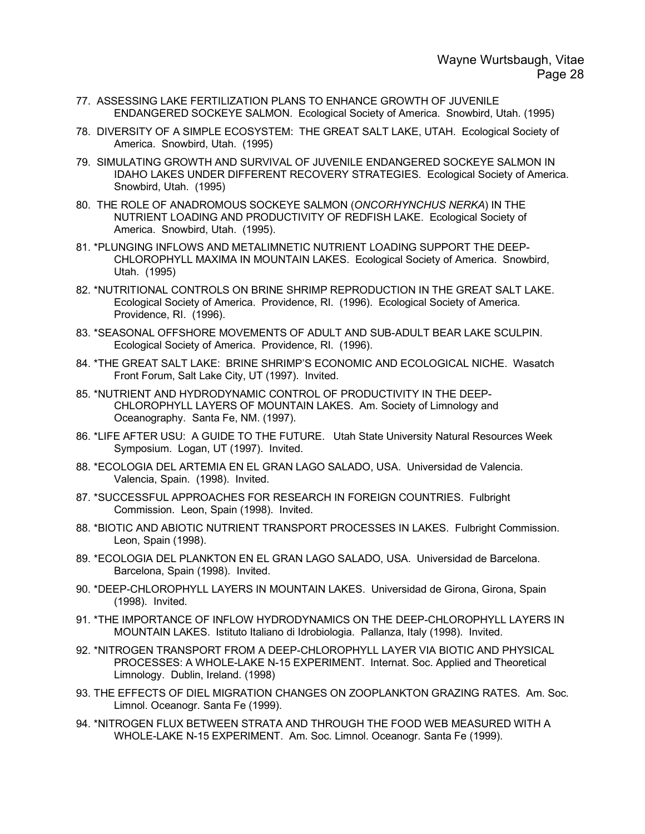- 77. ASSESSING LAKE FERTILIZATION PLANS TO ENHANCE GROWTH OF JUVENILE ENDANGERED SOCKEYE SALMON. Ecological Society of America. Snowbird, Utah. (1995)
- 78. DIVERSITY OF A SIMPLE ECOSYSTEM: THE GREAT SALT LAKE, UTAH. Ecological Society of America. Snowbird, Utah. (1995)
- 79. SIMULATING GROWTH AND SURVIVAL OF JUVENILE ENDANGERED SOCKEYE SALMON IN IDAHO LAKES UNDER DIFFERENT RECOVERY STRATEGIES. Ecological Society of America. Snowbird, Utah. (1995)
- 80. THE ROLE OF ANADROMOUS SOCKEYE SALMON (*ONCORHYNCHUS NERKA*) IN THE NUTRIENT LOADING AND PRODUCTIVITY OF REDFISH LAKE. Ecological Society of America. Snowbird, Utah. (1995).
- 81. \*PLUNGING INFLOWS AND METALIMNETIC NUTRIENT LOADING SUPPORT THE DEEP-CHLOROPHYLL MAXIMA IN MOUNTAIN LAKES. Ecological Society of America. Snowbird, Utah. (1995)
- 82. \*NUTRITIONAL CONTROLS ON BRINE SHRIMP REPRODUCTION IN THE GREAT SALT LAKE. Ecological Society of America. Providence, RI. (1996). Ecological Society of America. Providence, RI. (1996).
- 83. \*SEASONAL OFFSHORE MOVEMENTS OF ADULT AND SUB-ADULT BEAR LAKE SCULPIN. Ecological Society of America. Providence, RI. (1996).
- 84. \*THE GREAT SALT LAKE: BRINE SHRIMP'S ECONOMIC AND ECOLOGICAL NICHE. Wasatch Front Forum, Salt Lake City, UT (1997). Invited.
- 85. \*NUTRIENT AND HYDRODYNAMIC CONTROL OF PRODUCTIVITY IN THE DEEP-CHLOROPHYLL LAYERS OF MOUNTAIN LAKES. Am. Society of Limnology and Oceanography. Santa Fe, NM. (1997).
- 86. \*LIFE AFTER USU: A GUIDE TO THE FUTURE. Utah State University Natural Resources Week Symposium. Logan, UT (1997). Invited.
- 88. \*ECOLOGIA DEL ARTEMIA EN EL GRAN LAGO SALADO, USA. Universidad de Valencia. Valencia, Spain. (1998). Invited.
- 87. \*SUCCESSFUL APPROACHES FOR RESEARCH IN FOREIGN COUNTRIES. Fulbright Commission. Leon, Spain (1998). Invited.
- 88. \*BIOTIC AND ABIOTIC NUTRIENT TRANSPORT PROCESSES IN LAKES. Fulbright Commission. Leon, Spain (1998).
- 89. \*ECOLOGIA DEL PLANKTON EN EL GRAN LAGO SALADO, USA. Universidad de Barcelona. Barcelona, Spain (1998). Invited.
- 90. \*DEEP-CHLOROPHYLL LAYERS IN MOUNTAIN LAKES. Universidad de Girona, Girona, Spain (1998). Invited.
- 91. \*THE IMPORTANCE OF INFLOW HYDRODYNAMICS ON THE DEEP-CHLOROPHYLL LAYERS IN MOUNTAIN LAKES. Istituto Italiano di Idrobiologia. Pallanza, Italy (1998). Invited.
- 92. \*NITROGEN TRANSPORT FROM A DEEP-CHLOROPHYLL LAYER VIA BIOTIC AND PHYSICAL PROCESSES: A WHOLE-LAKE N-15 EXPERIMENT. Internat. Soc. Applied and Theoretical Limnology. Dublin, Ireland. (1998)
- 93. THE EFFECTS OF DIEL MIGRATION CHANGES ON ZOOPLANKTON GRAZING RATES. Am. Soc. Limnol. Oceanogr. Santa Fe (1999).
- 94. \*NITROGEN FLUX BETWEEN STRATA AND THROUGH THE FOOD WEB MEASURED WITH A WHOLE-LAKE N-15 EXPERIMENT. Am. Soc. Limnol. Oceanogr. Santa Fe (1999).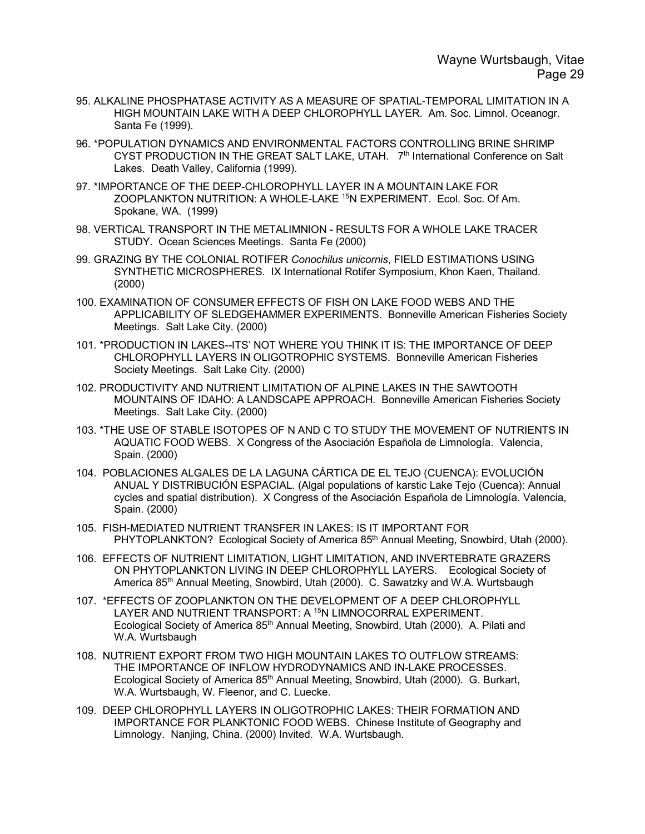- 95. ALKALINE PHOSPHATASE ACTIVITY AS A MEASURE OF SPATIAL-TEMPORAL LIMITATION IN A HIGH MOUNTAIN LAKE WITH A DEEP CHLOROPHYLL LAYER. Am. Soc. Limnol. Oceanogr. Santa Fe (1999).
- 96. \*POPULATION DYNAMICS AND ENVIRONMENTAL FACTORS CONTROLLING BRINE SHRIMP CYST PRODUCTION IN THE GREAT SALT LAKE, UTAH. 7<sup>th</sup> International Conference on Salt Lakes. Death Valley, California (1999).
- 97. \*IMPORTANCE OF THE DEEP-CHLOROPHYLL LAYER IN A MOUNTAIN LAKE FOR ZOOPLANKTON NUTRITION: A WHOLE-LAKE <sup>15</sup>N EXPERIMENT. Ecol. Soc. Of Am. Spokane, WA. (1999)
- 98. VERTICAL TRANSPORT IN THE METALIMNION RESULTS FOR A WHOLE LAKE TRACER STUDY. Ocean Sciences Meetings. Santa Fe (2000)
- 99. GRAZING BY THE COLONIAL ROTIFER *Conochilus unicornis*, FIELD ESTIMATIONS USING SYNTHETIC MICROSPHERES. IX International Rotifer Symposium, Khon Kaen, Thailand. (2000)
- 100. EXAMINATION OF CONSUMER EFFECTS OF FISH ON LAKE FOOD WEBS AND THE APPLICABILITY OF SLEDGEHAMMER EXPERIMENTS. Bonneville American Fisheries Society Meetings. Salt Lake City. (2000)
- 101. \*PRODUCTION IN LAKES--ITS' NOT WHERE YOU THINK IT IS: THE IMPORTANCE OF DEEP CHLOROPHYLL LAYERS IN OLIGOTROPHIC SYSTEMS. Bonneville American Fisheries Society Meetings. Salt Lake City. (2000)
- 102. PRODUCTIVITY AND NUTRIENT LIMITATION OF ALPINE LAKES IN THE SAWTOOTH MOUNTAINS OF IDAHO: A LANDSCAPE APPROACH. Bonneville American Fisheries Society Meetings. Salt Lake City. (2000)
- 103. \*THE USE OF STABLE ISOTOPES OF N AND C TO STUDY THE MOVEMENT OF NUTRIENTS IN AQUATIC FOOD WEBS. X Congress of the Asociación Española de Limnología. Valencia, Spain. (2000)
- 104. POBLACIONES ALGALES DE LA LAGUNA CÁRTICA DE EL TEJO (CUENCA): EVOLUCIÓN ANUAL Y DISTRIBUCIÓN ESPACIAL. (Algal populations of karstic Lake Tejo (Cuenca): Annual cycles and spatial distribution). X Congress of the Asociación Española de Limnología. Valencia, Spain. (2000)
- 105. FISH-MEDIATED NUTRIENT TRANSFER IN LAKES: IS IT IMPORTANT FOR PHYTOPLANKTON? Ecological Society of America 85<sup>th</sup> Annual Meeting, Snowbird, Utah (2000).
- 106. EFFECTS OF NUTRIENT LIMITATION, LIGHT LIMITATION, AND INVERTEBRATE GRAZERS ON PHYTOPLANKTON LIVING IN DEEP CHLOROPHYLL LAYERS. Ecological Society of America 85th Annual Meeting, Snowbird, Utah (2000). C. Sawatzky and W.A. Wurtsbaugh
- 107. \*EFFECTS OF ZOOPLANKTON ON THE DEVELOPMENT OF A DEEP CHLOROPHYLL LAYER AND NUTRIENT TRANSPORT: A <sup>15</sup>N LIMNOCORRAL EXPERIMENT. Ecological Society of America 85th Annual Meeting, Snowbird, Utah (2000). A. Pilati and W.A. Wurtsbaugh
- 108. NUTRIENT EXPORT FROM TWO HIGH MOUNTAIN LAKES TO OUTFLOW STREAMS: THE IMPORTANCE OF INFLOW HYDRODYNAMICS AND IN-LAKE PROCESSES. Ecological Society of America 85th Annual Meeting, Snowbird, Utah (2000). G. Burkart, W.A. Wurtsbaugh, W. Fleenor, and C. Luecke.
- 109. DEEP CHLOROPHYLL LAYERS IN OLIGOTROPHIC LAKES: THEIR FORMATION AND IMPORTANCE FOR PLANKTONIC FOOD WEBS. Chinese Institute of Geography and Limnology. Nanjing, China. (2000) Invited. W.A. Wurtsbaugh.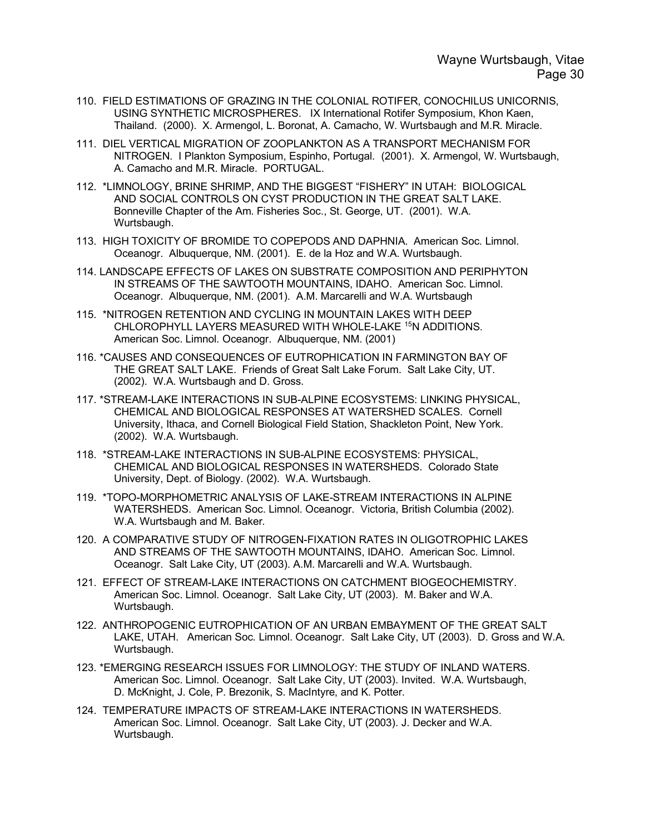- 110. FIELD ESTIMATIONS OF GRAZING IN THE COLONIAL ROTIFER, CONOCHILUS UNICORNIS, USING SYNTHETIC MICROSPHERES. IX International Rotifer Symposium, Khon Kaen, Thailand. (2000). X. Armengol, L. Boronat, A. Camacho, W. Wurtsbaugh and M.R. Miracle.
- 111. DIEL VERTICAL MIGRATION OF ZOOPLANKTON AS A TRANSPORT MECHANISM FOR NITROGEN. I Plankton Symposium, Espinho, Portugal. (2001). X. Armengol, W. Wurtsbaugh, A. Camacho and M.R. Miracle. PORTUGAL.
- 112. \*LIMNOLOGY, BRINE SHRIMP, AND THE BIGGEST "FISHERY" IN UTAH: BIOLOGICAL AND SOCIAL CONTROLS ON CYST PRODUCTION IN THE GREAT SALT LAKE. Bonneville Chapter of the Am. Fisheries Soc., St. George, UT. (2001). W.A. Wurtsbaugh.
- 113. HIGH TOXICITY OF BROMIDE TO COPEPODS AND DAPHNIA. American Soc. Limnol. Oceanogr. Albuquerque, NM. (2001). E. de la Hoz and W.A. Wurtsbaugh.
- 114. LANDSCAPE EFFECTS OF LAKES ON SUBSTRATE COMPOSITION AND PERIPHYTON IN STREAMS OF THE SAWTOOTH MOUNTAINS, IDAHO. American Soc. Limnol. Oceanogr. Albuquerque, NM. (2001). A.M. Marcarelli and W.A. Wurtsbaugh
- 115. \*NITROGEN RETENTION AND CYCLING IN MOUNTAIN LAKES WITH DEEP CHLOROPHYLL LAYERS MEASURED WITH WHOLE-LAKE <sup>15</sup>N ADDITIONS. American Soc. Limnol. Oceanogr. Albuquerque, NM. (2001)
- 116. \*CAUSES AND CONSEQUENCES OF EUTROPHICATION IN FARMINGTON BAY OF THE GREAT SALT LAKE. Friends of Great Salt Lake Forum. Salt Lake City, UT. (2002). W.A. Wurtsbaugh and D. Gross.
- 117. \*STREAM-LAKE INTERACTIONS IN SUB-ALPINE ECOSYSTEMS: LINKING PHYSICAL, CHEMICAL AND BIOLOGICAL RESPONSES AT WATERSHED SCALES. Cornell University, Ithaca, and Cornell Biological Field Station, Shackleton Point, New York. (2002). W.A. Wurtsbaugh.
- 118. \*STREAM-LAKE INTERACTIONS IN SUB-ALPINE ECOSYSTEMS: PHYSICAL, CHEMICAL AND BIOLOGICAL RESPONSES IN WATERSHEDS. Colorado State University, Dept. of Biology. (2002). W.A. Wurtsbaugh.
- 119. \*TOPO-MORPHOMETRIC ANALYSIS OF LAKE-STREAM INTERACTIONS IN ALPINE WATERSHEDS. American Soc. Limnol. Oceanogr. Victoria, British Columbia (2002). W.A. Wurtsbaugh and M. Baker.
- 120. A COMPARATIVE STUDY OF NITROGEN-FIXATION RATES IN OLIGOTROPHIC LAKES AND STREAMS OF THE SAWTOOTH MOUNTAINS, IDAHO. American Soc. Limnol. Oceanogr. Salt Lake City, UT (2003). A.M. Marcarelli and W.A. Wurtsbaugh.
- 121. EFFECT OF STREAM-LAKE INTERACTIONS ON CATCHMENT BIOGEOCHEMISTRY. American Soc. Limnol. Oceanogr. Salt Lake City, UT (2003). M. Baker and W.A. Wurtsbaugh.
- 122. ANTHROPOGENIC EUTROPHICATION OF AN URBAN EMBAYMENT OF THE GREAT SALT LAKE, UTAH. American Soc. Limnol. Oceanogr. Salt Lake City, UT (2003). D. Gross and W.A. Wurtsbaugh.
- 123. \*EMERGING RESEARCH ISSUES FOR LIMNOLOGY: THE STUDY OF INLAND WATERS. American Soc. Limnol. Oceanogr. Salt Lake City, UT (2003). Invited. W.A. Wurtsbaugh, D. McKnight, J. Cole, P. Brezonik, S. MacIntyre, and K. Potter.
- 124. TEMPERATURE IMPACTS OF STREAM-LAKE INTERACTIONS IN WATERSHEDS. American Soc. Limnol. Oceanogr. Salt Lake City, UT (2003). J. Decker and W.A. Wurtsbaugh.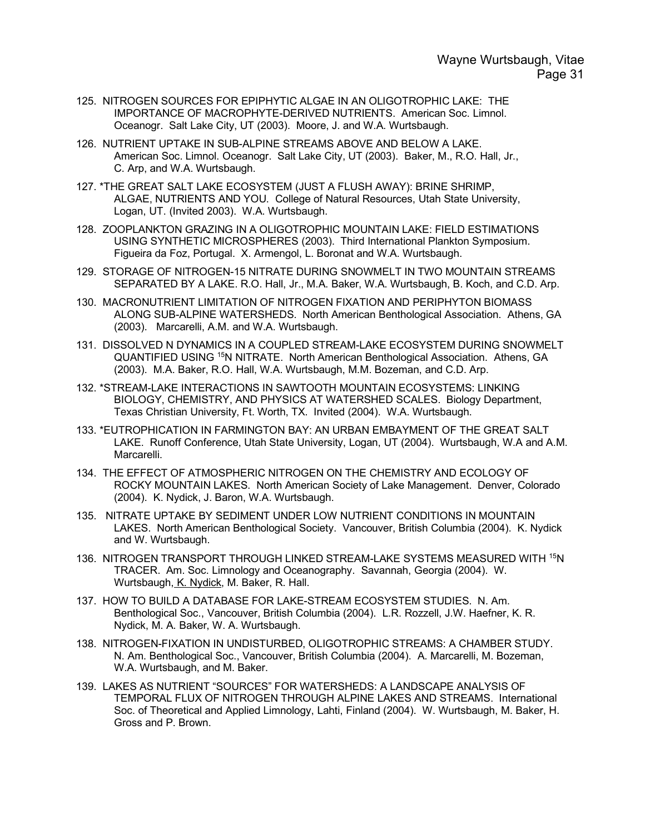- 125. NITROGEN SOURCES FOR EPIPHYTIC ALGAE IN AN OLIGOTROPHIC LAKE: THE IMPORTANCE OF MACROPHYTE-DERIVED NUTRIENTS. American Soc. Limnol. Oceanogr. Salt Lake City, UT (2003). Moore, J. and W.A. Wurtsbaugh.
- 126. NUTRIENT UPTAKE IN SUB-ALPINE STREAMS ABOVE AND BELOW A LAKE. American Soc. Limnol. Oceanogr. Salt Lake City, UT (2003). Baker, M., R.O. Hall, Jr., C. Arp, and W.A. Wurtsbaugh.
- 127. \*THE GREAT SALT LAKE ECOSYSTEM (JUST A FLUSH AWAY): BRINE SHRIMP, ALGAE, NUTRIENTS AND YOU. College of Natural Resources, Utah State University, Logan, UT. (Invited 2003). W.A. Wurtsbaugh.
- 128. ZOOPLANKTON GRAZING IN A OLIGOTROPHIC MOUNTAIN LAKE: FIELD ESTIMATIONS USING SYNTHETIC MICROSPHERES (2003). Third International Plankton Symposium. Figueira da Foz, Portugal. X. Armengol, L. Boronat and W.A. Wurtsbaugh.
- 129. STORAGE OF NITROGEN-15 NITRATE DURING SNOWMELT IN TWO MOUNTAIN STREAMS SEPARATED BY A LAKE. R.O. Hall, Jr., M.A. Baker, W.A. Wurtsbaugh, B. Koch, and C.D. Arp.
- 130. MACRONUTRIENT LIMITATION OF NITROGEN FIXATION AND PERIPHYTON BIOMASS ALONG SUB-ALPINE WATERSHEDS. North American Benthological Association. Athens, GA (2003). Marcarelli, A.M. and W.A. Wurtsbaugh.
- 131. DISSOLVED N DYNAMICS IN A COUPLED STREAM-LAKE ECOSYSTEM DURING SNOWMELT QUANTIFIED USING 15N NITRATE. North American Benthological Association. Athens, GA (2003). M.A. Baker, R.O. Hall, W.A. Wurtsbaugh, M.M. Bozeman, and C.D. Arp.
- 132. \*STREAM-LAKE INTERACTIONS IN SAWTOOTH MOUNTAIN ECOSYSTEMS: LINKING BIOLOGY, CHEMISTRY, AND PHYSICS AT WATERSHED SCALES. Biology Department, Texas Christian University, Ft. Worth, TX. Invited (2004). W.A. Wurtsbaugh.
- 133. \*EUTROPHICATION IN FARMINGTON BAY: AN URBAN EMBAYMENT OF THE GREAT SALT LAKE. Runoff Conference, Utah State University, Logan, UT (2004). Wurtsbaugh, W.A and A.M. Marcarelli.
- 134. THE EFFECT OF ATMOSPHERIC NITROGEN ON THE CHEMISTRY AND ECOLOGY OF ROCKY MOUNTAIN LAKES. North American Society of Lake Management. Denver, Colorado (2004). K. Nydick, J. Baron, W.A. Wurtsbaugh.
- 135. NITRATE UPTAKE BY SEDIMENT UNDER LOW NUTRIENT CONDITIONS IN MOUNTAIN LAKES. North American Benthological Society. Vancouver, British Columbia (2004). K. Nydick and W. Wurtsbaugh.
- 136. NITROGEN TRANSPORT THROUGH LINKED STREAM-LAKE SYSTEMS MEASURED WITH 15N TRACER. Am. Soc. Limnology and Oceanography. Savannah, Georgia (2004). W. Wurtsbaugh, K. Nydick, M. Baker, R. Hall.
- 137. HOW TO BUILD A DATABASE FOR LAKE-STREAM ECOSYSTEM STUDIES. N. Am. Benthological Soc., Vancouver, British Columbia (2004). L.R. Rozzell, J.W. Haefner, K. R. Nydick, M. A. Baker, W. A. Wurtsbaugh.
- 138. NITROGEN-FIXATION IN UNDISTURBED, OLIGOTROPHIC STREAMS: A CHAMBER STUDY. N. Am. Benthological Soc., Vancouver, British Columbia (2004). A. Marcarelli, M. Bozeman, W.A. Wurtsbaugh, and M. Baker.
- 139. LAKES AS NUTRIENT "SOURCES" FOR WATERSHEDS: A LANDSCAPE ANALYSIS OF TEMPORAL FLUX OF NITROGEN THROUGH ALPINE LAKES AND STREAMS. International Soc. of Theoretical and Applied Limnology, Lahti, Finland (2004). W. Wurtsbaugh, M. Baker, H. Gross and P. Brown.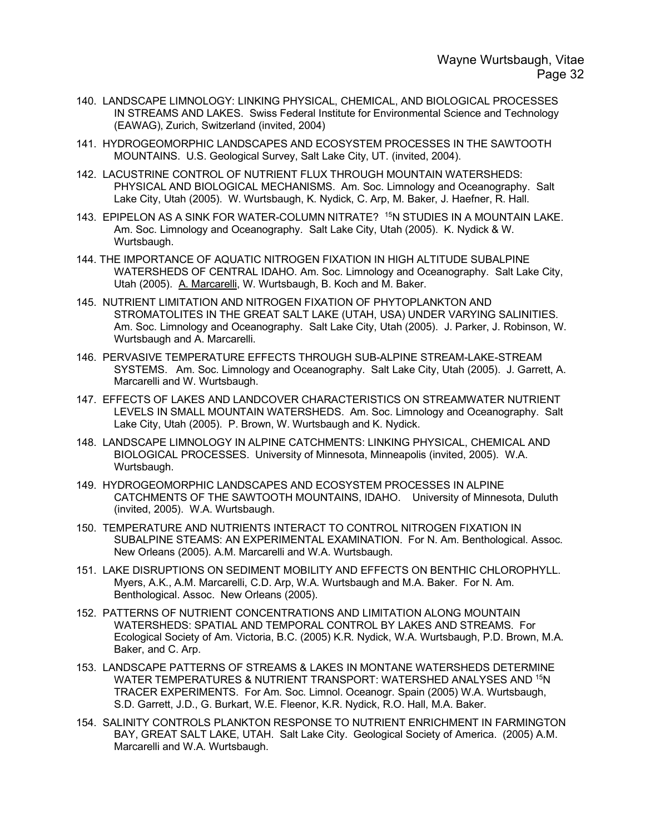- 140. LANDSCAPE LIMNOLOGY: LINKING PHYSICAL, CHEMICAL, AND BIOLOGICAL PROCESSES IN STREAMS AND LAKES. Swiss Federal Institute for Environmental Science and Technology (EAWAG), Zurich, Switzerland (invited, 2004)
- 141. HYDROGEOMORPHIC LANDSCAPES AND ECOSYSTEM PROCESSES IN THE SAWTOOTH MOUNTAINS. U.S. Geological Survey, Salt Lake City, UT. (invited, 2004).
- 142. LACUSTRINE CONTROL OF NUTRIENT FLUX THROUGH MOUNTAIN WATERSHEDS: PHYSICAL AND BIOLOGICAL MECHANISMS. Am. Soc. Limnology and Oceanography. Salt Lake City, Utah (2005). W. Wurtsbaugh, K. Nydick, C. Arp, M. Baker, J. Haefner, R. Hall.
- 143. EPIPELON AS A SINK FOR WATER-COLUMN NITRATE? 15N STUDIES IN A MOUNTAIN LAKE. Am. Soc. Limnology and Oceanography. Salt Lake City, Utah (2005). K. Nydick & W. Wurtsbaugh.
- 144. THE IMPORTANCE OF AQUATIC NITROGEN FIXATION IN HIGH ALTITUDE SUBALPINE WATERSHEDS OF CENTRAL IDAHO. Am. Soc. Limnology and Oceanography. Salt Lake City, Utah (2005). A. Marcarelli, W. Wurtsbaugh, B. Koch and M. Baker.
- 145. NUTRIENT LIMITATION AND NITROGEN FIXATION OF PHYTOPLANKTON AND STROMATOLITES IN THE GREAT SALT LAKE (UTAH, USA) UNDER VARYING SALINITIES. Am. Soc. Limnology and Oceanography. Salt Lake City, Utah (2005). J. Parker, J. Robinson, W. Wurtsbaugh and A. Marcarelli.
- 146. PERVASIVE TEMPERATURE EFFECTS THROUGH SUB-ALPINE STREAM-LAKE-STREAM SYSTEMS. Am. Soc. Limnology and Oceanography. Salt Lake City, Utah (2005). J. Garrett, A. Marcarelli and W. Wurtsbaugh.
- 147. EFFECTS OF LAKES AND LANDCOVER CHARACTERISTICS ON STREAMWATER NUTRIENT LEVELS IN SMALL MOUNTAIN WATERSHEDS. Am. Soc. Limnology and Oceanography. Salt Lake City, Utah (2005). P. Brown, W. Wurtsbaugh and K. Nydick.
- 148. LANDSCAPE LIMNOLOGY IN ALPINE CATCHMENTS: LINKING PHYSICAL, CHEMICAL AND BIOLOGICAL PROCESSES. University of Minnesota, Minneapolis (invited, 2005). W.A. Wurtsbaugh.
- 149. HYDROGEOMORPHIC LANDSCAPES AND ECOSYSTEM PROCESSES IN ALPINE CATCHMENTS OF THE SAWTOOTH MOUNTAINS, IDAHO. University of Minnesota, Duluth (invited, 2005). W.A. Wurtsbaugh.
- 150. TEMPERATURE AND NUTRIENTS INTERACT TO CONTROL NITROGEN FIXATION IN SUBALPINE STEAMS: AN EXPERIMENTAL EXAMINATION. For N. Am. Benthological. Assoc. New Orleans (2005). A.M. Marcarelli and W.A. Wurtsbaugh.
- 151. LAKE DISRUPTIONS ON SEDIMENT MOBILITY AND EFFECTS ON BENTHIC CHLOROPHYLL. Myers, A.K., A.M. Marcarelli, C.D. Arp, W.A. Wurtsbaugh and M.A. Baker. For N. Am. Benthological. Assoc. New Orleans (2005).
- 152. PATTERNS OF NUTRIENT CONCENTRATIONS AND LIMITATION ALONG MOUNTAIN WATERSHEDS: SPATIAL AND TEMPORAL CONTROL BY LAKES AND STREAMS. For Ecological Society of Am. Victoria, B.C. (2005) K.R. Nydick, W.A. Wurtsbaugh, P.D. Brown, M.A. Baker, and C. Arp.
- 153. LANDSCAPE PATTERNS OF STREAMS & LAKES IN MONTANE WATERSHEDS DETERMINE WATER TEMPERATURES & NUTRIENT TRANSPORT: WATERSHED ANALYSES AND 15N TRACER EXPERIMENTS. For Am. Soc. Limnol. Oceanogr. Spain (2005) W.A. Wurtsbaugh, S.D. Garrett, J.D., G. Burkart, W.E. Fleenor, K.R. Nydick, R.O. Hall, M.A. Baker.
- 154. SALINITY CONTROLS PLANKTON RESPONSE TO NUTRIENT ENRICHMENT IN FARMINGTON BAY, GREAT SALT LAKE, UTAH. Salt Lake City. Geological Society of America. (2005) A.M. Marcarelli and W.A. Wurtsbaugh.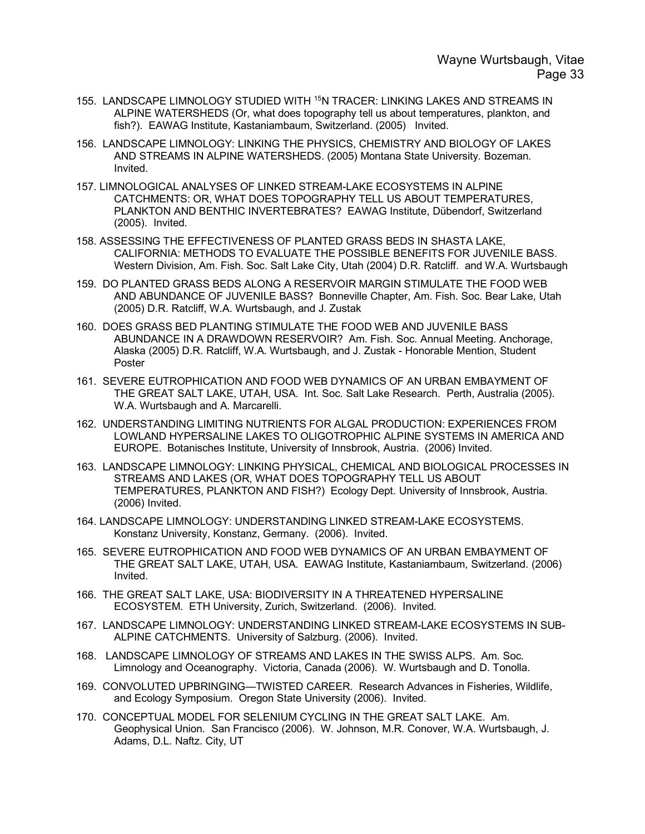- 155. LANDSCAPE LIMNOLOGY STUDIED WITH 15N TRACER: LINKING LAKES AND STREAMS IN ALPINE WATERSHEDS (Or, what does topography tell us about temperatures, plankton, and fish?). EAWAG Institute, Kastaniambaum, Switzerland. (2005) Invited.
- 156. LANDSCAPE LIMNOLOGY: LINKING THE PHYSICS, CHEMISTRY AND BIOLOGY OF LAKES AND STREAMS IN ALPINE WATERSHEDS. (2005) Montana State University. Bozeman. Invited.
- 157. LIMNOLOGICAL ANALYSES OF LINKED STREAM-LAKE ECOSYSTEMS IN ALPINE CATCHMENTS: OR, WHAT DOES TOPOGRAPHY TELL US ABOUT TEMPERATURES, PLANKTON AND BENTHIC INVERTEBRATES? EAWAG Institute, Dübendorf, Switzerland (2005). Invited.
- 158. ASSESSING THE EFFECTIVENESS OF PLANTED GRASS BEDS IN SHASTA LAKE, CALIFORNIA: METHODS TO EVALUATE THE POSSIBLE BENEFITS FOR JUVENILE BASS. Western Division, Am. Fish. Soc. Salt Lake City, Utah (2004) D.R. Ratcliff. and W.A. Wurtsbaugh
- 159. DO PLANTED GRASS BEDS ALONG A RESERVOIR MARGIN STIMULATE THE FOOD WEB AND ABUNDANCE OF JUVENILE BASS? Bonneville Chapter, Am. Fish. Soc. Bear Lake, Utah (2005) D.R. Ratcliff, W.A. Wurtsbaugh, and J. Zustak
- 160. DOES GRASS BED PLANTING STIMULATE THE FOOD WEB AND JUVENILE BASS ABUNDANCE IN A DRAWDOWN RESERVOIR? Am. Fish. Soc. Annual Meeting. Anchorage, Alaska (2005) D.R. Ratcliff, W.A. Wurtsbaugh, and J. Zustak - Honorable Mention, Student Poster
- 161. SEVERE EUTROPHICATION AND FOOD WEB DYNAMICS OF AN URBAN EMBAYMENT OF THE GREAT SALT LAKE, UTAH, USA. Int. Soc. Salt Lake Research. Perth, Australia (2005). W.A. Wurtsbaugh and A. Marcarelli.
- 162. UNDERSTANDING LIMITING NUTRIENTS FOR ALGAL PRODUCTION: EXPERIENCES FROM LOWLAND HYPERSALINE LAKES TO OLIGOTROPHIC ALPINE SYSTEMS IN AMERICA AND EUROPE. Botanisches Institute, University of Innsbrook, Austria. (2006) Invited.
- 163. LANDSCAPE LIMNOLOGY: LINKING PHYSICAL, CHEMICAL AND BIOLOGICAL PROCESSES IN STREAMS AND LAKES (OR, WHAT DOES TOPOGRAPHY TELL US ABOUT TEMPERATURES, PLANKTON AND FISH?) Ecology Dept. University of Innsbrook, Austria. (2006) Invited.
- 164. LANDSCAPE LIMNOLOGY: UNDERSTANDING LINKED STREAM-LAKE ECOSYSTEMS. Konstanz University, Konstanz, Germany. (2006). Invited.
- 165. SEVERE EUTROPHICATION AND FOOD WEB DYNAMICS OF AN URBAN EMBAYMENT OF THE GREAT SALT LAKE, UTAH, USA. EAWAG Institute, Kastaniambaum, Switzerland. (2006) Invited.
- 166. THE GREAT SALT LAKE, USA: BIODIVERSITY IN A THREATENED HYPERSALINE ECOSYSTEM. ETH University, Zurich, Switzerland. (2006). Invited.
- 167. LANDSCAPE LIMNOLOGY: UNDERSTANDING LINKED STREAM-LAKE ECOSYSTEMS IN SUB-ALPINE CATCHMENTS. University of Salzburg. (2006). Invited.
- 168. LANDSCAPE LIMNOLOGY OF STREAMS AND LAKES IN THE SWISS ALPS. Am. Soc. Limnology and Oceanography. Victoria, Canada (2006). W. Wurtsbaugh and D. Tonolla.
- 169. CONVOLUTED UPBRINGING—TWISTED CAREER. Research Advances in Fisheries, Wildlife, and Ecology Symposium. Oregon State University (2006). Invited.
- 170. CONCEPTUAL MODEL FOR SELENIUM CYCLING IN THE GREAT SALT LAKE. Am. Geophysical Union. San Francisco (2006). W. Johnson, M.R. Conover, W.A. Wurtsbaugh, J. Adams, D.L. Naftz. City, UT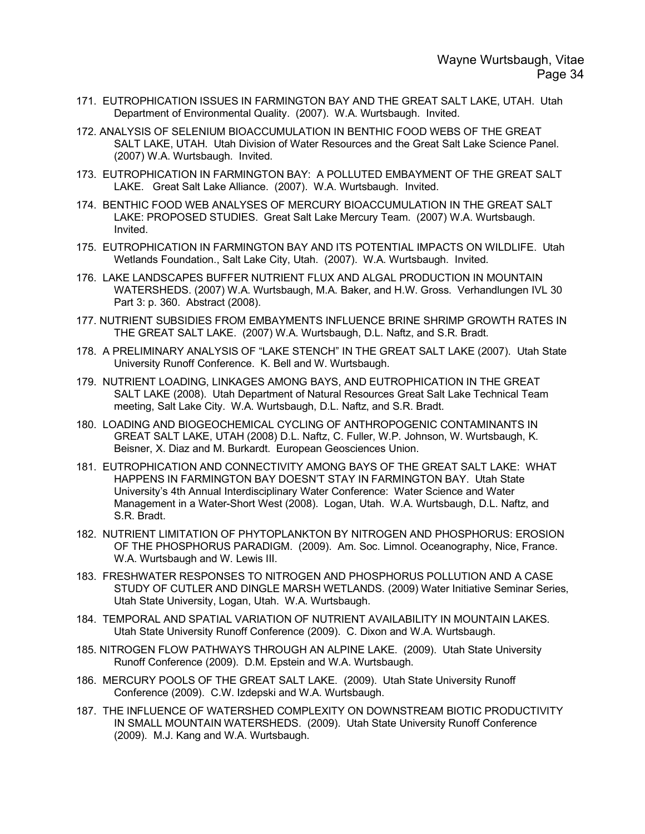- 171. EUTROPHICATION ISSUES IN FARMINGTON BAY AND THE GREAT SALT LAKE, UTAH. Utah Department of Environmental Quality. (2007). W.A. Wurtsbaugh. Invited.
- 172. ANALYSIS OF SELENIUM BIOACCUMULATION IN BENTHIC FOOD WEBS OF THE GREAT SALT LAKE, UTAH. Utah Division of Water Resources and the Great Salt Lake Science Panel. (2007) W.A. Wurtsbaugh. Invited.
- 173. EUTROPHICATION IN FARMINGTON BAY: A POLLUTED EMBAYMENT OF THE GREAT SALT LAKE. Great Salt Lake Alliance. (2007). W.A. Wurtsbaugh. Invited.
- 174. BENTHIC FOOD WEB ANALYSES OF MERCURY BIOACCUMULATION IN THE GREAT SALT LAKE: PROPOSED STUDIES. Great Salt Lake Mercury Team. (2007) W.A. Wurtsbaugh. Invited.
- 175. EUTROPHICATION IN FARMINGTON BAY AND ITS POTENTIAL IMPACTS ON WILDLIFE. Utah Wetlands Foundation., Salt Lake City, Utah. (2007). W.A. Wurtsbaugh. Invited.
- 176. LAKE LANDSCAPES BUFFER NUTRIENT FLUX AND ALGAL PRODUCTION IN MOUNTAIN WATERSHEDS. (2007) W.A. Wurtsbaugh, M.A. Baker, and H.W. Gross. Verhandlungen IVL 30 Part 3: p. 360. Abstract (2008).
- 177. NUTRIENT SUBSIDIES FROM EMBAYMENTS INFLUENCE BRINE SHRIMP GROWTH RATES IN THE GREAT SALT LAKE. (2007) W.A. Wurtsbaugh, D.L. Naftz, and S.R. Bradt.
- 178. A PRELIMINARY ANALYSIS OF "LAKE STENCH" IN THE GREAT SALT LAKE (2007). Utah State University Runoff Conference. K. Bell and W. Wurtsbaugh.
- 179. NUTRIENT LOADING, LINKAGES AMONG BAYS, AND EUTROPHICATION IN THE GREAT SALT LAKE (2008). Utah Department of Natural Resources Great Salt Lake Technical Team meeting, Salt Lake City. W.A. Wurtsbaugh, D.L. Naftz, and S.R. Bradt.
- 180. LOADING AND BIOGEOCHEMICAL CYCLING OF ANTHROPOGENIC CONTAMINANTS IN GREAT SALT LAKE, UTAH (2008) D.L. Naftz, C. Fuller, W.P. Johnson, W. Wurtsbaugh, K. Beisner, X. Diaz and M. Burkardt. European Geosciences Union.
- 181. EUTROPHICATION AND CONNECTIVITY AMONG BAYS OF THE GREAT SALT LAKE: WHAT HAPPENS IN FARMINGTON BAY DOESN'T STAY IN FARMINGTON BAY. Utah State University's 4th Annual Interdisciplinary Water Conference: Water Science and Water Management in a Water-Short West (2008). Logan, Utah. W.A. Wurtsbaugh, D.L. Naftz, and S.R. Bradt.
- 182. NUTRIENT LIMITATION OF PHYTOPLANKTON BY NITROGEN AND PHOSPHORUS: EROSION OF THE PHOSPHORUS PARADIGM. (2009). Am. Soc. Limnol. Oceanography, Nice, France. W.A. Wurtsbaugh and W. Lewis III.
- 183. FRESHWATER RESPONSES TO NITROGEN AND PHOSPHORUS POLLUTION AND A CASE STUDY OF CUTLER AND DINGLE MARSH WETLANDS. (2009) Water Initiative Seminar Series, Utah State University, Logan, Utah. W.A. Wurtsbaugh.
- 184. TEMPORAL AND SPATIAL VARIATION OF NUTRIENT AVAILABILITY IN MOUNTAIN LAKES. Utah State University Runoff Conference (2009). C. Dixon and W.A. Wurtsbaugh.
- 185. NITROGEN FLOW PATHWAYS THROUGH AN ALPINE LAKE. (2009). Utah State University Runoff Conference (2009). D.M. Epstein and W.A. Wurtsbaugh.
- 186. MERCURY POOLS OF THE GREAT SALT LAKE. (2009). Utah State University Runoff Conference (2009). C.W. Izdepski and W.A. Wurtsbaugh.
- 187. THE INFLUENCE OF WATERSHED COMPLEXITY ON DOWNSTREAM BIOTIC PRODUCTIVITY IN SMALL MOUNTAIN WATERSHEDS. (2009). Utah State University Runoff Conference (2009). M.J. Kang and W.A. Wurtsbaugh.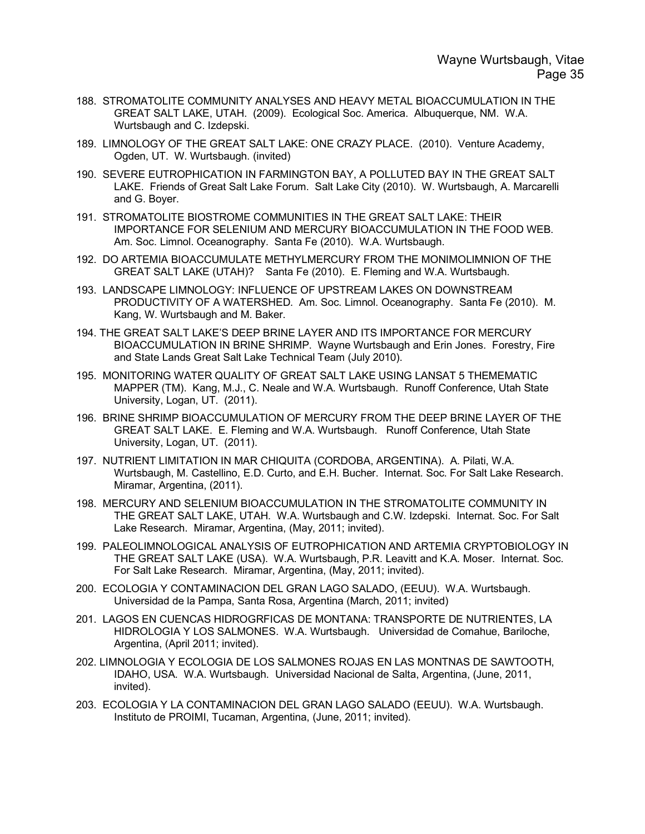- 188. STROMATOLITE COMMUNITY ANALYSES AND HEAVY METAL BIOACCUMULATION IN THE GREAT SALT LAKE, UTAH. (2009). Ecological Soc. America. Albuquerque, NM. W.A. Wurtsbaugh and C. Izdepski.
- 189. LIMNOLOGY OF THE GREAT SALT LAKE: ONE CRAZY PLACE. (2010). Venture Academy, Ogden, UT. W. Wurtsbaugh. (invited)
- 190. SEVERE EUTROPHICATION IN FARMINGTON BAY, A POLLUTED BAY IN THE GREAT SALT LAKE. Friends of Great Salt Lake Forum. Salt Lake City (2010). W. Wurtsbaugh, A. Marcarelli and G. Boyer.
- 191. STROMATOLITE BIOSTROME COMMUNITIES IN THE GREAT SALT LAKE: THEIR IMPORTANCE FOR SELENIUM AND MERCURY BIOACCUMULATION IN THE FOOD WEB. Am. Soc. Limnol. Oceanography. Santa Fe (2010). W.A. Wurtsbaugh.
- 192. DO ARTEMIA BIOACCUMULATE METHYLMERCURY FROM THE MONIMOLIMNION OF THE GREAT SALT LAKE (UTAH)? Santa Fe (2010). E. Fleming and W.A. Wurtsbaugh.
- 193. LANDSCAPE LIMNOLOGY: INFLUENCE OF UPSTREAM LAKES ON DOWNSTREAM PRODUCTIVITY OF A WATERSHED. Am. Soc. Limnol. Oceanography. Santa Fe (2010). M. Kang, W. Wurtsbaugh and M. Baker.
- 194. THE GREAT SALT LAKE'S DEEP BRINE LAYER AND ITS IMPORTANCE FOR MERCURY BIOACCUMULATION IN BRINE SHRIMP. Wayne Wurtsbaugh and Erin Jones. Forestry, Fire and State Lands Great Salt Lake Technical Team (July 2010).
- 195. MONITORING WATER QUALITY OF GREAT SALT LAKE USING LANSAT 5 THEMEMATIC MAPPER (TM). Kang, M.J., C. Neale and W.A. Wurtsbaugh. Runoff Conference, Utah State University, Logan, UT. (2011).
- 196. BRINE SHRIMP BIOACCUMULATION OF MERCURY FROM THE DEEP BRINE LAYER OF THE GREAT SALT LAKE. E. Fleming and W.A. Wurtsbaugh. Runoff Conference, Utah State University, Logan, UT. (2011).
- 197. NUTRIENT LIMITATION IN MAR CHIQUITA (CORDOBA, ARGENTINA). A. Pilati, W.A. Wurtsbaugh, M. Castellino, E.D. Curto, and E.H. Bucher. Internat. Soc. For Salt Lake Research. Miramar, Argentina, (2011).
- 198. MERCURY AND SELENIUM BIOACCUMULATION IN THE STROMATOLITE COMMUNITY IN THE GREAT SALT LAKE, UTAH. W.A. Wurtsbaugh and C.W. Izdepski. Internat. Soc. For Salt Lake Research. Miramar, Argentina, (May, 2011; invited).
- 199. PALEOLIMNOLOGICAL ANALYSIS OF EUTROPHICATION AND ARTEMIA CRYPTOBIOLOGY IN THE GREAT SALT LAKE (USA). W.A. Wurtsbaugh, P.R. Leavitt and K.A. Moser. Internat. Soc. For Salt Lake Research. Miramar, Argentina, (May, 2011; invited).
- 200. ECOLOGIA Y CONTAMINACION DEL GRAN LAGO SALADO, (EEUU). W.A. Wurtsbaugh. Universidad de la Pampa, Santa Rosa, Argentina (March, 2011; invited)
- 201. LAGOS EN CUENCAS HIDROGRFICAS DE MONTANA: TRANSPORTE DE NUTRIENTES, LA HIDROLOGIA Y LOS SALMONES. W.A. Wurtsbaugh. Universidad de Comahue, Bariloche, Argentina, (April 2011; invited).
- 202. LIMNOLOGIA Y ECOLOGIA DE LOS SALMONES ROJAS EN LAS MONTNAS DE SAWTOOTH, IDAHO, USA. W.A. Wurtsbaugh. Universidad Nacional de Salta, Argentina, (June, 2011, invited).
- 203. ECOLOGIA Y LA CONTAMINACION DEL GRAN LAGO SALADO (EEUU). W.A. Wurtsbaugh. Instituto de PROIMI, Tucaman, Argentina, (June, 2011; invited).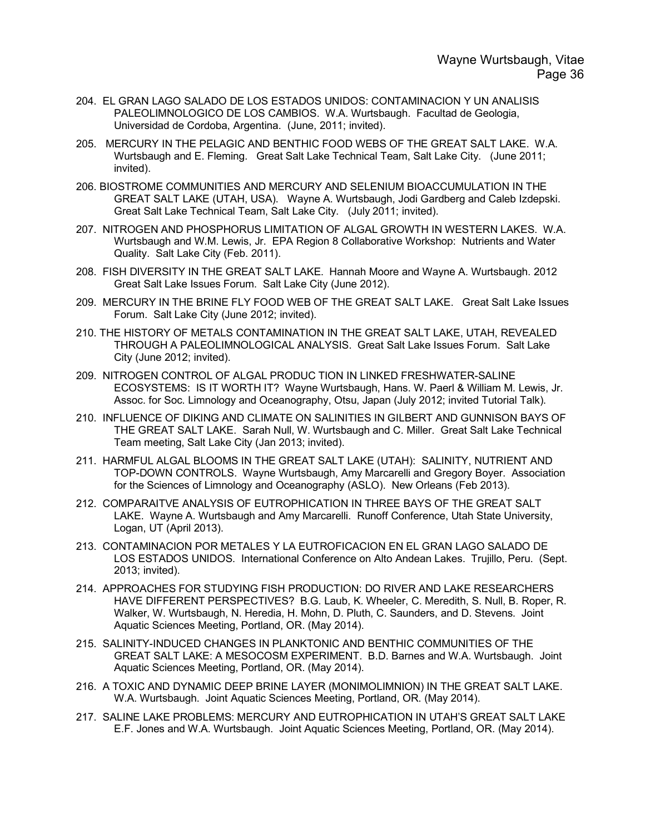- 204. EL GRAN LAGO SALADO DE LOS ESTADOS UNIDOS: CONTAMINACION Y UN ANALISIS PALEOLIMNOLOGICO DE LOS CAMBIOS. W.A. Wurtsbaugh. Facultad de Geologia, Universidad de Cordoba, Argentina. (June, 2011; invited).
- 205. MERCURY IN THE PELAGIC AND BENTHIC FOOD WEBS OF THE GREAT SALT LAKE. W.A. Wurtsbaugh and E. Fleming. Great Salt Lake Technical Team, Salt Lake City. (June 2011; invited).
- 206. BIOSTROME COMMUNITIES AND MERCURY AND SELENIUM BIOACCUMULATION IN THE GREAT SALT LAKE (UTAH, USA). Wayne A. Wurtsbaugh, Jodi Gardberg and Caleb Izdepski. Great Salt Lake Technical Team, Salt Lake City. (July 2011; invited).
- 207. NITROGEN AND PHOSPHORUS LIMITATION OF ALGAL GROWTH IN WESTERN LAKES. W.A. Wurtsbaugh and W.M. Lewis, Jr. EPA Region 8 Collaborative Workshop: Nutrients and Water Quality. Salt Lake City (Feb. 2011).
- 208. FISH DIVERSITY IN THE GREAT SALT LAKE. Hannah Moore and Wayne A. Wurtsbaugh. 2012 Great Salt Lake Issues Forum. Salt Lake City (June 2012).
- 209. MERCURY IN THE BRINE FLY FOOD WEB OF THE GREAT SALT LAKE. Great Salt Lake Issues Forum. Salt Lake City (June 2012; invited).
- 210. THE HISTORY OF METALS CONTAMINATION IN THE GREAT SALT LAKE, UTAH, REVEALED THROUGH A PALEOLIMNOLOGICAL ANALYSIS. Great Salt Lake Issues Forum. Salt Lake City (June 2012; invited).
- 209. NITROGEN CONTROL OF ALGAL PRODUC TION IN LINKED FRESHWATER-SALINE ECOSYSTEMS: IS IT WORTH IT? Wayne Wurtsbaugh, Hans. W. Paerl & William M. Lewis, Jr. Assoc. for Soc. Limnology and Oceanography, Otsu, Japan (July 2012; invited Tutorial Talk).
- 210. INFLUENCE OF DIKING AND CLIMATE ON SALINITIES IN GILBERT AND GUNNISON BAYS OF THE GREAT SALT LAKE. Sarah Null, W. Wurtsbaugh and C. Miller. Great Salt Lake Technical Team meeting, Salt Lake City (Jan 2013; invited).
- 211. HARMFUL ALGAL BLOOMS IN THE GREAT SALT LAKE (UTAH): SALINITY, NUTRIENT AND TOP-DOWN CONTROLS. Wayne Wurtsbaugh, Amy Marcarelli and Gregory Boyer. Association for the Sciences of Limnology and Oceanography (ASLO). New Orleans (Feb 2013).
- 212. COMPARAITVE ANALYSIS OF EUTROPHICATION IN THREE BAYS OF THE GREAT SALT LAKE. Wayne A. Wurtsbaugh and Amy Marcarelli. Runoff Conference, Utah State University, Logan, UT (April 2013).
- 213. CONTAMINACION POR METALES Y LA EUTROFICACION EN EL GRAN LAGO SALADO DE LOS ESTADOS UNIDOS. International Conference on Alto Andean Lakes. Trujillo, Peru. (Sept. 2013; invited).
- 214. APPROACHES FOR STUDYING FISH PRODUCTION: DO RIVER AND LAKE RESEARCHERS HAVE DIFFERENT PERSPECTIVES? B.G. Laub, K. Wheeler, C. Meredith, S. Null, B. Roper, R. Walker, W. Wurtsbaugh, N. Heredia, H. Mohn, D. Pluth, C. Saunders, and D. Stevens. Joint Aquatic Sciences Meeting, Portland, OR. (May 2014).
- 215. SALINITY-INDUCED CHANGES IN PLANKTONIC AND BENTHIC COMMUNITIES OF THE GREAT SALT LAKE: A MESOCOSM EXPERIMENT. B.D. Barnes and W.A. Wurtsbaugh. Joint Aquatic Sciences Meeting, Portland, OR. (May 2014).
- 216. A TOXIC AND DYNAMIC DEEP BRINE LAYER (MONIMOLIMNION) IN THE GREAT SALT LAKE. W.A. Wurtsbaugh. Joint Aquatic Sciences Meeting, Portland, OR. (May 2014).
- 217. SALINE LAKE PROBLEMS: MERCURY AND EUTROPHICATION IN UTAH'S GREAT SALT LAKE E.F. Jones and W.A. Wurtsbaugh. Joint Aquatic Sciences Meeting, Portland, OR. (May 2014).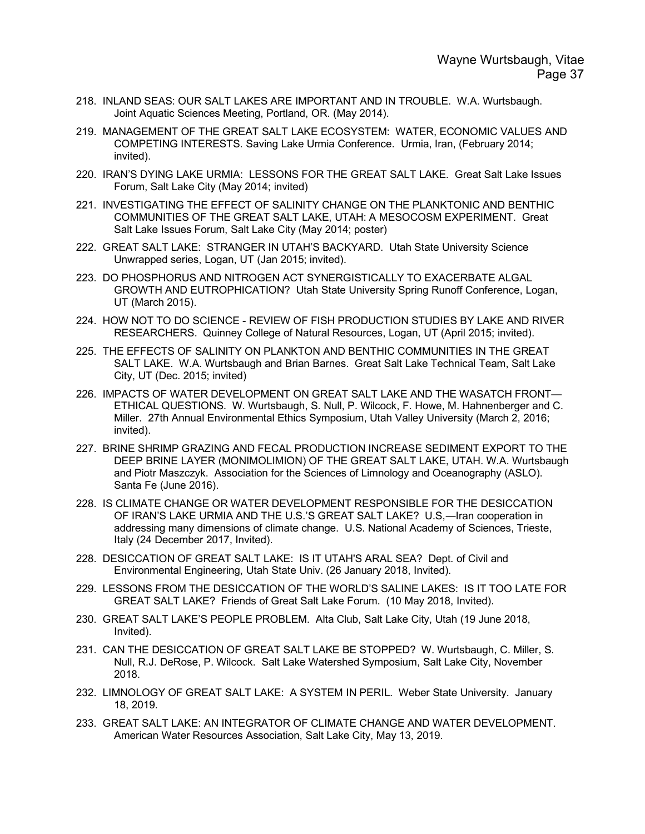- 218. INLAND SEAS: OUR SALT LAKES ARE IMPORTANT AND IN TROUBLE. W.A. Wurtsbaugh. Joint Aquatic Sciences Meeting, Portland, OR. (May 2014).
- 219. MANAGEMENT OF THE GREAT SALT LAKE ECOSYSTEM: WATER, ECONOMIC VALUES AND COMPETING INTERESTS. Saving Lake Urmia Conference. Urmia, Iran, (February 2014; invited).
- 220. IRAN'S DYING LAKE URMIA: LESSONS FOR THE GREAT SALT LAKE. Great Salt Lake Issues Forum, Salt Lake City (May 2014; invited)
- 221. INVESTIGATING THE EFFECT OF SALINITY CHANGE ON THE PLANKTONIC AND BENTHIC COMMUNITIES OF THE GREAT SALT LAKE, UTAH: A MESOCOSM EXPERIMENT. Great Salt Lake Issues Forum, Salt Lake City (May 2014; poster)
- 222. GREAT SALT LAKE: STRANGER IN UTAH'S BACKYARD. Utah State University Science Unwrapped series, Logan, UT (Jan 2015; invited).
- 223. DO PHOSPHORUS AND NITROGEN ACT SYNERGISTICALLY TO EXACERBATE ALGAL GROWTH AND EUTROPHICATION? Utah State University Spring Runoff Conference, Logan, UT (March 2015).
- 224. HOW NOT TO DO SCIENCE REVIEW OF FISH PRODUCTION STUDIES BY LAKE AND RIVER RESEARCHERS. Quinney College of Natural Resources, Logan, UT (April 2015; invited).
- 225. THE EFFECTS OF SALINITY ON PLANKTON AND BENTHIC COMMUNITIES IN THE GREAT SALT LAKE. W.A. Wurtsbaugh and Brian Barnes. Great Salt Lake Technical Team, Salt Lake City, UT (Dec. 2015; invited)
- 226. IMPACTS OF WATER DEVELOPMENT ON GREAT SALT LAKE AND THE WASATCH FRONT— ETHICAL QUESTIONS. W. Wurtsbaugh, S. Null, P. Wilcock, F. Howe, M. Hahnenberger and C. Miller. 27th Annual Environmental Ethics Symposium, Utah Valley University (March 2, 2016; invited).
- 227. BRINE SHRIMP GRAZING AND FECAL PRODUCTION INCREASE SEDIMENT EXPORT TO THE DEEP BRINE LAYER (MONIMOLIMION) OF THE GREAT SALT LAKE, UTAH. W.A. Wurtsbaugh and Piotr Maszczyk. Association for the Sciences of Limnology and Oceanography (ASLO). Santa Fe (June 2016).
- 228. IS CLIMATE CHANGE OR WATER DEVELOPMENT RESPONSIBLE FOR THE DESICCATION OF IRAN'S LAKE URMIA AND THE U.S.'S GREAT SALT LAKE? U.S,―Iran cooperation in addressing many dimensions of climate change. U.S. National Academy of Sciences, Trieste, Italy (24 December 2017, Invited).
- 228. DESICCATION OF GREAT SALT LAKE: IS IT UTAH'S ARAL SEA? Dept. of Civil and Environmental Engineering, Utah State Univ. (26 January 2018, Invited).
- 229. LESSONS FROM THE DESICCATION OF THE WORLD'S SALINE LAKES: IS IT TOO LATE FOR GREAT SALT LAKE? Friends of Great Salt Lake Forum. (10 May 2018, Invited).
- 230. GREAT SALT LAKE'S PEOPLE PROBLEM. Alta Club, Salt Lake City, Utah (19 June 2018, Invited).
- 231. CAN THE DESICCATION OF GREAT SALT LAKE BE STOPPED? W. Wurtsbaugh, C. Miller, S. Null, R.J. DeRose, P. Wilcock. Salt Lake Watershed Symposium, Salt Lake City, November 2018.
- 232. LIMNOLOGY OF GREAT SALT LAKE: A SYSTEM IN PERIL. Weber State University. January 18, 2019.
- 233. GREAT SALT LAKE: AN INTEGRATOR OF CLIMATE CHANGE AND WATER DEVELOPMENT. American Water Resources Association, Salt Lake City, May 13, 2019.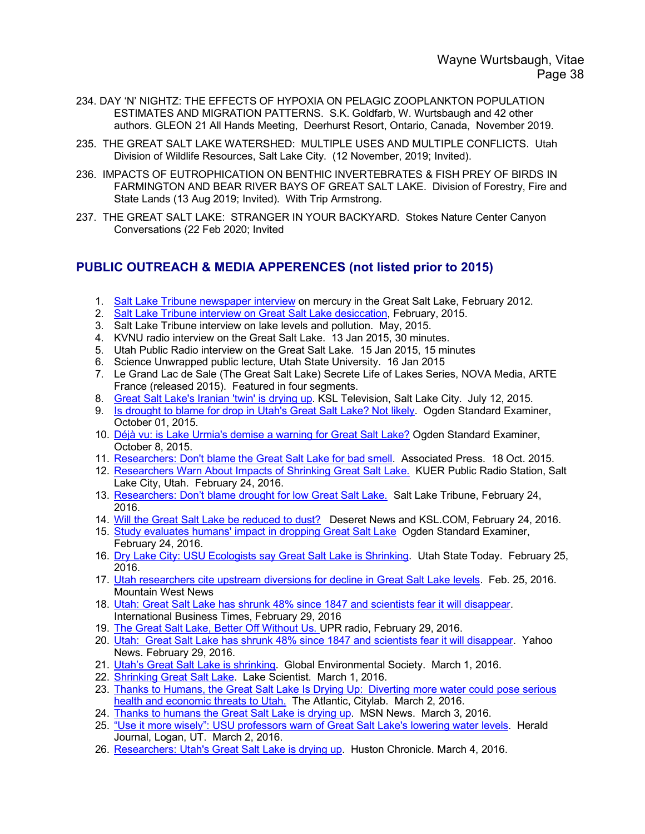- 234. DAY 'N' NIGHTZ: THE EFFECTS OF HYPOXIA ON PELAGIC ZOOPLANKTON POPULATION ESTIMATES AND MIGRATION PATTERNS. S.K. Goldfarb, W. Wurtsbaugh and 42 other authors. GLEON 21 All Hands Meeting, Deerhurst Resort, Ontario, Canada, November 2019.
- 235. THE GREAT SALT LAKE WATERSHED: MULTIPLE USES AND MULTIPLE CONFLICTS. Utah Division of Wildlife Resources, Salt Lake City. (12 November, 2019; Invited).
- 236. IMPACTS OF EUTROPHICATION ON BENTHIC INVERTEBRATES & FISH PREY OF BIRDS IN FARMINGTON AND BEAR RIVER BAYS OF GREAT SALT LAKE. Division of Forestry, Fire and State Lands (13 Aug 2019; Invited). With Trip Armstrong.
- 237. THE GREAT SALT LAKE: STRANGER IN YOUR BACKYARD. Stokes Nature Center Canyon Conversations (22 Feb 2020; Invited

## **PUBLIC OUTREACH & MEDIA APPERENCES (not listed prior to 2015)**

- 1. Salt Lake Tribune newspaper interview on mercury in the Great Salt Lake, February 2012.
- 2. Salt Lake Tribune interview on Great Salt Lake desiccation, February, 2015.
- 3. Salt Lake Tribune interview on lake levels and pollution. May, 2015.
- 4. KVNU radio interview on the Great Salt Lake. 13 Jan 2015, 30 minutes.
- 5. Utah Public Radio interview on the Great Salt Lake. 15 Jan 2015, 15 minutes
- 6. Science Unwrapped public lecture, Utah State University. 16 Jan 2015
- 7. Le Grand Lac de Sale (The Great Salt Lake) Secrete Life of Lakes Series, NOVA Media, ARTE France (released 2015). Featured in four segments.
- 8. Great Salt Lake's Iranian 'twin' is drying up. KSL Television, Salt Lake City. July 12, 2015.
- 9. Is drought to blame for drop in Utah's Great Salt Lake? Not likely. Ogden Standard Examiner, October 01, 2015.
- 10. Déjà vu: is Lake Urmia's demise a warning for Great Salt Lake? Ogden Standard Examiner, October 8, 2015.
- 11. Researchers: Don't blame the Great Salt Lake for bad smell. Associated Press. 18 Oct. 2015.
- 12. Researchers Warn About Impacts of Shrinking Great Salt Lake. KUER Public Radio Station, Salt Lake City, Utah. February 24, 2016.
- 13. Researchers: Don't blame drought for low Great Salt Lake. Salt Lake Tribune, February 24, 2016.
- 14. Will the Great Salt Lake be reduced to dust? Deseret News and KSL.COM, February 24, 2016.
- 15. Study evaluates humans' impact in dropping Great Salt Lake Ogden Standard Examiner, February 24, 2016.
- 16. Dry Lake City: USU Ecologists say Great Salt Lake is Shrinking. Utah State Today. February 25, 2016.
- 17. Utah researchers cite upstream diversions for decline in Great Salt Lake levels. Feb. 25, 2016. Mountain West News
- 18. Utah: Great Salt Lake has shrunk 48% since 1847 and scientists fear it will disappear. International Business Times, February 29, 2016
- 19. The Great Salt Lake, Better Off Without Us. UPR radio, February 29, 2016.
- 20. Utah: Great Salt Lake has shrunk 48% since 1847 and scientists fear it will disappear. Yahoo News. February 29, 2016.
- 21. Utah's Great Salt Lake is shrinking. Global Environmental Society. March 1, 2016.
- 22. Shrinking Great Salt Lake. Lake Scientist. March 1, 2016.
- 23. Thanks to Humans, the Great Salt Lake Is Drying Up: Diverting more water could pose serious health and economic threats to Utah. The Atlantic, Citylab. March 2, 2016.
- 24. Thanks to humans the Great Salt Lake is drying up. MSN News. March 3, 2016.
- 25. "Use it more wisely": USU professors warn of Great Salt Lake's lowering water levels. Herald Journal, Logan, UT. March 2, 2016.
- 26. Researchers: Utah's Great Salt Lake is drying up. Huston Chronicle. March 4, 2016.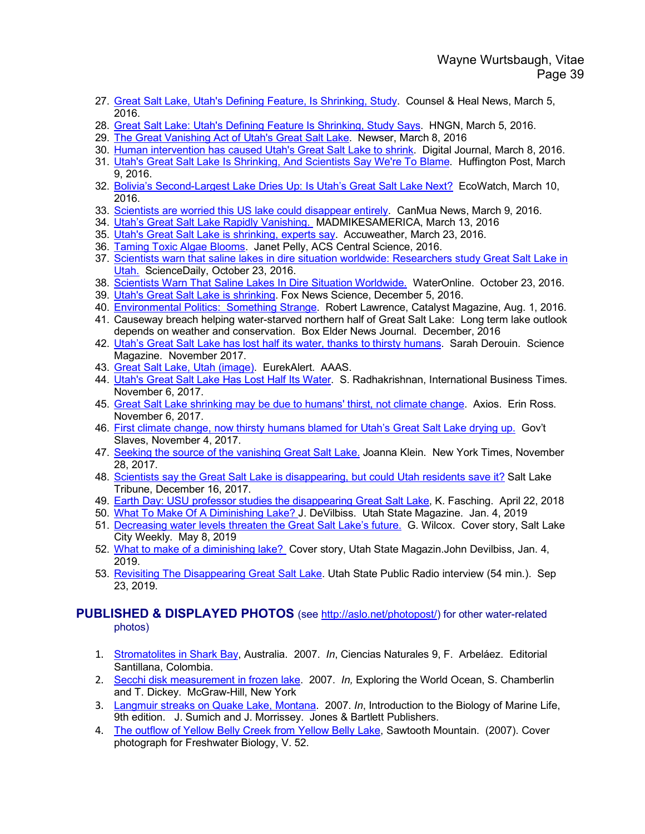- 27. Great Salt Lake, Utah's Defining Feature, Is Shrinking, Study. Counsel & Heal News, March 5, 2016.
- 28. Great Salt Lake: Utah's Defining Feature Is Shrinking, Study Says. HNGN, March 5, 2016.
- 29. The Great Vanishing Act of Utah's Great Salt Lake. Newser, March 8, 2016
- 30. Human intervention has caused Utah's Great Salt Lake to shrink. Digital Journal, March 8, 2016.
- 31. Utah's Great Salt Lake Is Shrinking, And Scientists Say We're To Blame. Huffington Post, March 9, 2016.
- 32. Bolivia's Second-Largest Lake Dries Up: Is Utah's Great Salt Lake Next? EcoWatch, March 10, 2016.
- 33. Scientists are worried this US lake could disappear entirely. CanMua News, March 9, 2016.
- 34. Utah's Great Salt Lake Rapidly Vanishing. MADMIKESAMERICA, March 13, 2016
- 35. Utah's Great Salt Lake is shrinking, experts say. Accuweather, March 23, 2016.
- 36. Taming Toxic Algae Blooms. Janet Pelly, ACS Central Science, 2016.
- 37. Scientists warn that saline lakes in dire situation worldwide: Researchers study Great Salt Lake in Utah. ScienceDaily, October 23, 2016.
- 38. Scientists Warn That Saline Lakes In Dire Situation Worldwide. WaterOnline. October 23, 2016.
- 39. Utah's Great Salt Lake is shrinking. Fox News Science, December 5, 2016.
- 40. Environmental Politics: Something Strange. Robert Lawrence, Catalyst Magazine, Aug. 1, 2016.
- 41. Causeway breach helping water-starved northern half of Great Salt Lake: Long term lake outlook depends on weather and conservation. Box Elder News Journal. December, 2016
- 42. Utah's Great Salt Lake has lost half its water, thanks to thirsty humans. Sarah Derouin. Science Magazine. November 2017.
- 43. Great Salt Lake, Utah (image). EurekAlert. AAAS.
- 44. Utah's Great Salt Lake Has Lost Half Its Water. S. Radhakrishnan, International Business Times. November 6, 2017.
- 45. Great Salt Lake shrinking may be due to humans' thirst, not climate change. Axios. Erin Ross. November 6, 2017.
- 46. First climate change, now thirsty humans blamed for Utah's Great Salt Lake drying up. Gov't Slaves, November 4, 2017.
- 47. Seeking the source of the vanishing Great Salt Lake. Joanna Klein. New York Times, November 28, 2017.
- 48. Scientists say the Great Salt Lake is disappearing, but could Utah residents save it? Salt Lake Tribune, December 16, 2017.
- 49. Earth Day: USU professor studies the disappearing Great Salt Lake, K. Fasching. April 22, 2018
- 50. What To Make Of A Diminishing Lake? J. DeVilbiss. Utah State Magazine. Jan. 4, 2019
- 51. Decreasing water levels threaten the Great Salt Lake's future. G. Wilcox. Cover story, Salt Lake City Weekly. May 8, 2019
- 52. What to make of a diminishing lake? Cover story, Utah State Magazin.John Devilbiss, Jan. 4, 2019.
- 53. Revisiting The Disappearing Great Salt Lake. Utah State Public Radio interview (54 min.). Sep 23, 2019.

### **PUBLISHED & DISPLAYED PHOTOS** (see http://aslo.net/photopost/) for other water-related photos)

- 1. Stromatolites in Shark Bay, Australia. 2007. *In*, Ciencias Naturales 9, F. Arbeláez. Editorial Santillana, Colombia.
- 2. Secchi disk measurement in frozen lake. 2007. *In,* Exploring the World Ocean, S. Chamberlin and T. Dickey. McGraw-Hill, New York
- 3. Langmuir streaks on Quake Lake, Montana. 2007. *In*, Introduction to the Biology of Marine Life, 9th edition. J. Sumich and J. Morrissey. Jones & Bartlett Publishers.
- 4. The outflow of Yellow Belly Creek from Yellow Belly Lake, Sawtooth Mountain. (2007). Cover photograph for Freshwater Biology, V. 52.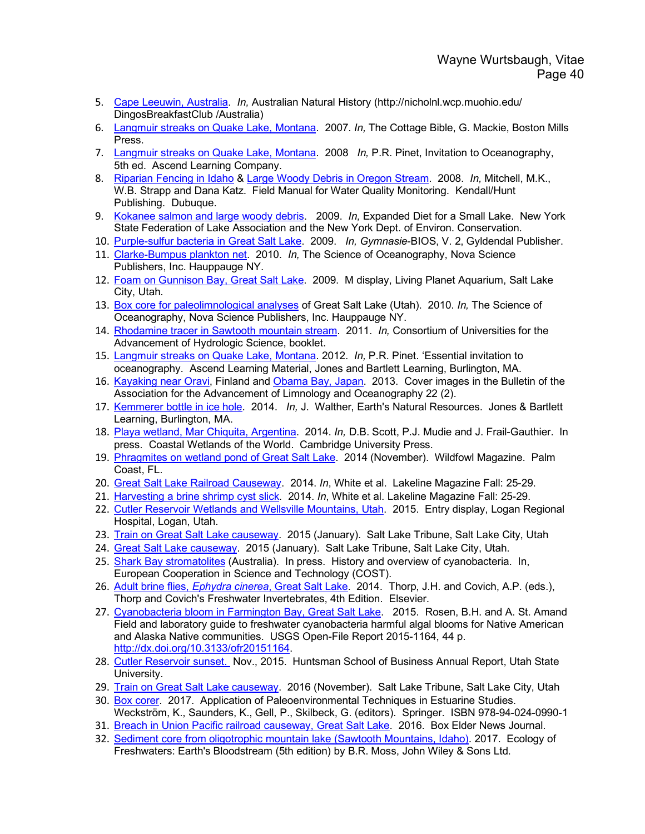- 5. Cape Leeuwin, Australia. *In,* Australian Natural History (http://nicholnl.wcp.muohio.edu/ DingosBreakfastClub /Australia)
- 6. Langmuir streaks on Quake Lake, Montana. 2007. *In,* The Cottage Bible, G. Mackie, Boston Mills Press.
- 7. Langmuir streaks on Quake Lake, Montana. 2008 *In,* P.R. Pinet, Invitation to Oceanography, 5th ed. Ascend Learning Company.
- 8. Riparian Fencing in Idaho & Large Woody Debris in Oregon Stream. 2008. *In,* Mitchell, M.K., W.B. Strapp and Dana Katz. Field Manual for Water Quality Monitoring. Kendall/Hunt Publishing. Dubuque.
- 9. Kokanee salmon and large woody debris. 2009. *In,* Expanded Diet for a Small Lake. New York State Federation of Lake Association and the New York Dept. of Environ. Conservation.
- 10. Purple-sulfur bacteria in Great Salt Lake. 2009. *In, Gymnasie*-BIOS, V. 2, Gyldendal Publisher.
- 11. Clarke-Bumpus plankton net. 2010. *In,* The Science of Oceanography, Nova Science Publishers, Inc. Hauppauge NY.
- 12. Foam on Gunnison Bay, Great Salt Lake. 2009. M display, Living Planet Aquarium, Salt Lake City, Utah.
- 13. Box core for paleolimnological analyses of Great Salt Lake (Utah). 2010. *In,* The Science of Oceanography, Nova Science Publishers, Inc. Hauppauge NY.
- 14. Rhodamine tracer in Sawtooth mountain stream. 2011. *In,* Consortium of Universities for the Advancement of Hydrologic Science, booklet.
- 15. Langmuir streaks on Quake Lake, Montana. 2012. *In,* P.R. Pinet. 'Essential invitation to oceanography. Ascend Learning Material, Jones and Bartlett Learning, Burlington, MA.
- 16. Kayaking near Oravi, Finland and Obama Bay, Japan. 2013. Cover images in the Bulletin of the Association for the Advancement of Limnology and Oceanography 22 (2).
- 17. Kemmerer bottle in ice hole. 2014. *In,* J. Walther, Earth's Natural Resources. Jones & Bartlett Learning, Burlington, MA.
- 18. Playa wetland, Mar Chiquita, Argentina. 2014. *In,* D.B. Scott, P.J. Mudie and J. Frail-Gauthier. In press. Coastal Wetlands of the World. Cambridge University Press.
- 19. Phragmites on wetland pond of Great Salt Lake. 2014 (November). Wildfowl Magazine. Palm Coast, FL.
- 20. Great Salt Lake Railroad Causeway. 2014. *In*, White et al. Lakeline Magazine Fall: 25-29.
- 21. Harvesting a brine shrimp cyst slick. 2014. *In*, White et al. Lakeline Magazine Fall: 25-29.
- 22. Cutler Reservoir Wetlands and Wellsville Mountains, Utah. 2015. Entry display, Logan Regional Hospital, Logan, Utah.
- 23. Train on Great Salt Lake causeway. 2015 (January). Salt Lake Tribune, Salt Lake City, Utah
- 24. Great Salt Lake causeway. 2015 (January). Salt Lake Tribune, Salt Lake City, Utah.
- 25. Shark Bay stromatolites (Australia). In press. History and overview of cyanobacteria. In, European Cooperation in Science and Technology (COST).
- 26. Adult brine flies, *Ephydra cinerea*, Great Salt Lake. 2014. Thorp, J.H. and Covich, A.P. (eds.), Thorp and Covich's Freshwater Invertebrates, 4th Edition. Elsevier.
- 27. Cyanobacteria bloom in Farmington Bay, Great Salt Lake. 2015. Rosen, B.H. and A. St. Amand Field and laboratory guide to freshwater cyanobacteria harmful algal blooms for Native American and Alaska Native communities. USGS Open-File Report 2015-1164, 44 p. http://dx.doi.org/10.3133/ofr20151164.
- 28. Cutler Reservoir sunset. Nov., 2015. Huntsman School of Business Annual Report, Utah State University.
- 29. Train on Great Salt Lake causeway. 2016 (November). Salt Lake Tribune, Salt Lake City, Utah
- 30. Box corer. 2017. Application of Paleoenvironmental Techniques in Estuarine Studies. Weckström, K., Saunders, K., Gell, P., Skilbeck, G. (editors). Springer. ISBN 978-94-024-0990-1
- 31. Breach in Union Pacific railroad causeway, Great Salt Lake. 2016. Box Elder News Journal.
- 32. Sediment core from oligotrophic mountain lake (Sawtooth Mountains, Idaho). 2017. Ecology of Freshwaters: Earth's Bloodstream (5th edition) by B.R. Moss, John Wiley & Sons Ltd.